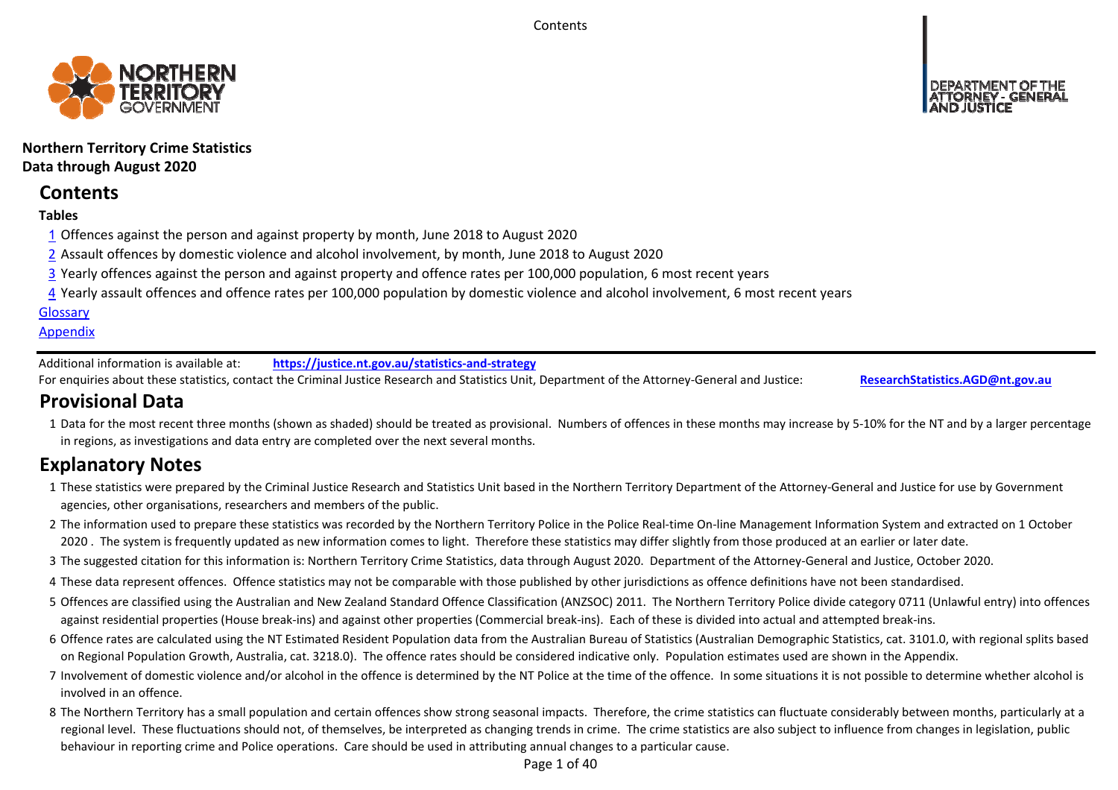**Contents** 



# **Northern Territory Crime Statistics Data through August 2020**

# **Contents**

## **Tables**

- 1 Offences against the person and against property by month, June 2018 to August 2020
- 2 Assault offences by domestic violence and alcohol involvement, by month, June 2018 to August 2020
- 3 Yearly offences against the person and against property and offence rates per 100,000 population, 6 most recent years
- 4 Yearly assault offences and offence rates per 100,000 population by domestic violence and alcohol involvement, 6 most recent years

### **Glossary**

### **Appendix**

Additional information is available at:**https://justice.nt.gov.au/statistics‐and‐strategy**

For enquiries about these statistics, contact the Criminal Justice Research and Statistics Unit, Department of the Attorney‐General and Justice: **ResearchStatistics.AGD@nt.gov.au**

# **Provisional Data**

1 Data for the most recent three months (shown as shaded) should be treated as provisional. Numbers of offences in these months may increase by 5‐10% for the NT and by a larger percentage in regions, as investigations and data entry are completed over the next several months.

# **Explanatory Notes**

- 1These statistics were prepared by the Criminal Justice Research and Statistics Unit based in the Northern Territory Department of the Attorney‐General and Justice for use by Government agencies, other organisations, researchers and members of the public.
- 2 The information used to prepare these statistics was recorded by the Northern Territory Police in the Police Real‐time On‐line Management Information System and extracted on 1 October 2020. The system is frequently updated as new information comes to light. Therefore these statistics may differ slightly from those produced at an earlier or later date.
- 3 The suggested citation for this information is: Northern Territory Crime Statistics, data through August 2020. Department of the Attorney‐General and Justice, October 2020.
- 4These data represent offences. Offence statistics may not be comparable with those published by other jurisdictions as offence definitions have not been standardised.
- 5 Offences are classified using the Australian and New Zealand Standard Offence Classification (ANZSOC) 2011. The Northern Territory Police divide category 0711 (Unlawful entry) into offences against residential properties (House break‐ins) and against other properties (Commercial break‐ins). Each of these is divided into actual and attempted break‐ins.
- 6 Offence rates are calculated using the NT Estimated Resident Population data from the Australian Bureau of Statistics (Australian Demographic Statistics, cat. 3101.0, with regional splits based on Regional Population Growth, Australia, cat. 3218.0). The offence rates should be considered indicative only. Population estimates used are shown in the Appendix.
- 7 Involvement of domestic violence and/or alcohol in the offence is determined by the NT Police at the time of the offence. In some situations it is not possible to determine whether alcohol is involved in an offence.
- 8 The Northern Territory has a small population and certain offences show strong seasonal impacts. Therefore, the crime statistics can fluctuate considerably between months, particularly at a regional level. These fluctuations should not, of themselves, be interpreted as changing trends in crime. The crime statistics are also subject to influence from changes in legislation, public behaviour in reporting crime and Police operations. Care should be used in attributing annual changes to a particular cause.

Page 1 of 40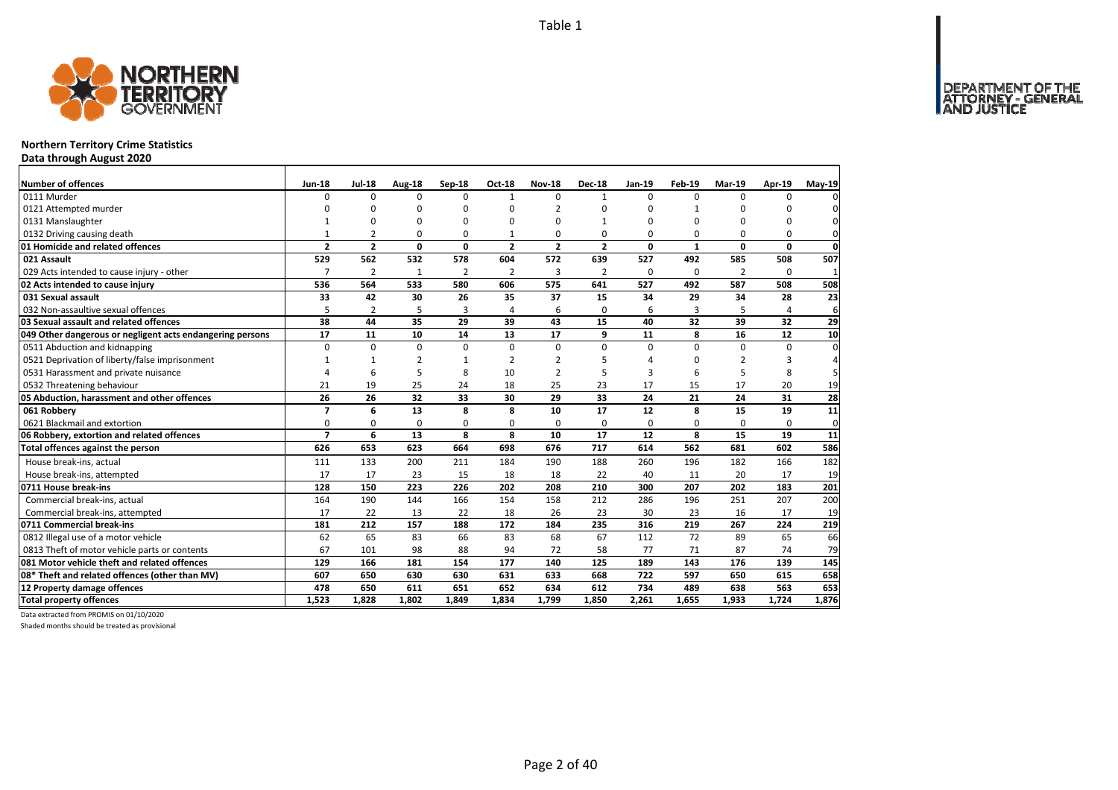

### **Northern Territory Crime Statistics**

**Data through August 2020**

| Number of offences                                        | <b>Jun-18</b>            | <b>Jul-18</b>  | Aug-18         | Sep-18         | <b>Oct-18</b>  | <b>Nov-18</b>            | <b>Dec-18</b>  | <b>Jan-19</b> | Feb-19       | <b>Mar-19</b> | Apr-19       | May-19       |
|-----------------------------------------------------------|--------------------------|----------------|----------------|----------------|----------------|--------------------------|----------------|---------------|--------------|---------------|--------------|--------------|
| 0111 Murder                                               | 0                        | $\Omega$       | 0              | $\Omega$       | $\mathbf{1}$   | $\Omega$                 | $\mathbf{1}$   | $\Omega$      | $\Omega$     | $\Omega$      | $\Omega$     |              |
| 0121 Attempted murder                                     | n                        | $\Omega$       | 0              | $\Omega$       |                | $\overline{\phantom{a}}$ | 0              | ŋ             | 1            |               | ŋ            |              |
| 0131 Manslaughter                                         |                          | 0              | 0              | $\Omega$       |                | $\Omega$                 | 1              | 0             | 0            |               | 0            | 0            |
| 0132 Driving causing death                                |                          | $\overline{2}$ | O              | $\Omega$       |                | 0                        | 0              | O             | $\Omega$     | $\Omega$      | $\Omega$     | 0            |
| 01 Homicide and related offences                          | $\overline{2}$           | $\overline{2}$ | 0              | $\mathbf{0}$   | $\mathbf{2}$   | $\overline{2}$           | $\overline{2}$ | 0             | $\mathbf{1}$ | 0             | $\mathbf{0}$ | $\mathbf 0$  |
| 021 Assault                                               | 529                      | 562            | 532            | 578            | 604            | 572                      | 639            | 527           | 492          | 585           | 508          | 507          |
| 029 Acts intended to cause injury - other                 | $\overline{7}$           | $\overline{2}$ | 1              | $\overline{2}$ | $\overline{2}$ | 3                        | 2              | $\Omega$      | $\Omega$     | 2             | $\Omega$     | $\mathbf{1}$ |
| 02 Acts intended to cause injury                          | 536                      | 564            | 533            | 580            | 606            | 575                      | 641            | 527           | 492          | 587           | 508          | 508          |
| 031 Sexual assault                                        | 33                       | 42             | 30             | 26             | 35             | 37                       | 15             | 34            | 29           | 34            | 28           | 23           |
| 032 Non-assaultive sexual offences                        | 5                        | $\overline{2}$ | 5              | $\overline{3}$ | $\overline{4}$ | 6                        | 0              | 6             | 3            | 5             | 4            | 6            |
| 03 Sexual assault and related offences                    | 38                       | 44             | 35             | 29             | 39             | 43                       | 15             | 40            | 32           | 39            | 32           | 29           |
| 049 Other dangerous or negligent acts endangering persons | 17                       | 11             | 10             | 14             | 13             | 17                       | 9              | 11            | 8            | 16            | 12           | 10           |
| 0511 Abduction and kidnapping                             | $\Omega$                 | $\Omega$       | $\Omega$       | $\Omega$       | $\Omega$       | $\Omega$                 | $\Omega$       | $\Omega$      | $\Omega$     | $\Omega$      | $\Omega$     | $\Omega$     |
| 0521 Deprivation of liberty/false imprisonment            | 1                        | $\mathbf{1}$   | $\overline{2}$ | $\mathbf{1}$   | $\overline{2}$ | $\mathfrak{p}$           | 5              | Δ             | $\Omega$     | 2             | 3            |              |
| 0531 Harassment and private nuisance                      | $\Delta$                 | 6              | 5              | 8              | 10             | $\mathfrak{p}$           | 5              | 3             | 6            |               | 8            |              |
| 0532 Threatening behaviour                                | 21                       | 19             | 25             | 24             | 18             | 25                       | 23             | 17            | 15           | 17            | 20           | 19           |
| 05 Abduction, harassment and other offences               | 26                       | 26             | 32             | 33             | 30             | 29                       | 33             | 24            | 21           | 24            | 31           | 28           |
| 061 Robbery                                               | $\overline{\phantom{a}}$ | 6              | 13             | 8              | 8              | 10                       | 17             | 12            | 8            | 15            | 19           | 11           |
| 0621 Blackmail and extortion                              | 0                        | 0              | 0              | 0              | $\Omega$       | 0                        | 0              | 0             | 0            | 0             | 0            | 0            |
| 06 Robbery, extortion and related offences                | $\overline{7}$           | 6              | 13             | 8              | 8              | 10                       | 17             | 12            | 8            | 15            | 19           | 11           |
| Total offences against the person                         | 626                      | 653            | 623            | 664            | 698            | 676                      | 717            | 614           | 562          | 681           | 602          | 586          |
| House break-ins, actual                                   | 111                      | 133            | 200            | 211            | 184            | 190                      | 188            | 260           | 196          | 182           | 166          | 182          |
| House break-ins, attempted                                | 17                       | 17             | 23             | 15             | 18             | 18                       | 22             | 40            | 11           | 20            | 17           | 19           |
| 0711 House break-ins                                      | 128                      | 150            | 223            | 226            | 202            | 208                      | 210            | 300           | 207          | 202           | 183          | 201          |
| Commercial break-ins, actual                              | 164                      | 190            | 144            | 166            | 154            | 158                      | 212            | 286           | 196          | 251           | 207          | 200          |
| Commercial break-ins, attempted                           | 17                       | 22             | 13             | 22             | 18             | 26                       | 23             | 30            | 23           | 16            | 17           | 19           |
| 0711 Commercial break-ins                                 | 181                      | 212            | 157            | 188            | 172            | 184                      | 235            | 316           | 219          | 267           | 224          | 219          |
| 0812 Illegal use of a motor vehicle                       | 62                       | 65             | 83             | 66             | 83             | 68                       | 67             | 112           | 72           | 89            | 65           | 66           |
| 0813 Theft of motor vehicle parts or contents             | 67                       | 101            | 98             | 88             | 94             | 72                       | 58             | 77            | 71           | 87            | 74           | 79           |
| 081 Motor vehicle theft and related offences              | 129                      | 166            | 181            | 154            | 177            | 140                      | 125            | 189           | 143          | 176           | 139          | 145          |
| 08* Theft and related offences (other than MV)            | 607                      | 650            | 630            | 630            | 631            | 633                      | 668            | 722           | 597          | 650           | 615          | 658          |
| 12 Property damage offences                               | 478                      | 650            | 611            | 651            | 652            | 634                      | 612            | 734           | 489          | 638           | 563          | 653          |
| <b>Total property offences</b>                            | 1,523                    | 1,828          | 1.802          | 1.849          | 1.834          | 1,799                    | 1,850          | 2,261         | 1,655        | 1,933         | 1,724        | 1,876        |

Data extracted from PROMIS on 01/10/2020

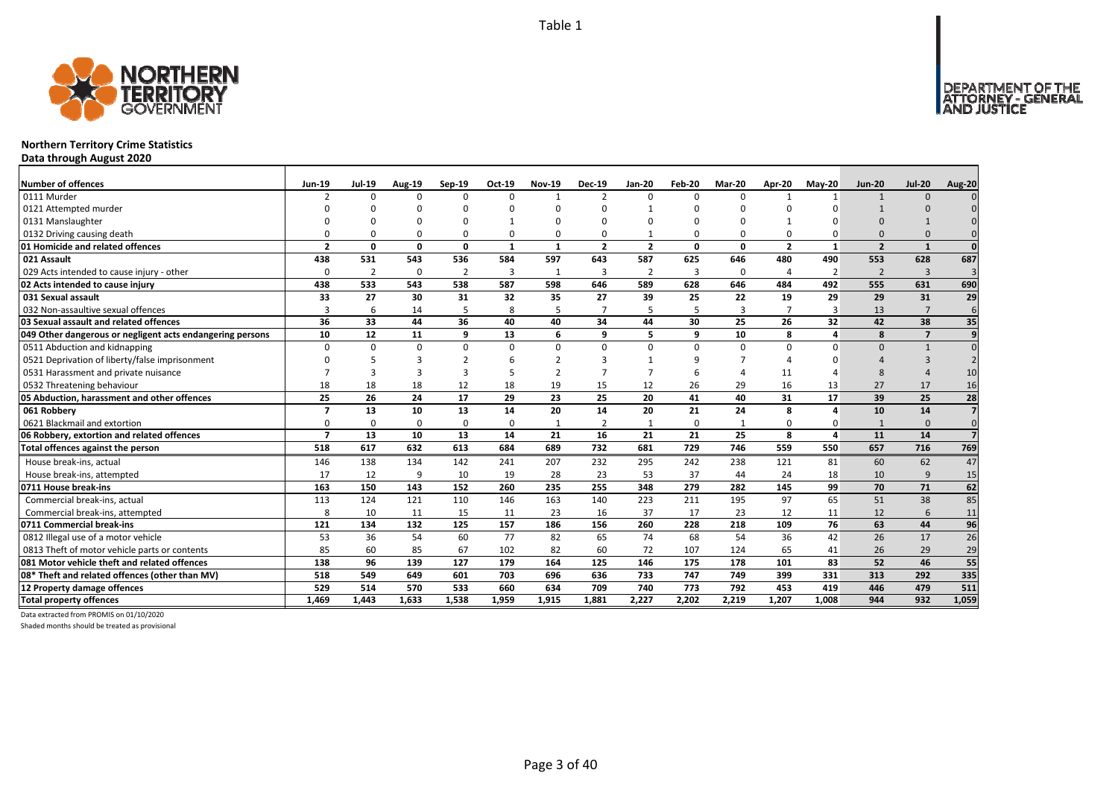

### **Northern Territory Crime Statistics**

**Data through August 2020**

| <b>Number of offences</b>                                 | <b>Jun-19</b>            | <b>Jul-19</b>  | <b>Aug-19</b> | Sep-19         | Oct-19       | <b>Nov-19</b> | <b>Dec-19</b>  | Jan-20         | Feb-20         | <b>Mar-20</b> | Apr-20         | <b>May-20</b> | <b>Jun-20</b>  | <b>Jul-20</b>  | <b>Aug-20</b>   |
|-----------------------------------------------------------|--------------------------|----------------|---------------|----------------|--------------|---------------|----------------|----------------|----------------|---------------|----------------|---------------|----------------|----------------|-----------------|
| 0111 Murder                                               | $\mathcal{P}$            | $\Omega$       | $\Omega$      | $\Omega$       | $\Omega$     |               | $\overline{2}$ | $\Omega$       | $\Omega$       | 0             |                |               | $\mathbf{1}$   | $\Omega$       |                 |
| 0121 Attempted murder                                     |                          |                |               |                |              |               |                |                |                |               |                |               |                |                |                 |
| 0131 Manslaughter                                         |                          |                | ŋ             |                | -1           |               |                | n              |                |               |                |               |                |                |                 |
| 0132 Driving causing death                                |                          |                | $\Omega$      | $\Omega$       | 0            |               |                |                | $\Omega$       | 0             |                |               | $\Omega$       |                |                 |
| 01 Homicide and related offences                          | $\overline{\phantom{a}}$ | $\Omega$       | O             | $\mathbf{0}$   | $\mathbf{1}$ | -1            | $\overline{2}$ | $\overline{2}$ | $\Omega$       | 0             | $\overline{2}$ | $\mathbf{1}$  | $\overline{2}$ | $\mathbf{1}$   | $\Omega$        |
| 021 Assault                                               | 438                      | 531            | 543           | 536            | 584          | 597           | 643            | 587            | 625            | 646           | 480            | 490           | 553            | 628            | 687             |
| 029 Acts intended to cause injury - other                 |                          | $\overline{2}$ | $\Omega$      | $\overline{2}$ | 3            | 1             | 3              | $\overline{2}$ | $\overline{3}$ | 0             | 4              | 2             | $\overline{2}$ | $\overline{3}$ | $\overline{3}$  |
| 02 Acts intended to cause injury                          | 438                      | 533            | 543           | 538            | 587          | 598           | 646            | 589            | 628            | 646           | 484            | 492           | 555            | 631            | 690             |
| 031 Sexual assault                                        | 33                       | 27             | 30            | 31             | 32           | 35            | 27             | 39             | 25             | 22            | 19             | 29            | 29             | 31             | 29              |
| 032 Non-assaultive sexual offences                        |                          | 6              | 14            | 5              | 8            |               | $\overline{7}$ | 5              | 5              | 3             |                | 3             | 13             | $\overline{7}$ | 6               |
| 03 Sexual assault and related offences                    | 36                       | 33             | 44            | 36             | 40           | 40            | 34             | 44             | 30             | 25            | 26             | 32            | 42             | 38             | 35              |
| 049 Other dangerous or negligent acts endangering persons | 10                       | 12             | 11            | 9              | 13           | 6             | 9              | 5              | 9              | 10            | 8              | 4             | 8              | $\overline{7}$ | 9               |
| 0511 Abduction and kidnapping                             | $\Omega$                 | $\Omega$       | $\Omega$      | $\Omega$       | $\Omega$     | <sup>0</sup>  | $\Omega$       | $\Omega$       | $\Omega$       | $\Omega$      | $\Omega$       | O             | $\Omega$       | $\mathbf{1}$   | $\Omega$        |
| 0521 Deprivation of liberty/false imprisonment            |                          |                |               |                |              |               |                |                | q              |               |                |               |                |                |                 |
| 0531 Harassment and private nuisance                      |                          |                | З             | 3              | 5            | $\mathcal{P}$ |                |                | 6              |               | 11             |               | $\mathbf{R}$   |                | 10              |
| 0532 Threatening behaviour                                | 18                       | 18             | 18            | 12             | 18           | 19            | 15             | 12             | 26             | 29            | 16             | 13            | 27             | 17             | 16              |
| 05 Abduction, harassment and other offences               | 25                       | 26             | 24            | 17             | 29           | 23            | 25             | 20             | 41             | 40            | 31             | 17            | 39             | 25             | 28              |
| 061 Robbery                                               | 7                        | 13             | 10            | 13             | 14           | 20            | 14             | 20             | 21             | 24            | 8              | Δ             | 10             | 14             | $\overline{z}$  |
| 0621 Blackmail and extortion                              | $\Omega$                 | $\Omega$       | $\Omega$      | $\Omega$       | 0            |               | $\overline{2}$ |                | $\Omega$       | $\mathbf{1}$  | $\Omega$       | ŋ             |                | $\Omega$       | $\Omega$        |
| 06 Robbery, extortion and related offences                | $\overline{\phantom{a}}$ | 13             | 10            | 13             | 14           | 21            | 16             | 21             | 21             | 25            | 8              | $\mathbf{A}$  | 11             | 14             | $\overline{z}$  |
| Total offences against the person                         | 518                      | 617            | 632           | 613            | 684          | 689           | 732            | 681            | 729            | 746           | 559            | 550           | 657            | 716            | 769             |
| House break-ins, actual                                   | 146                      | 138            | 134           | 142            | 241          | 207           | 232            | 295            | 242            | 238           | 121            | 81            | 60             | 62             | 47              |
| House break-ins, attempted                                | 17                       | 12             | q             | 10             | 19           | 28            | 23             | 53             | 37             | 44            | 24             | 18            | 10             | 9              | 15              |
| 0711 House break-ins                                      | 163                      | 150            | 143           | 152            | 260          | 235           | 255            | 348            | 279            | 282           | 145            | 99            | 70             | 71             | 62              |
| Commercial break-ins, actual                              | 113                      | 124            | 121           | 110            | 146          | 163           | 140            | 223            | 211            | 195           | 97             | 65            | 51             | 38             | 85              |
| Commercial break-ins, attempted                           |                          | 10             | 11            | 15             | 11           | 23            | 16             | 37             | 17             | 23            | 12             | 11            | 12             | 6              | 11              |
| 0711 Commercial break-ins                                 | 121                      | 134            | 132           | 125            | 157          | 186           | 156            | 260            | 228            | 218           | 109            | 76            | 63             | 44             | 96              |
| 0812 Illegal use of a motor vehicle                       | 53                       | 36             | 54            | 60             | 77           | 82            | 65             | 74             | 68             | 54            | 36             | 42            | 26             | 17             | 26              |
| 0813 Theft of motor vehicle parts or contents             | 85                       | 60             | 85            | 67             | 102          | 82            | 60             | 72             | 107            | 124           | 65             | 41            | 26             | 29             | 29              |
| 081 Motor vehicle theft and related offences              | 138                      | 96             | 139           | 127            | 179          | 164           | 125            | 146            | 175            | 178           | 101            | 83            | 52             | 46             | $\overline{55}$ |
| 08* Theft and related offences (other than MV)            | 518                      | 549            | 649           | 601            | 703          | 696           | 636            | 733            | 747            | 749           | 399            | 331           | 313            | 292            | 335             |
| 12 Property damage offences                               | 529                      | 514            | 570           | 533            | 660          | 634           | 709            | 740            | 773            | 792           | 453            | 419           | 446            | 479            | 511             |
| <b>Total property offences</b>                            | 1.469                    | 1.443          | 1.633         | 1.538          | 1.959        | 1,915         | 1.881          | 2,227          | 2.202          | 2.219         | 1.207          | 1.008         | 944            | 932            | 1,059           |

Data extracted from PROMIS on 01/10/2020

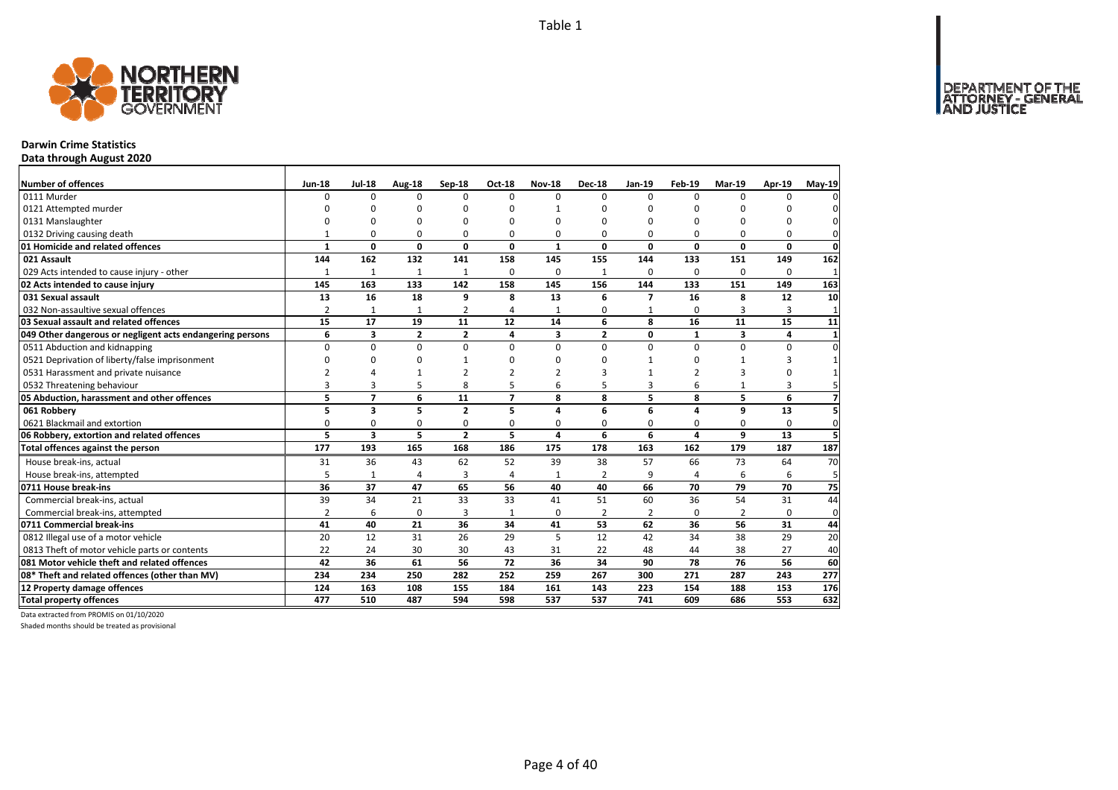

### **Darwin Crime Statistics**

**Data through August 2020**

| Number of offences                                        | Jun-18         | <b>Jul-18</b>           | Aug-18       | Sep-18         | Oct-18                   | <b>Nov-18</b> | <b>Dec-18</b>  | Jan-19         | Feb-19        | Mar-19         | Apr-19   | May-19       |
|-----------------------------------------------------------|----------------|-------------------------|--------------|----------------|--------------------------|---------------|----------------|----------------|---------------|----------------|----------|--------------|
| 0111 Murder                                               | <sup>0</sup>   | $\Omega$                | $\Omega$     | $\Omega$       | $\Omega$                 | $\Omega$      | $\Omega$       | $\Omega$       | $\Omega$      | $\Omega$       | $\Omega$ |              |
| 0121 Attempted murder                                     | n              | C                       | n            | $\Omega$       | ŋ                        |               | n              | ŋ              | n             | ŋ              | n        |              |
| 0131 Manslaughter                                         |                | C                       | 0            | $\Omega$       | $\Omega$                 | 0             | $\Omega$       | 0              | $\Omega$      | $\Omega$       | 0        |              |
| 0132 Driving causing death                                |                | $\Omega$                | 0            | $\Omega$       | $\Omega$                 | 0             | $\Omega$       | $\Omega$       | $\Omega$      | $\Omega$       | 0        | 0            |
| 01 Homicide and related offences                          | $\mathbf{1}$   | 0                       | $\mathbf 0$  | 0              | 0                        | $\mathbf{1}$  | 0              | 0              | $\Omega$      | 0              | 0        | 0            |
| 021 Assault                                               | 144            | 162                     | 132          | 141            | 158                      | 145           | 155            | 144            | 133           | 151            | 149      | 162          |
| 029 Acts intended to cause injury - other                 | $\mathbf{1}$   | $\mathbf{1}$            | $\mathbf{1}$ | $\mathbf{1}$   | 0                        | 0             | 1              | $\Omega$       | $\Omega$      | $\Omega$       | 0        | $\mathbf{1}$ |
| 02 Acts intended to cause injury                          | 145            | 163                     | 133          | 142            | 158                      | 145           | 156            | 144            | 133           | 151            | 149      | 163          |
| 031 Sexual assault                                        | 13             | 16                      | 18           | 9              | 8                        | 13            | 6              | $\overline{ }$ | 16            | g              | 12       | 10           |
| 032 Non-assaultive sexual offences                        | $\overline{2}$ | $\mathbf{1}$            | $\mathbf{1}$ | 2              | Δ                        | $\mathbf{1}$  | 0              | 1              | $\Omega$      | 3              | 3        | $\mathbf{1}$ |
| 03 Sexual assault and related offences                    | 15             | 17                      | 19           | 11             | 12                       | 14            | 6              | 8              | 16            | 11             | 15       | 11           |
| 049 Other dangerous or negligent acts endangering persons | 6              | 3                       | 2            | 2              | 4                        | 3             | $\overline{2}$ | 0              | $\mathbf{1}$  | 3              | 4        | $\mathbf{1}$ |
| 0511 Abduction and kidnapping                             | 0              | $\mathbf 0$             | $\mathbf 0$  | $\Omega$       | $\Omega$                 | 0             | $\Omega$       | $\Omega$       | $\Omega$      | $\mathbf 0$    | 0        | $\Omega$     |
| 0521 Deprivation of liberty/false imprisonment            | <sup>0</sup>   | $\Omega$                | 0            | $\mathbf{1}$   | O                        | O             | $\Omega$       | $\mathbf{1}$   | $\Omega$      | 1              | 3        |              |
| 0531 Harassment and private nuisance                      | 2              | Δ                       | 1            | $\mathcal{P}$  |                          | 2             | 3              | 1              | $\mathcal{P}$ | 3              | 0        |              |
| 0532 Threatening behaviour                                | 3              | 3                       | 5            | 8              | 5                        | 6             | 5              | $\overline{3}$ | 6             | 1              | 3        |              |
| 05 Abduction, harassment and other offences               | 5              | $\overline{7}$          | 6            | 11             | $\overline{\phantom{a}}$ | 8             | 8              | 5              | 8             | 5              | 6        |              |
| 061 Robbery                                               | 5              | $\overline{\mathbf{3}}$ | 5            | $\overline{2}$ | 5                        | 4             | 6              | 6              | 4             | 9              | 13       | 5            |
| 0621 Blackmail and extortion                              | 0              | 0                       | $\mathbf 0$  | 0              | 0                        | O             | 0              | 0              | $\Omega$      | 0              | 0        | $\mathbf 0$  |
| 06 Robbery, extortion and related offences                | 5              | $\overline{\mathbf{3}}$ | 5            | $\overline{2}$ | 5                        | 4             | 6              | 6              | 4             | 9              | 13       | 5            |
| Total offences against the person                         | 177            | 193                     | 165          | 168            | 186                      | 175           | 178            | 163            | 162           | 179            | 187      | 187          |
| House break-ins, actual                                   | 31             | 36                      | 43           | 62             | 52                       | 39            | 38             | 57             | 66            | 73             | 64       | 70           |
| House break-ins, attempted                                | 5              | $\mathbf{1}$            | 4            | 3              | Δ                        | $\mathbf{1}$  | $\overline{2}$ | 9              | $\Delta$      | 6              | 6        | 5            |
| 0711 House break-ins                                      | 36             | 37                      | 47           | 65             | 56                       | 40            | 40             | 66             | 70            | 79             | 70       | 75           |
| Commercial break-ins, actual                              | 39             | 34                      | 21           | 33             | 33                       | 41            | 51             | 60             | 36            | 54             | 31       | 44           |
| Commercial break-ins, attempted                           | $\overline{2}$ | 6                       | $\mathbf 0$  | 3              | $\mathbf{1}$             | 0             | 2              | 2              | $\Omega$      | $\overline{2}$ | 0        | 0            |
| 0711 Commercial break-ins                                 | 41             | 40                      | 21           | 36             | 34                       | 41            | 53             | 62             | 36            | 56             | 31       | 44           |
| 0812 Illegal use of a motor vehicle                       | 20             | 12                      | 31           | 26             | 29                       | 5             | 12             | 42             | 34            | 38             | 29       | 20           |
| 0813 Theft of motor vehicle parts or contents             | 22             | 24                      | 30           | 30             | 43                       | 31            | 22             | 48             | 44            | 38             | 27       | 40           |
| 081 Motor vehicle theft and related offences              | 42             | 36                      | 61           | 56             | 72                       | 36            | 34             | 90             | 78            | 76             | 56       | 60           |
| 08* Theft and related offences (other than MV)            | 234            | 234                     | 250          | 282            | 252                      | 259           | 267            | 300            | 271           | 287            | 243      | 277          |
| 12 Property damage offences                               | 124            | 163                     | 108          | 155            | 184                      | 161           | 143            | 223            | 154           | 188            | 153      | 176          |
| <b>Total property offences</b>                            | 477            | 510                     | 487          | 594            | 598                      | 537           | 537            | 741            | 609           | 686            | 553      | 632          |

Data extracted from PROMIS on 01/10/2020

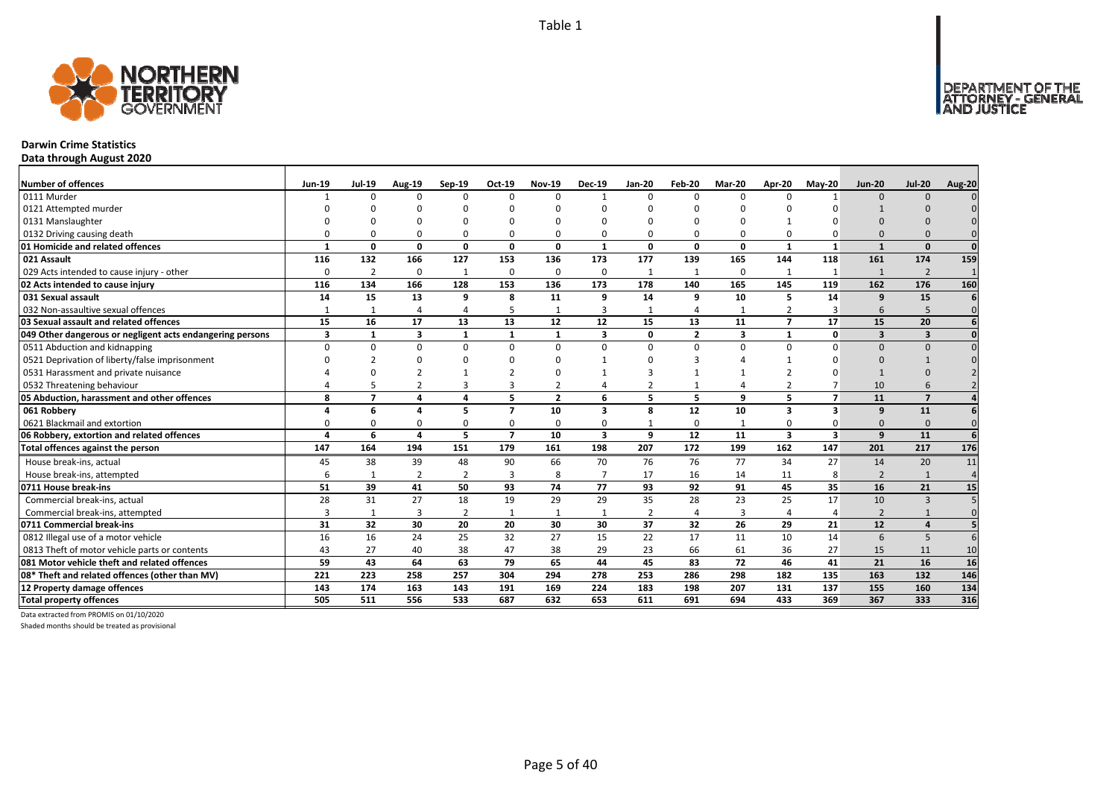

### **Darwin Crime Statistics**

**Data through August 2020**

| <b>Number of offences</b>                                 | <b>Jun-19</b> | <b>Jul-19</b>           | Aug-19         | Sep-19         | Oct-19         | <b>Nov-19</b>  | <b>Dec-19</b>           | <b>Jan-20</b>  | Feb-20         | Mar-20         | <b>Apr-20</b>           | <b>Mav-20</b>           | <b>Jun-20</b>            | <b>Jul-20</b>           | <b>Aug-20</b> |
|-----------------------------------------------------------|---------------|-------------------------|----------------|----------------|----------------|----------------|-------------------------|----------------|----------------|----------------|-------------------------|-------------------------|--------------------------|-------------------------|---------------|
| 0111 Murder                                               |               | $\Omega$                | $\Omega$       | $\Omega$       | $\Omega$       | $\Omega$       | $\mathbf{1}$            | $\Omega$       | $\Omega$       | $\Omega$       | $\Omega$                |                         | $\Omega$                 | $\Omega$                |               |
| 0121 Attempted murder                                     |               |                         | U              |                |                |                |                         | n              |                |                |                         |                         |                          |                         |               |
| 0131 Manslaughter                                         |               |                         |                |                |                |                |                         |                |                |                |                         |                         |                          |                         |               |
| 0132 Driving causing death                                |               |                         | <sup>0</sup>   | 0              | 0              |                |                         | $\Omega$       | $\Omega$       | 0              | $\Omega$                |                         |                          |                         |               |
| 01 Homicide and related offences                          |               | O                       | 0              | $\mathbf{0}$   | $\mathbf{0}$   | $\Omega$       | $\mathbf{1}$            | n              | $\Omega$       | 0              | $\mathbf{1}$            |                         |                          | $\Omega$                | $\Omega$      |
| 021 Assault                                               | 116           | 132                     | 166            | 127            | 153            | 136            | 173                     | 177            | 139            | 165            | 144                     | 118                     | 161                      | 174                     | 159           |
| 029 Acts intended to cause injury - other                 | $\Omega$      | $\overline{2}$          | $\Omega$       | 1              | 0              | $\Omega$       | $\Omega$                | $\mathbf{1}$   | 1              | 0              | $\mathbf{1}$            | -1                      | $\mathbf{1}$             | $\overline{2}$          |               |
| 02 Acts intended to cause injury                          | 116           | 134                     | 166            | 128            | 153            | 136            | 173                     | 178            | 140            | 165            | 145                     | 119                     | 162                      | 176                     | 160           |
| 031 Sexual assault                                        | 14            | 15                      | 13             | 9              | 8              | 11             | 9                       | 14             | 9              | 10             | 5                       | 14                      | 9                        | 15                      |               |
| 032 Non-assaultive sexual offences                        |               |                         | $\Delta$       | $\overline{4}$ | 5              |                | 3                       | $\mathbf{1}$   | $\Delta$       | $\mathbf{1}$   | $\overline{2}$          | 3                       | 6                        | 5                       | $\Omega$      |
| 03 Sexual assault and related offences                    | 15            | 16                      | 17             | 13             | 13             | 12             | 12                      | 15             | 13             | 11             | $\overline{ }$          | 17                      | 15                       | 20                      |               |
| 049 Other dangerous or negligent acts endangering persons | 3             |                         | 3              | $\mathbf{1}$   | $\mathbf{1}$   |                | $\overline{\mathbf{3}}$ | <sup>0</sup>   | $\overline{2}$ | 3              | $\mathbf{1}$            | $\Omega$                | 3                        | $\overline{\mathbf{3}}$ |               |
| 0511 Abduction and kidnapping                             |               | ŋ                       | $\Omega$       | $\Omega$       | 0              | $\Omega$       | $\Omega$                | $\Omega$       | $\Omega$       | $\Omega$       | $\Omega$                | $\Omega$                | $\Omega$                 | $\Omega$                |               |
| 0521 Deprivation of liberty/false imprisonment            |               |                         | U              | n              |                |                |                         | n              |                |                |                         |                         |                          |                         |               |
| 0531 Harassment and private nuisance                      |               |                         |                |                |                |                |                         |                |                |                |                         |                         |                          |                         |               |
| 0532 Threatening behaviour                                |               |                         |                | 3              | 3              |                |                         |                |                | 4              |                         |                         | 10                       |                         |               |
| 05 Abduction, harassment and other offences               | 8             | $\overline{\mathbf{z}}$ | $\Delta$       | $\overline{a}$ | 5              | $\overline{2}$ | 6                       | 5              | 5              | 9              | 5                       | $\overline{ }$          | 11                       | $\overline{7}$          |               |
| 061 Robbery                                               |               | 6                       |                | 5              | $\overline{7}$ | 10             | $\overline{\mathbf{3}}$ | 8              | 12             | 10             | 3                       | 3                       | 9                        | 11                      |               |
| 0621 Blackmail and extortion                              |               |                         | O              | $\Omega$       | 0              |                | O                       |                | $\Omega$       | $\mathbf{1}$   |                         |                         | $\Omega$                 | $\Omega$                | $\Omega$      |
| 06 Robbery, extortion and related offences                |               | 6                       | 4              | 5              | $\overline{7}$ | 10             | $\overline{\mathbf{3}}$ | 9              | 12             | 11             | $\overline{\mathbf{3}}$ | $\overline{\mathbf{3}}$ | 9                        | 11                      |               |
| Total offences against the person                         | 147           | 164                     | 194            | 151            | 179            | 161            | 198                     | 207            | 172            | 199            | 162                     | 147                     | 201                      | $\overline{217}$        | 176           |
| House break-ins, actual                                   | 45            | 38                      | 39             | 48             | 90             | 66             | 70                      | 76             | 76             | 77             | 34                      | 27                      | 14                       | 20                      | 11            |
| House break-ins, attempted                                |               |                         | $\overline{2}$ | $\overline{2}$ | 3              |                | $\overline{7}$          | 17             | 16             | 14             | 11                      | 8                       | $\overline{\phantom{0}}$ | $\mathbf{1}$            | $\Delta$      |
| 0711 House break-ins                                      | 51            | 39                      | 41             | 50             | 93             | 74             | 77                      | 93             | 92             | 91             | 45                      | 35                      | 16                       | 21                      | 15            |
| Commercial break-ins, actual                              | 28            | 31                      | 27             | 18             | 19             | 29             | 29                      | 35             | 28             | 23             | 25                      | 17                      | 10                       | $\overline{3}$          |               |
| Commercial break-ins, attempted                           |               |                         | 3              | $\overline{2}$ | $\mathbf{1}$   |                | 1                       | $\overline{2}$ | $\overline{4}$ | $\overline{3}$ |                         |                         | $\overline{2}$           |                         |               |
| 0711 Commercial break-ins                                 | 31            | 32                      | 30             | 20             | 20             | 30             | 30                      | 37             | 32             | 26             | 29                      | 21                      | 12                       | $\overline{a}$          |               |
| 0812 Illegal use of a motor vehicle                       | 16            | 16                      | 24             | 25             | 32             | 27             | 15                      | 22             | 17             | 11             | 10                      | 14                      | 6                        | 5                       |               |
| 0813 Theft of motor vehicle parts or contents             | 43            | 27                      | 40             | 38             | 47             | 38             | 29                      | 23             | 66             | 61             | 36                      | 27                      | 15                       | 11                      | 10            |
| 081 Motor vehicle theft and related offences              | 59            | 43                      | 64             | 63             | 79             | 65             | 44                      | 45             | 83             | 72             | 46                      | 41                      | 21                       | 16                      | 16            |
| 08* Theft and related offences (other than MV)            | 221           | 223                     | 258            | 257            | 304            | 294            | 278                     | 253            | 286            | 298            | 182                     | 135                     | 163                      | 132                     | 146           |
| 12 Property damage offences                               | 143           | 174                     | 163            | 143            | 191            | 169            | 224                     | 183            | 198            | 207            | 131                     | 137                     | 155                      | 160                     | 134           |
| <b>Total property offences</b>                            | 505           | 511                     | 556            | 533            | 687            | 632            | 653                     | 611            | 691            | 694            | 433                     | 369                     | 367                      | 333                     | 316           |

Data extracted from PROMIS on 01/10/2020

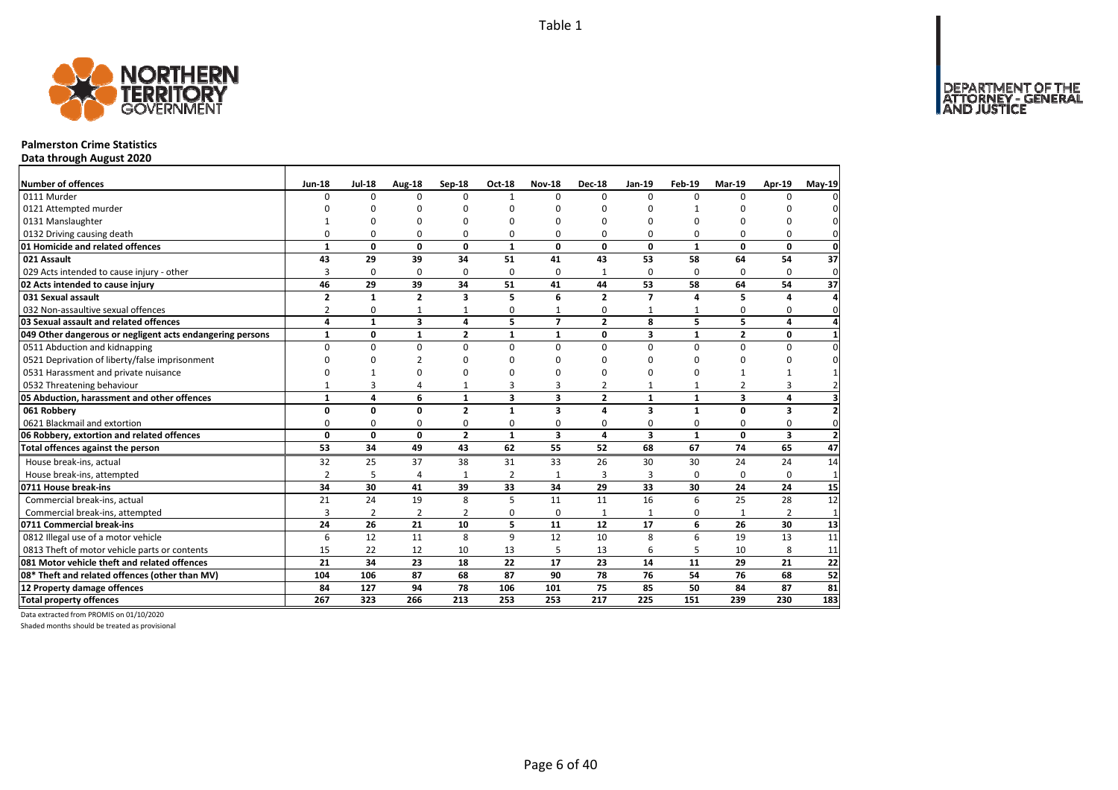

# **Palmerston Crime Statistics**

**Data through August 2020**

| Number of offences                                        | <b>Jun-18</b>  | <b>Jul-18</b> | <b>Aug-18</b>  | Sep-18         | Oct-18                  | <b>Nov-18</b>           | <b>Dec-18</b>  | Jan-19                  | Feb-19       | Mar-19                  | Apr-19       | $May-19$                |
|-----------------------------------------------------------|----------------|---------------|----------------|----------------|-------------------------|-------------------------|----------------|-------------------------|--------------|-------------------------|--------------|-------------------------|
| 0111 Murder                                               | $\Omega$       | $\Omega$      | $\Omega$       | $\Omega$       | $\mathbf{1}$            | $\Omega$                | $\Omega$       | $\Omega$                | $\Omega$     | $\Omega$                | $\Omega$     | 0                       |
| 0121 Attempted murder                                     |                | ŋ             | n              | n              | O                       | n                       | ŋ              | $\Omega$                | 1            | ŋ                       |              | 0                       |
| 0131 Manslaughter                                         |                | $\Omega$      | O              |                | n                       | n                       | O              | $\Omega$                | $\Omega$     | ŋ                       | $\Omega$     | 0                       |
| 0132 Driving causing death                                | $\Omega$       | 0             | $\Omega$       | 0              | ŋ                       | $\Omega$                | 0              | $\Omega$                | 0            | $\Omega$                | 0            | $\mathbf{0}$            |
| 01 Homicide and related offences                          | $\mathbf{1}$   | 0             | $\mathbf 0$    | 0              | $\mathbf{1}$            | $\mathbf{0}$            | $\mathbf{0}$   | $\mathbf{0}$            | $\mathbf{1}$ | 0                       | 0            | $\mathbf{0}$            |
| 021 Assault                                               | 43             | 29            | 39             | 34             | 51                      | 41                      | 43             | 53                      | 58           | 64                      | 54           | 37                      |
| 029 Acts intended to cause injury - other                 | 3              | 0             | 0              | $\Omega$       | $\Omega$                | $\Omega$                | 1              | 0                       | $\Omega$     | $\Omega$                | $\Omega$     | $\mathbf 0$             |
| 02 Acts intended to cause injury                          | 46             | 29            | 39             | 34             | 51                      | 41                      | 44             | 53                      | 58           | 64                      | 54           | 37                      |
| 031 Sexual assault                                        | $\overline{2}$ | $\mathbf{1}$  | $\overline{2}$ | 3              | 5                       | 6                       | $\overline{2}$ | $\overline{7}$          | 4            | 5                       | 4            | 4                       |
| 032 Non-assaultive sexual offences                        | $\overline{2}$ | $\mathbf 0$   | 1              | 1              | 0                       | 1                       | 0              | 1                       | $\mathbf{1}$ | 0                       | 0            | $\mathbf 0$             |
| 03 Sexual assault and related offences                    | 4              | $\mathbf{1}$  | 3              | 4              | 5                       | $\overline{7}$          | $\overline{2}$ | 8                       | 5            | 5                       | 4            | $\overline{a}$          |
| 049 Other dangerous or negligent acts endangering persons | $\mathbf{1}$   | 0             | $\mathbf{1}$   | $\overline{2}$ | $\mathbf{1}$            | $\mathbf{1}$            | 0              | 3                       | $\mathbf{1}$ | $\overline{2}$          | 0            | $\mathbf{1}$            |
| 0511 Abduction and kidnapping                             | $\Omega$       | $\mathbf 0$   | 0              | $\Omega$       | $\Omega$                | $\Omega$                | 0              | $\Omega$                | $\Omega$     | 0                       | $\Omega$     | $\pmb{0}$               |
| 0521 Deprivation of liberty/false imprisonment            | ∩              | 0             | 2              | n              | n                       | <sup>n</sup>            | ŋ              | 0                       | 0            | 0                       | $\Omega$     | 0                       |
| 0531 Harassment and private nuisance                      |                |               | $\Omega$       | n              | ŋ                       | n                       | O              | $\Omega$                | $\Omega$     | $\mathbf{1}$            | $\mathbf{1}$ | $\mathbf 1$             |
| 0532 Threatening behaviour                                | 1              | 3             | 4              | $\mathbf{1}$   | 3                       | 3                       | 2              | $\mathbf{1}$            | $\mathbf{1}$ | 2                       | 3            | $\overline{2}$          |
| 05 Abduction, harassment and other offences               | $\mathbf{1}$   | 4             | 6              | $\mathbf{1}$   | $\overline{\mathbf{3}}$ | $\overline{\mathbf{3}}$ | $\overline{2}$ | $\mathbf{1}$            | $\mathbf{1}$ | $\overline{\mathbf{3}}$ | 4            | $\overline{\mathbf{3}}$ |
| 061 Robbery                                               | 0              | 0             | 0              | $\overline{2}$ | $\mathbf{1}$            | 3                       | 4              | 3                       | $\mathbf{1}$ | 0                       | 3            | $\mathbf{2}$            |
| 0621 Blackmail and extortion                              | 0              | $\mathbf 0$   | 0              | 0              | 0                       | 0                       | 0              | 0                       | 0            | 0                       | 0            | $\mathbf{0}$            |
| 06 Robbery, extortion and related offences                | $\mathbf 0$    | $\mathbf 0$   | $\mathbf{0}$   | $\overline{2}$ | $\mathbf{1}$            | $\overline{\mathbf{3}}$ | 4              | $\overline{\mathbf{3}}$ | $\mathbf{1}$ | $\mathbf{0}$            | 3            | $\overline{2}$          |
| Total offences against the person                         | 53             | 34            | 49             | 43             | 62                      | 55                      | 52             | 68                      | 67           | 74                      | 65           | 47                      |
| House break-ins, actual                                   | 32             | 25            | 37             | 38             | 31                      | 33                      | 26             | 30                      | 30           | 24                      | 24           | 14                      |
| House break-ins, attempted                                | $\overline{2}$ | 5             | 4              | $\mathbf{1}$   | $\overline{2}$          | $\mathbf{1}$            | 3              | 3                       | 0            | $\Omega$                | $\mathbf 0$  | $\mathbf{1}$            |
| 0711 House break-ins                                      | 34             | 30            | 41             | 39             | 33                      | 34                      | 29             | 33                      | 30           | 24                      | 24           | 15                      |
| Commercial break-ins, actual                              | 21             | 24            | 19             | 8              | 5                       | 11                      | 11             | 16                      | 6            | 25                      | 28           | 12                      |
| Commercial break-ins, attempted                           | 3              | 2             | $\overline{2}$ | $\overline{2}$ | 0                       | $\Omega$                | 1              | 1                       | 0            | 1                       | 2            | $\mathbf{1}$            |
| 0711 Commercial break-ins                                 | 24             | 26            | 21             | 10             | 5                       | 11                      | 12             | 17                      | 6            | 26                      | 30           | 13                      |
| 0812 Illegal use of a motor vehicle                       | 6              | 12            | 11             | 8              | $\mathsf q$             | 12                      | 10             | 8                       | 6            | 19                      | 13           | 11                      |
| 0813 Theft of motor vehicle parts or contents             | 15             | 22            | 12             | 10             | 13                      | 5                       | 13             | 6                       | 5            | 10                      | 8            | 11                      |
| 081 Motor vehicle theft and related offences              | 21             | 34            | 23             | 18             | 22                      | 17                      | 23             | 14                      | 11           | 29                      | 21           | 22                      |
| 08* Theft and related offences (other than MV)            | 104            | 106           | 87             | 68             | 87                      | 90                      | 78             | 76                      | 54           | 76                      | 68           | 52                      |
| 12 Property damage offences                               | 84             | 127           | 94             | 78             | 106                     | 101                     | 75             | 85                      | 50           | 84                      | 87           | 81                      |
| <b>Total property offences</b>                            | 267            | 323           | 266            | 213            | 253                     | 253                     | 217            | 225                     | 151          | 239                     | 230          | 183                     |

Data extracted from PROMIS on 01/10/2020

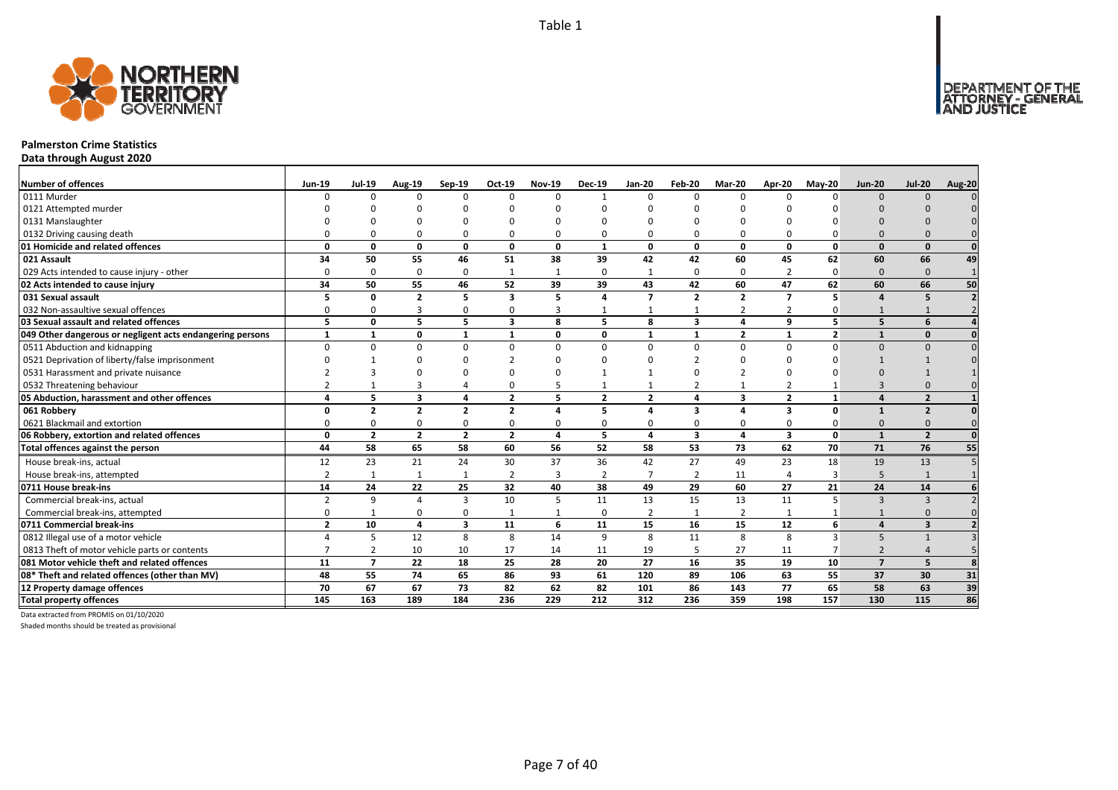

# **Palmerston Crime Statistics**

**Data through August 2020**

| Number of offences                                        | <b>Jun-19</b>  | <b>Jul-19</b>  | <b>Aug-19</b>           | Sep-19                  | Oct-19         | <b>Nov-19</b> | <b>Dec-19</b>  | <b>Jan-20</b>            | Feb-20                  | Mar-20         | Apr-20         | $May-20$       | <b>Jun-20</b>  | <b>Jul-20</b>           | Aug-20 |
|-----------------------------------------------------------|----------------|----------------|-------------------------|-------------------------|----------------|---------------|----------------|--------------------------|-------------------------|----------------|----------------|----------------|----------------|-------------------------|--------|
| 0111 Murder                                               |                | n              | $\Omega$                | $\Omega$                | $\Omega$       |               |                | $\Omega$                 | $\Omega$                | $\Omega$       |                | n              | $\Omega$       | $\Omega$                |        |
| 0121 Attempted murder                                     |                |                |                         |                         |                |               |                |                          |                         |                |                |                |                |                         |        |
| 0131 Manslaughter                                         |                |                |                         |                         |                |               |                |                          |                         |                |                |                |                |                         |        |
| 0132 Driving causing death                                |                |                |                         | $\Omega$                | O              |               |                | O                        | $\Omega$                | O              |                |                |                |                         |        |
| 01 Homicide and related offences                          | O              | O              | 0                       | $\mathbf{0}$            | $\mathbf{0}$   | $\Omega$      | $\mathbf{1}$   | 0                        | $\mathbf{0}$            | 0              | $\Omega$       | $\Omega$       | $\Omega$       | $\Omega$                |        |
| 021 Assault                                               | 34             | 50             | 55                      | 46                      | 51             | 38            | 39             | 42                       | 42                      | 60             | 45             | 62             | 60             | 66                      | 49     |
| 029 Acts intended to cause injury - other                 | O              | $\Omega$       | $\Omega$                | $\mathbf 0$             | $\mathbf{1}$   |               | $\Omega$       |                          | $\Omega$                | 0              |                | $\Omega$       | $\Omega$       | $\Omega$                |        |
| 02 Acts intended to cause injury                          | 34             | 50             | 55                      | 46                      | 52             | 39            | 39             | 43                       | 42                      | 60             | 47             | 62             | 60             | 66                      | 50     |
| 031 Sexual assault                                        |                | O              | $\overline{\mathbf{z}}$ | 5                       | 3              | 5             |                | $\overline{\phantom{a}}$ | $\overline{2}$          | $\overline{2}$ | $\overline{ }$ | 5              | $\mathbf{A}$   | 5                       |        |
| 032 Non-assaultive sexual offences                        |                |                | 3                       | 0                       | 0              | 3             |                |                          |                         | $\overline{2}$ | $\overline{2}$ |                |                |                         |        |
| 03 Sexual assault and related offences                    | 5              | 0              | 5                       | 5                       | 3              | 8             | 5.             | 8                        | $\overline{\mathbf{3}}$ | 4              | q              | 5              | 5              | 6                       |        |
| 049 Other dangerous or negligent acts endangering persons | $\mathbf{1}$   | $\mathbf{1}$   | 0                       | $\mathbf{1}$            | 1              | 0             | 0              | $\mathbf{1}$             | $\mathbf{1}$            | $\overline{2}$ | $\mathbf{1}$   | $\overline{2}$ | $\mathbf{1}$   | $\Omega$                |        |
| 0511 Abduction and kidnapping                             | $\Omega$       | $\Omega$       | $\Omega$                | $\Omega$                | 0              | $\Omega$      | $\Omega$       | $\Omega$                 | $\Omega$                | 0              | $\Omega$       | $\Omega$       | $\Omega$       | $\Omega$                |        |
| 0521 Deprivation of liberty/false imprisonment            |                |                | $\Omega$                | n                       |                |               |                | n                        |                         | U              |                |                |                |                         |        |
| 0531 Harassment and private nuisance                      |                |                |                         |                         | O              |               |                |                          |                         |                |                |                |                |                         |        |
| 0532 Threatening behaviour                                |                |                | 3                       |                         | 0              |               |                |                          | $\overline{2}$          | $\mathbf{1}$   |                |                |                |                         |        |
| 05 Abduction, harassment and other offences               | Δ              | 5              | $\overline{\mathbf{3}}$ | $\overline{4}$          | $\overline{2}$ | 5             | $\overline{2}$ | $\overline{2}$           | 4                       | 3              | $\overline{2}$ | $\mathbf{1}$   | $\mathbf{A}$   | $\overline{2}$          |        |
| 061 Robbery                                               | O              | $\overline{2}$ | $\overline{2}$          | $\overline{2}$          | $\overline{2}$ | Δ             | 5              | 4                        | 3                       | 4              | 3              | $\mathbf{0}$   | $\mathbf{1}$   | $\overline{2}$          |        |
| 0621 Blackmail and extortion                              |                |                | $\Omega$                | 0                       | 0              |               | 0              | 0                        | $\Omega$                | 0              | $\Omega$       |                | $\Omega$       |                         |        |
| 06 Robbery, extortion and related offences                | $\Omega$       | $\overline{2}$ | $\overline{2}$          | $\overline{2}$          | $\overline{2}$ | $\Delta$      | 5              | 4                        | 3                       | 4              | 3              | 0              | $\mathbf{1}$   | $\overline{\mathbf{z}}$ |        |
| Total offences against the person                         | 44             | 58             | 65                      | 58                      | 60             | 56            | 52             | 58                       | 53                      | 73             | 62             | 70             | 71             | 76                      | 55     |
| House break-ins, actual                                   | 12             | 23             | 21                      | 24                      | 30             | 37            | 36             | 42                       | 27                      | 49             | 23             | 18             | 19             | 13                      |        |
| House break-ins, attempted                                | $\overline{2}$ |                |                         | $\mathbf{1}$            | $\overline{2}$ | 3             | $\overline{2}$ | $\overline{7}$           | $\overline{2}$          | 11             |                | 3              | 5              | $\mathbf{1}$            |        |
| 0711 House break-ins                                      | 14             | 24             | 22                      | 25                      | 32             | 40            | 38             | 49                       | 29                      | 60             | 27             | 21             | 24             | 14                      |        |
| Commercial break-ins, actual                              | $\overline{2}$ | 9              |                         | $\overline{3}$          | 10             |               | 11             | 13                       | 15                      | 13             | 11             | 5              | 3              | $\overline{3}$          |        |
| Commercial break-ins, attempted                           |                |                | 0                       | $\mathbf 0$             | 1              |               | $\Omega$       | $\overline{2}$           | $\mathbf{1}$            | 2              |                |                |                | $\Omega$                |        |
| 0711 Commercial break-ins                                 | $\overline{2}$ | 10             | 4                       | $\overline{\mathbf{3}}$ | 11             | 6             | 11             | 15                       | 16                      | 15             | 12             | 6              | $\Delta$       | $\overline{\mathbf{3}}$ |        |
| 0812 Illegal use of a motor vehicle                       |                | 5              | 12                      | 8                       | 8              | 14            | 9              | 8                        | 11                      | 8              | 8              | ₹              | 5              |                         |        |
| 0813 Theft of motor vehicle parts or contents             |                |                | 10                      | 10                      | 17             | 14            | 11             | 19                       | 5                       | 27             | 11             |                | $\overline{2}$ |                         |        |
| 081 Motor vehicle theft and related offences              | 11             | $\overline{7}$ | 22                      | 18                      | 25             | 28            | 20             | 27                       | 16                      | 35             | 19             | 10             | $\overline{7}$ | 5                       |        |
| 08* Theft and related offences (other than MV)            | 48             | 55             | 74                      | 65                      | 86             | 93            | 61             | 120                      | 89                      | 106            | 63             | 55             | 37             | 30                      | 31     |
| 12 Property damage offences                               | 70             | 67             | 67                      | 73                      | 82             | 62            | 82             | 101                      | 86                      | 143            | 77             | 65             | 58             | 63                      | 39     |
| <b>Total property offences</b>                            | 145            | 163            | 189                     | 184                     | 236            | 229           | 212            | 312                      | 236                     | 359            | 198            | 157            | 130            | 115                     | 86     |

Data extracted from PROMIS on 01/10/2020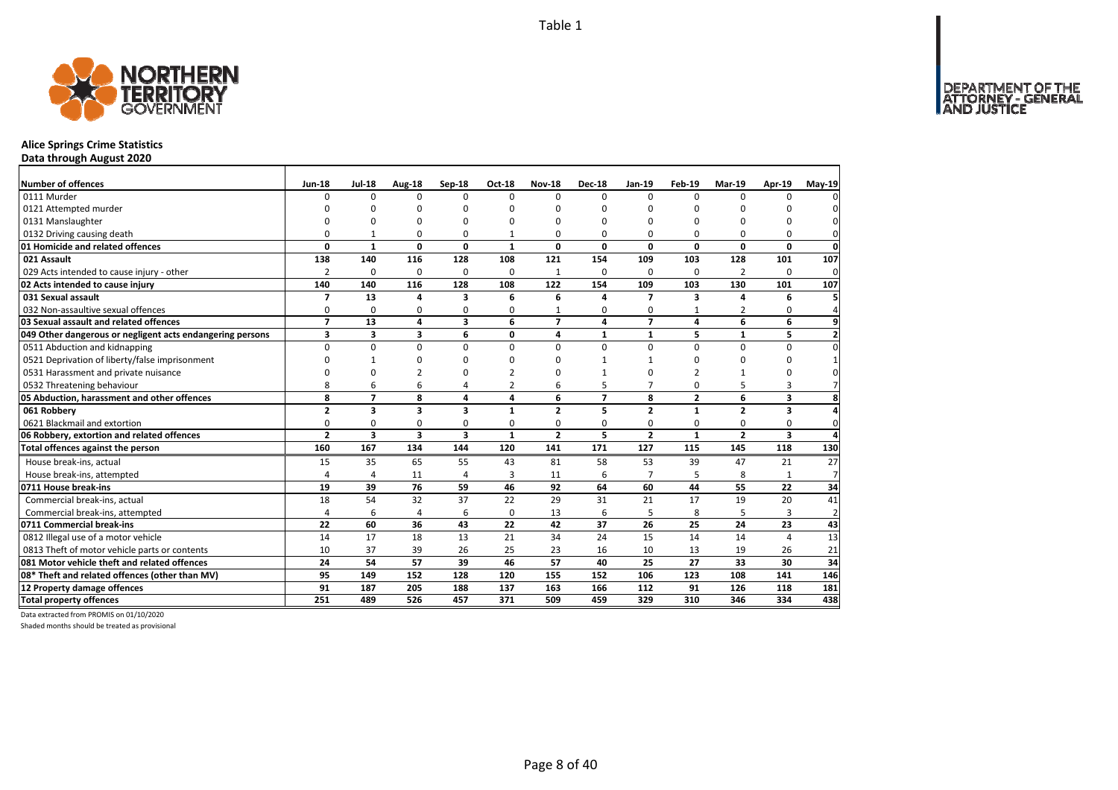

# **Alice Springs Crime Statistics**

**Data through August 2020**

| Number of offences                                        | <b>Jun-18</b>  | <b>Jul-18</b>           | Aug-18                  | Sep-18         | Oct-18         | <b>Nov-18</b>  | <b>Dec-18</b>  | Jan-19                   | <b>Feb-19</b>  | Mar-19         | Apr-19                  | May-19         |
|-----------------------------------------------------------|----------------|-------------------------|-------------------------|----------------|----------------|----------------|----------------|--------------------------|----------------|----------------|-------------------------|----------------|
| 0111 Murder                                               | U              | $\Omega$                | 0                       | $\Omega$       | $\Omega$       | $\Omega$       | $\Omega$       | $\Omega$                 | $\Omega$       | $\Omega$       | U                       |                |
| 0121 Attempted murder                                     | n              |                         | ŋ                       | n              | ŋ              | n              | C              |                          | ŋ              | ŋ              |                         |                |
| 0131 Manslaughter                                         |                |                         | 0                       | n              | 0              | O              | $\Omega$       |                          | $\Omega$       | $\Omega$       | O                       |                |
| 0132 Driving causing death                                | O              | $\mathbf{1}$            | $\Omega$                | $\Omega$       |                | 0              | $\Omega$       | $\Omega$                 | $\Omega$       | $\Omega$       | 0                       |                |
| 01 Homicide and related offences                          | 0              | $\mathbf{1}$            | $\mathbf 0$             | 0              | $\mathbf{1}$   | 0              | 0              | 0                        | $\mathbf 0$    | 0              | 0                       | $\mathbf 0$    |
| 021 Assault                                               | 138            | 140                     | 116                     | 128            | 108            | 121            | 154            | 109                      | 103            | 128            | 101                     | 107            |
| 029 Acts intended to cause injury - other                 | 2              | $\Omega$                | 0                       | $\Omega$       | $\Omega$       | $\mathbf 1$    | $\Omega$       | $\Omega$                 | $\Omega$       | 2              | 0                       | 0              |
| 02 Acts intended to cause injury                          | 140            | 140                     | 116                     | 128            | 108            | 122            | 154            | 109                      | 103            | 130            | 101                     | 107            |
| 031 Sexual assault                                        | 7              | 13                      | 4                       | 3              | 6              | 6              | 4              | $\overline{ }$           | 3              | 4              | 6                       |                |
| 032 Non-assaultive sexual offences                        | 0              | 0                       | 0                       | $\Omega$       | 0              |                | 0              | $\mathbf 0$              |                | $\overline{2}$ | 0                       |                |
| 03 Sexual assault and related offences                    | $\overline{ }$ | 13                      | 4                       | 3              | 6              | $\overline{7}$ | 4              | $\overline{\phantom{a}}$ | 4              | 6              | 6                       | 9              |
| 049 Other dangerous or negligent acts endangering persons | 3              | 3                       | 3                       | 6              | 0              | 4              | $\mathbf{1}$   | $\mathbf{1}$             | 5              | $\mathbf{1}$   | 5                       |                |
| 0511 Abduction and kidnapping                             | $\Omega$       | $\Omega$                | $\Omega$                | $\Omega$       | $\Omega$       | 0              | $\Omega$       | $\Omega$                 | $\Omega$       | $\Omega$       | $\Omega$                |                |
| 0521 Deprivation of liberty/false imprisonment            | U              | $\mathbf{1}$            | $\Omega$                | n              |                | U              |                |                          | $\Omega$       | $\Omega$       | U                       |                |
| 0531 Harassment and private nuisance                      |                | C                       | $\overline{2}$          | n              |                | n              |                |                          | $\mathcal{P}$  | $\mathbf{1}$   | 0                       |                |
| 0532 Threatening behaviour                                | 8              | 6                       | 6                       | $\overline{4}$ | $\overline{2}$ | 6              | 5              | $\overline{7}$           | $\Omega$       | 5              | 3                       |                |
| 05 Abduction, harassment and other offences               | 8              | $\overline{7}$          | 8                       | 4              | 4              | 6              | $\overline{7}$ | 8                        | $\overline{2}$ | 6              | 3                       | 8              |
| 061 Robbery                                               | $\overline{2}$ | 3                       | 3                       | 3              | $\mathbf{1}$   | $\overline{2}$ | 5              | $\overline{2}$           | $\mathbf{1}$   | $\mathbf{2}$   | 3                       |                |
| 0621 Blackmail and extortion                              | O              | 0                       | 0                       | 0              | 0              | 0              | 0              | $\mathbf 0$              | $\Omega$       | 0              | 0                       | $\Omega$       |
| 06 Robbery, extortion and related offences                | $\overline{2}$ | $\overline{\mathbf{3}}$ | $\overline{\mathbf{3}}$ | 3              | $\mathbf{1}$   | $\overline{2}$ | 5              | $\overline{2}$           | $\mathbf{1}$   | $\overline{2}$ | $\overline{\mathbf{3}}$ | Δ              |
| Total offences against the person                         | 160            | 167                     | 134                     | 144            | 120            | 141            | 171            | 127                      | 115            | 145            | 118                     | 130            |
| House break-ins, actual                                   | 15             | 35                      | 65                      | 55             | 43             | 81             | 58             | 53                       | 39             | 47             | 21                      | 27             |
| House break-ins, attempted                                | 4              | $\overline{4}$          | 11                      | 4              | 3              | 11             | 6              | $\overline{7}$           | 5              | 8              |                         | $\overline{7}$ |
| 0711 House break-ins                                      | 19             | 39                      | 76                      | 59             | 46             | 92             | 64             | 60                       | 44             | 55             | 22                      | 34             |
| Commercial break-ins, actual                              | 18             | 54                      | 32                      | 37             | 22             | 29             | 31             | 21                       | 17             | 19             | 20                      | 41             |
| Commercial break-ins, attempted                           | 4              | 6                       | $\overline{4}$          | 6              | $\mathbf 0$    | 13             | 6              | 5                        | 8              | 5              | 3                       | $\overline{2}$ |
| 0711 Commercial break-ins                                 | 22             | 60                      | 36                      | 43             | 22             | 42             | 37             | 26                       | 25             | 24             | 23                      | 43             |
| 0812 Illegal use of a motor vehicle                       | 14             | 17                      | 18                      | 13             | 21             | 34             | 24             | 15                       | 14             | 14             | $\overline{a}$          | 13             |
| 0813 Theft of motor vehicle parts or contents             | 10             | 37                      | 39                      | 26             | 25             | 23             | 16             | 10                       | 13             | 19             | 26                      | 21             |
| 081 Motor vehicle theft and related offences              | 24             | 54                      | 57                      | 39             | 46             | 57             | 40             | 25                       | 27             | 33             | 30                      | 34             |
| 08* Theft and related offences (other than MV)            | 95             | 149                     | 152                     | 128            | 120            | 155            | 152            | 106                      | 123            | 108            | 141                     | 146            |
| 12 Property damage offences                               | 91             | 187                     | 205                     | 188            | 137            | 163            | 166            | 112                      | 91             | 126            | 118                     | 181            |
| <b>Total property offences</b>                            | 251            | 489                     | 526                     | 457            | 371            | 509            | 459            | 329                      | 310            | 346            | 334                     | 438            |

Data extracted from PROMIS on 01/10/2020

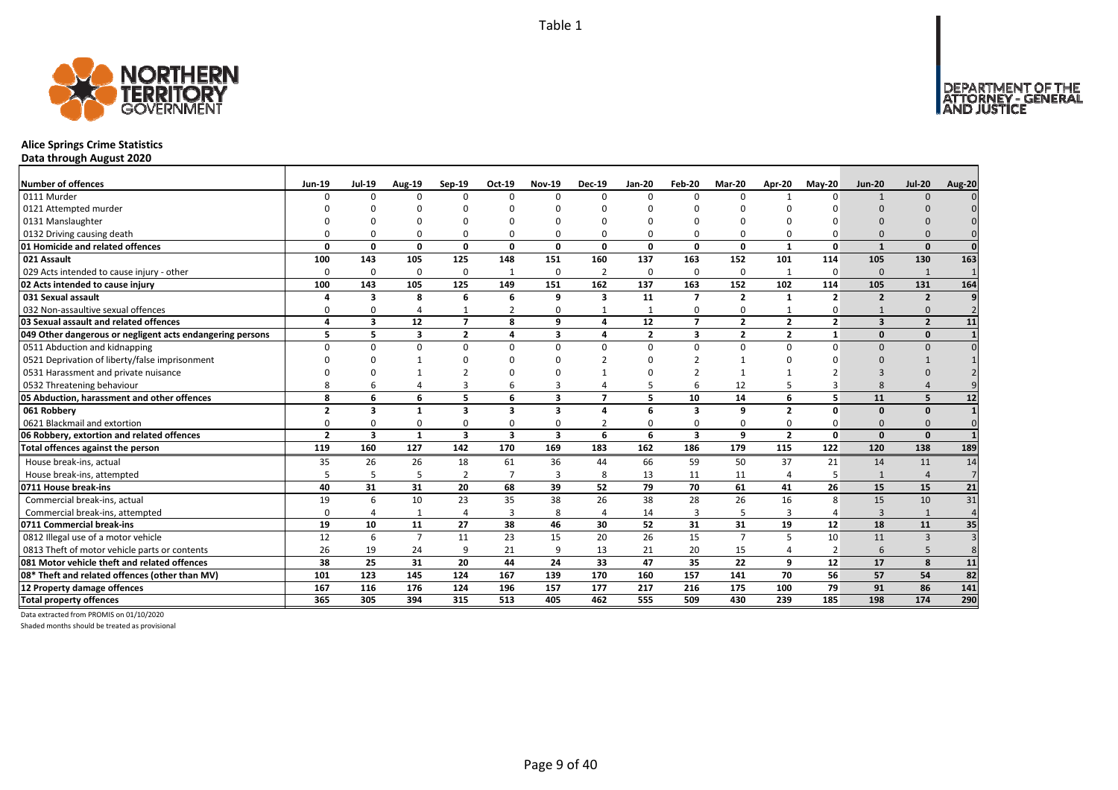

# **Alice Springs Crime Statistics**

**Data through August 2020**

| <b>Number of offences</b>                                 | <b>Jun-19</b>  | <b>Jul-19</b>           | Aug-19                  | Sep-19                  | Oct-19         | <b>Nov-19</b>           | <b>Dec-19</b>            | <b>Jan-20</b>  | Feb-20                  | Mar-20         | Apr-20         | $May-20$       | <b>Jun-20</b>           | <b>Jul-20</b>  | Aug-20          |
|-----------------------------------------------------------|----------------|-------------------------|-------------------------|-------------------------|----------------|-------------------------|--------------------------|----------------|-------------------------|----------------|----------------|----------------|-------------------------|----------------|-----------------|
| 0111 Murder                                               | $\Omega$       | $\Omega$                | n                       | $\Omega$                | $\Omega$       | $\Omega$                | U                        | $\Omega$       | $\Omega$                | $\Omega$       |                | n              |                         | $\Omega$       |                 |
| 0121 Attempted murder                                     |                |                         |                         |                         |                |                         |                          |                |                         |                |                |                |                         |                |                 |
| 0131 Manslaughter                                         |                |                         |                         |                         | $\Omega$       |                         |                          |                |                         |                |                |                |                         |                |                 |
| 0132 Driving causing death                                |                |                         |                         | O                       | $\Omega$       |                         |                          |                | $\Omega$                | $\Omega$       |                |                |                         |                |                 |
| 01 Homicide and related offences                          | O              | $\Omega$                | $\Omega$                | 0                       | 0              | 0                       | 0                        | $\Omega$       | $\mathbf{0}$            | $\mathbf 0$    | 1              | 0              | $\mathbf{1}$            | $\Omega$       | $\Omega$        |
| 021 Assault                                               | 100            | 143                     | 105                     | 125                     | 148            | 151                     | 160                      | 137            | 163                     | 152            | 101            | 114            | 105                     | 130            | 163             |
| 029 Acts intended to cause injury - other                 | $\Omega$       | 0                       | $\Omega$                | $\mathbf 0$             | $\mathbf{1}$   | $\mathbf 0$             | $\overline{2}$           | $\Omega$       | $\mathbf 0$             | 0              | $\mathbf{1}$   | $\Omega$       | $\Omega$                | 1              |                 |
| 02 Acts intended to cause injury                          | 100            | 143                     | 105                     | 125                     | 149            | 151                     | 162                      | 137            | 163                     | 152            | 102            | 114            | 105                     | 131            | 164             |
| 031 Sexual assault                                        |                | 3                       | 8                       | 6                       | 6              | 9                       | 3                        | 11             | $\overline{7}$          | $\mathbf{2}$   | 1              | $\overline{2}$ | $\overline{2}$          | $\overline{2}$ |                 |
| 032 Non-assaultive sexual offences                        | O              | $\Omega$                |                         |                         | 2              | $\Omega$                |                          |                | $\mathbf 0$             | 0              |                |                |                         | $\Omega$       |                 |
| 03 Sexual assault and related offences                    | $\mathbf{A}$   | $\overline{\mathbf{3}}$ | 12                      | $\overline{7}$          | 8              | q                       | $\mathbf{A}$             | 12             | $\overline{7}$          | $\overline{2}$ | $\overline{2}$ | $\overline{2}$ | $\overline{\mathbf{3}}$ | $\overline{2}$ | 11              |
| 049 Other dangerous or negligent acts endangering persons | 5              | 5                       | $\overline{\mathbf{3}}$ | $\overline{2}$          | 4              | $\overline{\mathbf{3}}$ | 4                        | $\overline{2}$ | $\overline{\mathbf{3}}$ | $\overline{2}$ | $\overline{2}$ | $\mathbf{1}$   | $\Omega$                | $\mathbf{0}$   |                 |
| 0511 Abduction and kidnapping                             | <sup>n</sup>   | $\Omega$                | n                       | $\Omega$                | 0              | $\Omega$                | U                        | $\Omega$       | $\Omega$                | 0              | $\Omega$       | n              | $\Omega$                | $\Omega$       |                 |
| 0521 Deprivation of liberty/false imprisonment            |                |                         |                         |                         | <sup>n</sup>   | n                       |                          |                |                         | $\mathbf{1}$   |                |                | $\Omega$                |                |                 |
| 0531 Harassment and private nuisance                      |                |                         |                         |                         | $\Omega$       |                         |                          |                |                         |                |                |                |                         |                |                 |
| 0532 Threatening behaviour                                |                |                         |                         |                         | 6              |                         |                          |                | 6                       | 12             |                |                |                         |                |                 |
| 05 Abduction, harassment and other offences               | 8              | 6                       | 6                       | 5                       | 6              | $\overline{\mathbf{3}}$ | $\overline{\phantom{a}}$ | 5              | 10                      | 14             | 6              | 5              | 11                      | 5              | 12              |
| 061 Robbery                                               | $\overline{2}$ | 3                       | $\mathbf{1}$            | 3                       | 3              | $\mathbf{3}$            | 4                        | 6              | 3                       | 9              | $\overline{2}$ | O              | $\Omega$                | $\Omega$       |                 |
| 0621 Blackmail and extortion                              | $\Omega$       | n                       | n                       | 0                       | $\Omega$       | $\Omega$                |                          | $\Omega$       | $\Omega$                | 0              | $\Omega$       |                | $\Omega$                | $\Omega$       | $\Omega$        |
| 06 Robbery, extortion and related offences                | $\overline{2}$ | $\overline{\mathbf{3}}$ | 1                       | $\overline{\mathbf{3}}$ | 3              | $\overline{\mathbf{3}}$ | 6                        | 6              | $\overline{\mathbf{3}}$ | 9              | $\overline{2}$ | 0              | $\Omega$                | $\Omega$       |                 |
| Total offences against the person                         | 119            | 160                     | 127                     | 142                     | 170            | 169                     | 183                      | 162            | 186                     | 179            | 115            | 122            | 120                     | 138            | 189             |
| House break-ins, actual                                   | 35             | 26                      | 26                      | 18                      | 61             | 36                      | 44                       | 66             | 59                      | 50             | 37             | 21             | 14                      | 11             | 14              |
| House break-ins, attempted                                | 5              | 5                       | -5                      | $\overline{2}$          | $\overline{7}$ | 3                       | 8                        | 13             | 11                      | 11             |                |                | $\mathbf{1}$            |                | $\overline{7}$  |
| 0711 House break-ins                                      | 40             | 31                      | 31                      | 20                      | 68             | 39                      | 52                       | 79             | 70                      | 61             | 41             | 26             | 15                      | 15             | 21              |
| Commercial break-ins, actual                              | 19             | 6                       | 10                      | 23                      | 35             | 38                      | 26                       | 38             | 28                      | 26             | 16             | 8              | 15                      | 10             | 31              |
| Commercial break-ins, attempted                           | 0              |                         | -1                      | $\overline{4}$          | 3              | 8                       | 4                        | 14             | $\overline{3}$          | 5              | 3              |                | 3                       | $\mathbf{1}$   | $\Delta$        |
| 0711 Commercial break-ins                                 | 19             | 10                      | 11                      | 27                      | 38             | 46                      | 30                       | 52             | 31                      | 31             | 19             | 12             | 18                      | 11             | 35              |
| 0812 Illegal use of a motor vehicle                       | 12             | 6                       | $\overline{7}$          | 11                      | 23             | 15                      | 20                       | 26             | 15                      | $\overline{7}$ | 5              | 10             | 11                      | $\overline{3}$ | $\overline{3}$  |
| 0813 Theft of motor vehicle parts or contents             | 26             | 19                      | 24                      | 9                       | 21             | 9                       | 13                       | 21             | 20                      | 15             | $\overline{4}$ | $\overline{2}$ | 6                       |                |                 |
| 081 Motor vehicle theft and related offences              | 38             | 25                      | 31                      | 20                      | 44             | 24                      | 33                       | 47             | 35                      | 22             | 9              | 12             | 17                      | 8              | 11              |
| 08* Theft and related offences (other than MV)            | 101            | 123                     | 145                     | 124                     | 167            | 139                     | 170                      | 160            | 157                     | 141            | 70             | 56             | 57                      | 54             | $\overline{82}$ |
| 12 Property damage offences                               | 167            | 116                     | 176                     | 124                     | 196            | 157                     | 177                      | 217            | 216                     | 175            | 100            | 79             | 91                      | 86             | 141             |
| <b>Total property offences</b>                            | 365            | 305                     | 394                     | 315                     | 513            | 405                     | 462                      | 555            | 509                     | 430            | 239            | 185            | 198                     | 174            | 290             |

Data extracted from PROMIS on 01/10/2020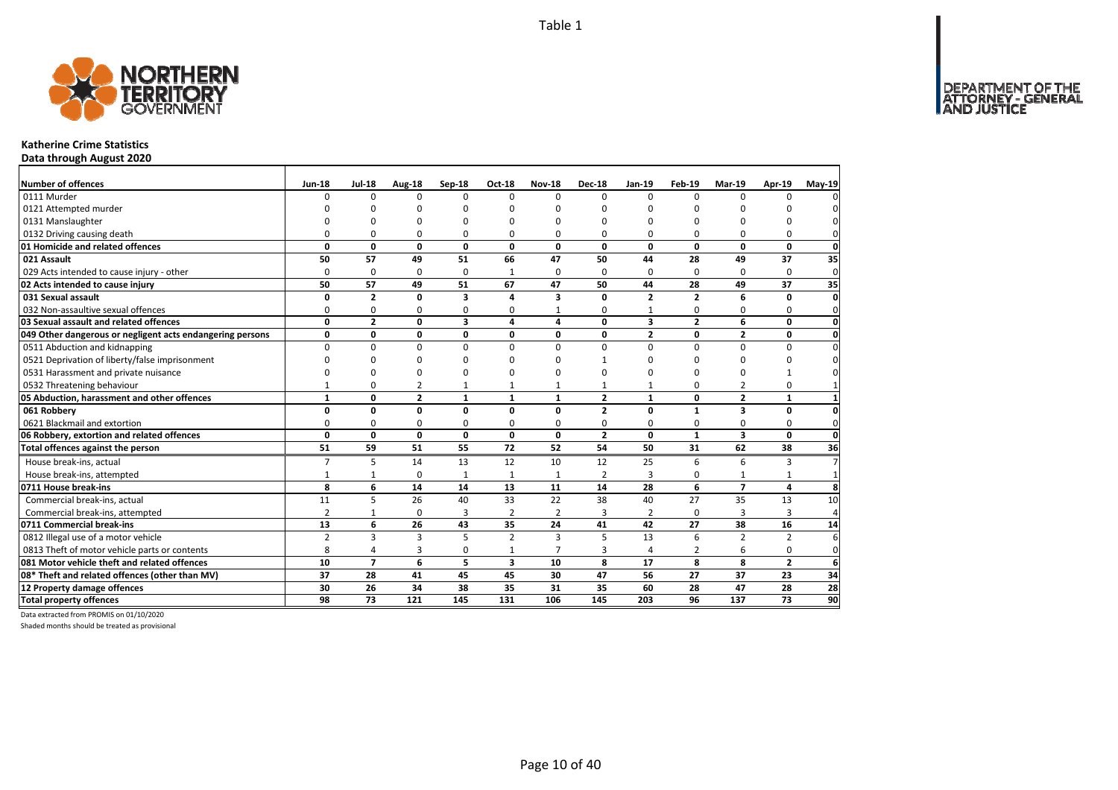DEPARTMENT OF THE<br>ATTORNEY - GENERAL



### **Katherine Crime Statistics**

**Data through August 2020**

| Number of offences                                        | <b>Jun-18</b>  | <b>Jul-18</b>  | Aug-18         | Sep-18                  | Oct-18                  | <b>Nov-18</b>  | <b>Dec-18</b>  | Jan-19                  | <b>Feb-19</b>  | Mar-19         | Apr-19          | May-19         |
|-----------------------------------------------------------|----------------|----------------|----------------|-------------------------|-------------------------|----------------|----------------|-------------------------|----------------|----------------|-----------------|----------------|
| 0111 Murder                                               | $\Omega$       | 0              | $\Omega$       | $\Omega$                | $\Omega$                | $\Omega$       | $\Omega$       | 0                       | $\Omega$       | $\Omega$       | $\Omega$        | 0              |
| 0121 Attempted murder                                     |                | O              | 0              | $\Omega$                |                         |                | O              | O                       | O              |                |                 | 0              |
| 0131 Manslaughter                                         |                | 0              | U              | $\Omega$                |                         |                | 0              | O                       | $\Omega$       | $\Omega$       | 0               | $\Omega$       |
| 0132 Driving causing death                                | $\Omega$       | 0              | 0              | $\Omega$                | 0                       | 0              | 0              | 0                       | $\Omega$       | 0              | 0               | $\mathbf{0}$   |
| 01 Homicide and related offences                          | 0              | 0              | $\mathbf{0}$   | 0                       | 0                       | 0              | 0              | 0                       | 0              | 0              | $\mathbf 0$     | $\mathbf{0}$   |
| 021 Assault                                               | 50             | 57             | 49             | 51                      | 66                      | 47             | 50             | 44                      | 28             | 49             | 37              | 35             |
| 029 Acts intended to cause injury - other                 | 0              | 0              | 0              | 0                       |                         | 0              | 0              | $\Omega$                | $\Omega$       | $\Omega$       | 0               | $\mathbf 0$    |
| 02 Acts intended to cause injury                          | 50             | 57             | 49             | 51                      | 67                      | 47             | 50             | 44                      | 28             | 49             | 37              | 35             |
| 031 Sexual assault                                        | $\Omega$       | $\overline{2}$ | 0              | 3                       |                         | 3              | 0              | $\overline{2}$          | $\overline{2}$ | 6              | $\Omega$        | $\mathbf{0}$   |
| 032 Non-assaultive sexual offences                        | 0              | 0              | 0              | $\Omega$                | O                       |                | 0              |                         | $\Omega$       | $\Omega$       | 0               | $\mathbf{0}$   |
| 03 Sexual assault and related offences                    | $\mathbf{0}$   | $\overline{2}$ | $\mathbf{0}$   | $\overline{\mathbf{3}}$ | 4                       | 4              | 0              | $\overline{\mathbf{3}}$ | $\overline{2}$ | 6              | 0               | 0              |
| 049 Other dangerous or negligent acts endangering persons | 0              | 0              | 0              | 0                       | 0                       | 0              | 0              | $\overline{2}$          | 0              | $\overline{2}$ | 0               | $\mathbf{0}$   |
| 0511 Abduction and kidnapping                             | $\Omega$       | 0              | $\mathbf 0$    | $\Omega$                | $\Omega$                | $\Omega$       | $\Omega$       | $\Omega$                | $\Omega$       | 0              | 0               | $\mathbf{0}$   |
| 0521 Deprivation of liberty/false imprisonment            | $\Omega$       | 0              | 0              | O                       |                         | n              |                | 0                       | O              | $\Omega$       | 0               | $\mathbf{0}$   |
| 0531 Harassment and private nuisance                      | <sup>0</sup>   | 0              | 0              | $\Omega$                |                         | n              | $\Omega$       | O                       | O              | 0              |                 | 0l             |
| 0532 Threatening behaviour                                |                | 0              | 2              |                         |                         |                | 1              |                         | $\mathbf 0$    | $\overline{2}$ | 0               | $\mathbf{1}$   |
| 05 Abduction, harassment and other offences               | $\mathbf{1}$   | 0              | $\overline{2}$ | $\mathbf{1}$            | $\mathbf{1}$            | $\mathbf{1}$   | $\overline{2}$ | $\mathbf{1}$            | 0              | $\overline{2}$ | $\mathbf{1}$    | $\mathbf{1}$   |
| 061 Robbery                                               | 0              | 0              | $\mathbf 0$    | $\mathbf{0}$            | $\Omega$                | $\Omega$       | $\overline{2}$ | $\mathbf 0$             | $\mathbf{1}$   | 3              | $\mathbf 0$     | <sub>0</sub>   |
| 0621 Blackmail and extortion                              | $\Omega$       | 0              | 0              | 0                       | 0                       | 0              | 0              | 0                       | 0              | 0              | 0               | $\mathbf{0}$   |
| 06 Robbery, extortion and related offences                | $\mathbf 0$    | 0              | $\mathbf 0$    | $\mathbf 0$             | 0                       | $\mathbf{0}$   | $\overline{2}$ | $\mathbf{0}$            | $\mathbf{1}$   | 3              | 0               | <sub>0</sub>   |
| Total offences against the person                         | 51             | 59             | 51             | 55                      | 72                      | 52             | 54             | 50                      | 31             | 62             | 38              | 36             |
| House break-ins, actual                                   | $\overline{7}$ | 5              | 14             | 13                      | 12                      | 10             | 12             | 25                      | 6              | 6              | 3               | 7 <sup>1</sup> |
| House break-ins, attempted                                | $\mathbf{1}$   | $\mathbf{1}$   | 0              | 1                       | 1                       | 1              | 2              | 3                       | $\Omega$       |                | 1               | $\mathbf{1}$   |
| 0711 House break-ins                                      | 8              | 6              | 14             | 14                      | 13                      | 11             | 14             | 28                      | 6              | $\overline{z}$ | 4               | 8              |
| Commercial break-ins, actual                              | 11             | 5              | 26             | 40                      | 33                      | 22             | 38             | 40                      | 27             | 35             | 13              | 10             |
| Commercial break-ins, attempted                           | $\overline{2}$ | 1              | 0              | 3                       | 2                       | $\overline{2}$ | 3              | 2                       | $\Omega$       | 3              | 3               | $\overline{4}$ |
| 0711 Commercial break-ins                                 | 13             | 6              | 26             | 43                      | 35                      | 24             | 41             | 42                      | 27             | 38             | 16              | 14             |
| 0812 Illegal use of a motor vehicle                       | $\overline{2}$ | 3              | 3              | 5                       | $\overline{2}$          | 3              | 5              | 13                      | 6              | $\overline{2}$ | $\overline{2}$  | 6              |
| 0813 Theft of motor vehicle parts or contents             | 8              | 4              | 3              | $\mathbf 0$             | $\mathbf{1}$            | $\overline{7}$ | 3              | 4                       | $\overline{2}$ | 6              | 0               | $\mathbf 0$    |
| 081 Motor vehicle theft and related offences              | 10             | $\overline{7}$ | 6              | 5                       | $\overline{\mathbf{3}}$ | 10             | 8              | 17                      | 8              | 8              | $\overline{2}$  | $6 \mid$       |
| 08* Theft and related offences (other than MV)            | 37             | 28             | 41             | 45                      | 45                      | 30             | 47             | 56                      | 27             | 37             | 23              | 34             |
| 12 Property damage offences                               | 30             | 26             | 34             | 38                      | 35                      | 31             | 35             | 60                      | 28             | 47             | 28              | 28             |
| <b>Total property offences</b>                            | 98             | 73             | 121            | 145                     | 131                     | 106            | 145            | 203                     | 96             | 137            | $\overline{73}$ | 90             |

Data extracted from PROMIS on 01/10/2020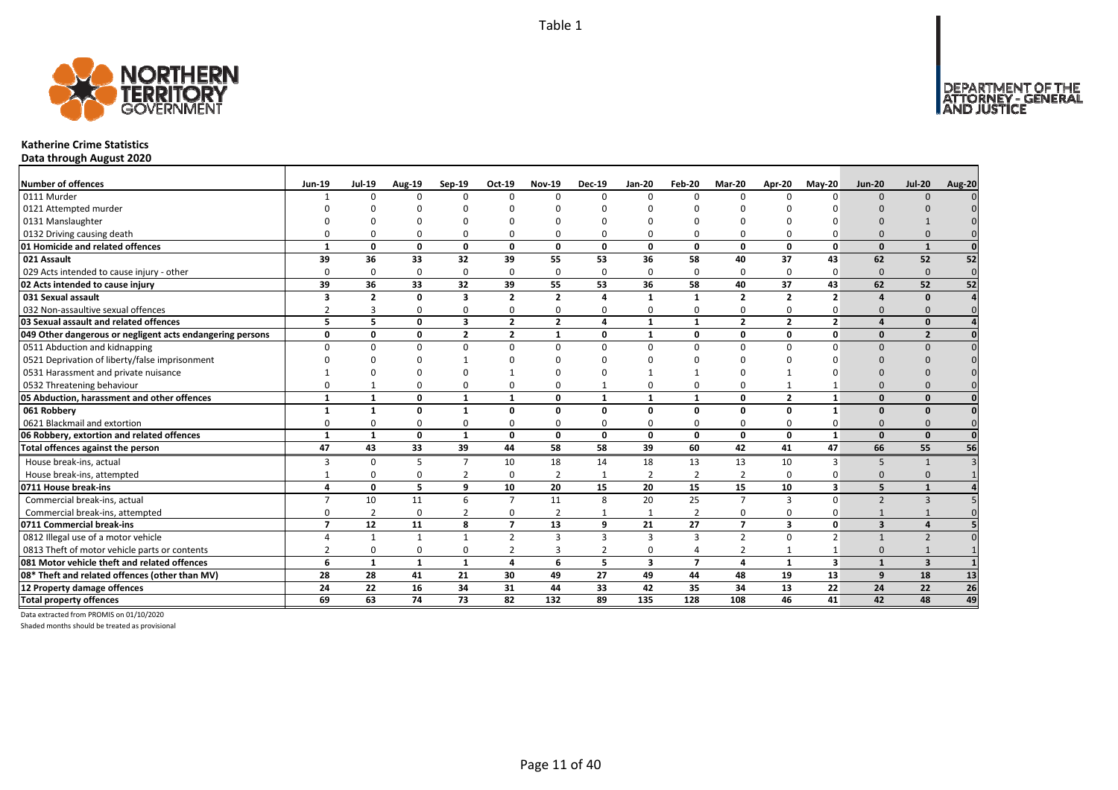

### **Katherine Crime Statistics**

**Data through August 2020**

| <b>Number of offences</b>                                 | <b>Jun-19</b>           | <b>Jul-19</b>  | <b>Aug-19</b> | Sep-19                  | Oct-19         | <b>Nov-19</b>  | <b>Dec-19</b> | <b>Jan-20</b>  | Feb-20           | Mar-20         | Apr-20                  | <b>Mav-20</b>            | <b>Jun-20</b>            | <b>Jul-20</b>            | <b>Aug-20</b>   |
|-----------------------------------------------------------|-------------------------|----------------|---------------|-------------------------|----------------|----------------|---------------|----------------|------------------|----------------|-------------------------|--------------------------|--------------------------|--------------------------|-----------------|
| 0111 Murder                                               |                         | <sup>n</sup>   | $\Omega$      | $\Omega$                | $\Omega$       | n              | $\Omega$      | $\Omega$       | $\Omega$         | $\Omega$       | $\Omega$                | $\Omega$                 | $\Omega$                 | $\Omega$                 |                 |
| 0121 Attempted murder                                     |                         |                |               |                         | n              |                |               |                |                  |                |                         |                          |                          |                          |                 |
| 0131 Manslaughter                                         |                         |                |               |                         |                |                |               |                |                  |                |                         |                          |                          |                          |                 |
| 0132 Driving causing death                                |                         |                | $\Omega$      | $\Omega$                | $\Omega$       |                |               | O              | $\Omega$         | 0              |                         |                          | $\Omega$                 |                          |                 |
| 01 Homicide and related offences                          |                         | n              | $\Omega$      | $\mathbf{0}$            | $\mathbf{0}$   | $\Omega$       | 0             | $\Omega$       | $\mathbf{0}$     | $\mathbf{0}$   | $\Omega$                | $\mathbf{0}$             | $\Omega$                 | $\mathbf{1}$             |                 |
| 021 Assault                                               | 39                      | 36             | 33            | 32                      | 39             | 55             | 53            | 36             | 58               | 40             | 37                      | 43                       | 62                       | 52                       | 52              |
| 029 Acts intended to cause injury - other                 | $\Omega$                | 0              | $\Omega$      | $\Omega$                | 0              | $\Omega$       | $\Omega$      | $\Omega$       | $\Omega$         | 0              | $\Omega$                | $\Omega$                 | $\Omega$                 | $\Omega$                 | $\mathbf 0$     |
| 02 Acts intended to cause injury                          | 39                      | 36             | 33            | 32                      | 39             | 55             | 53            | 36             | 58               | 40             | 37                      | 43                       | 62                       | 52                       | $\overline{52}$ |
| 031 Sexual assault                                        | 3                       | $\overline{2}$ | 0             | $\overline{\mathbf{3}}$ | $\overline{2}$ | $\overline{2}$ | Δ             | $\mathbf{1}$   | $\mathbf{1}$     | $\overline{2}$ | $\overline{2}$          | $\overline{\phantom{a}}$ | $\mathbf{A}$             | $\Omega$                 |                 |
| 032 Non-assaultive sexual offences                        | $\overline{2}$          |                | $\Omega$      | 0                       | 0              | O              | O             | $\Omega$       | $\Omega$         | 0              | $\Omega$                |                          | $\Omega$                 | $\Omega$                 |                 |
| 03 Sexual assault and related offences                    | 5                       | 5              | 0             | $\overline{\mathbf{3}}$ | $\overline{2}$ | $\overline{2}$ | Δ             | $\mathbf{1}$   | $\mathbf{1}$     | $\overline{2}$ | $\overline{2}$          | 2 <sup>1</sup>           | $\Delta$                 | $\Omega$                 |                 |
| 049 Other dangerous or negligent acts endangering persons | 0                       | n              | 0             | $\overline{2}$          | $\overline{2}$ | $\mathbf{1}$   | 0             | $\mathbf{1}$   | $\mathbf 0$      | 0              | $\Omega$                | $\mathbf{0}$             | $\Omega$                 | $\overline{\phantom{a}}$ |                 |
| 0511 Abduction and kidnapping                             |                         |                | $\Omega$      | $\Omega$                | $\Omega$       | O              | $\Omega$      | $\Omega$       | $\Omega$         | $\Omega$       | $\Omega$                |                          | $\Omega$                 | $\Omega$                 |                 |
| 0521 Deprivation of liberty/false imprisonment            |                         |                | $\Omega$      |                         | ŋ              |                |               | n              |                  |                |                         |                          |                          |                          |                 |
| 0531 Harassment and private nuisance                      |                         |                |               |                         |                |                |               |                |                  |                |                         |                          |                          |                          |                 |
| 0532 Threatening behaviour                                |                         |                | $\Omega$      | $\Omega$                | 0              |                |               | $\Omega$       | $\Omega$         | 0              |                         |                          |                          |                          |                 |
| 05 Abduction, harassment and other offences               | $\mathbf{1}$            | $\mathbf{1}$   | $\Omega$      | $\mathbf{1}$            | $\mathbf{1}$   | $\Omega$       | $\mathbf{1}$  | 1              | $\mathbf{1}$     | 0              | $\overline{2}$          | $\mathbf{1}$             | $\Omega$                 | $\Omega$                 |                 |
| 061 Robbery                                               |                         |                | $\Omega$      | $\mathbf{1}$            | 0              | n              | 0             | O              | 0                | 0              | $\Omega$                | 1                        | $\Omega$                 | $\Omega$                 |                 |
| 0621 Blackmail and extortion                              |                         |                | $\Omega$      | $\Omega$                | 0              |                |               | O              | $\Omega$         | 0              |                         |                          | $\Omega$                 |                          |                 |
| 06 Robbery, extortion and related offences                | $\mathbf{1}$            | $\mathbf{1}$   | 0             | $\mathbf{1}$            | $\mathbf{0}$   | $\mathbf 0$    | $\mathbf{0}$  | 0              | $\mathbf{0}$     | 0              | $\mathbf{0}$            | $\mathbf{1}$             | $\Omega$                 | $\Omega$                 |                 |
| Total offences against the person                         | 47                      | 43             | 33            | 39                      | 44             | 58             | 58            | 39             | 60               | 42             | 41                      | 47                       | 66                       | 55                       | 56              |
| House break-ins, actual                                   | $\overline{\mathbf{a}}$ | $\Omega$       | 5             | $\overline{7}$          | 10             | 18             | 14            | 18             | 13               | 13             | 10                      | 3                        | 5                        | $\mathbf{1}$             |                 |
| House break-ins, attempted                                |                         | U              | $\Omega$      | $\overline{2}$          | 0              | $\overline{2}$ |               | $\overline{2}$ | $\overline{2}$   | $\overline{2}$ | $\Omega$                |                          | $\Omega$                 | $\Omega$                 |                 |
| 0711 House break-ins                                      |                         | 0              | 5             | 9                       | 10             | 20             | 15            | 20             | 15               | 15             | 10                      | 3                        | 5                        |                          |                 |
| Commercial break-ins, actual                              |                         | 10             | 11            | 6                       | $\overline{7}$ | 11             | 8             | 20             | 25               | $\overline{7}$ | 3                       | $\Omega$                 | $\overline{\phantom{0}}$ | $\overline{3}$           |                 |
| Commercial break-ins, attempted                           |                         |                | $\Omega$      | $\overline{2}$          | 0              | $\overline{2}$ |               | 1              | $\overline{2}$   | 0              | $\Omega$                |                          |                          |                          |                 |
| 0711 Commercial break-ins                                 | $\overline{ }$          | 12             | 11            | 8                       | $\overline{7}$ | 13             | 9             | 21             | 27               | $\overline{7}$ | $\overline{\mathbf{3}}$ | $\mathbf{0}$             | $\overline{3}$           |                          |                 |
| 0812 Illegal use of a motor vehicle                       |                         |                |               | 1                       | $\overline{2}$ | 3              | 3             | з              | $\overline{3}$   | $\overline{2}$ | $\Omega$                | $\overline{\phantom{a}}$ |                          | $\overline{z}$           |                 |
| 0813 Theft of motor vehicle parts or contents             |                         |                | $\Omega$      | $\Omega$                | 2              | 3              |               | $\Omega$       | $\overline{4}$   | 2              |                         |                          | $\Omega$                 |                          |                 |
| 081 Motor vehicle theft and related offences              | 6                       | $\mathbf{1}$   | $\mathbf{1}$  | $\mathbf{1}$            | 4              | 6              | 5             | 3              | $\overline{7}$   | 4              | $\mathbf{1}$            | $\overline{\mathbf{3}}$  | $\mathbf{1}$             | $\overline{\mathbf{3}}$  |                 |
| 08* Theft and related offences (other than MV)            | 28                      | 28             | 41            | 21                      | 30             | 49             | 27            | 49             | 44               | 48             | 19                      | 13                       | 9                        | 18                       | 13              |
| 12 Property damage offences                               | 24                      | 22             | 16            | 34                      | 31             | 44             | 33            | 42             | 35               | 34             | 13                      | 22                       | 24                       | 22                       | 26              |
| <b>Total property offences</b>                            | 69                      | 63             | 74            | 73                      | 82             | 132            | 89            | 135            | $\overline{128}$ | 108            | 46                      | 41                       | 42                       | 48                       | 49              |

Data extracted from PROMIS on 01/10/2020

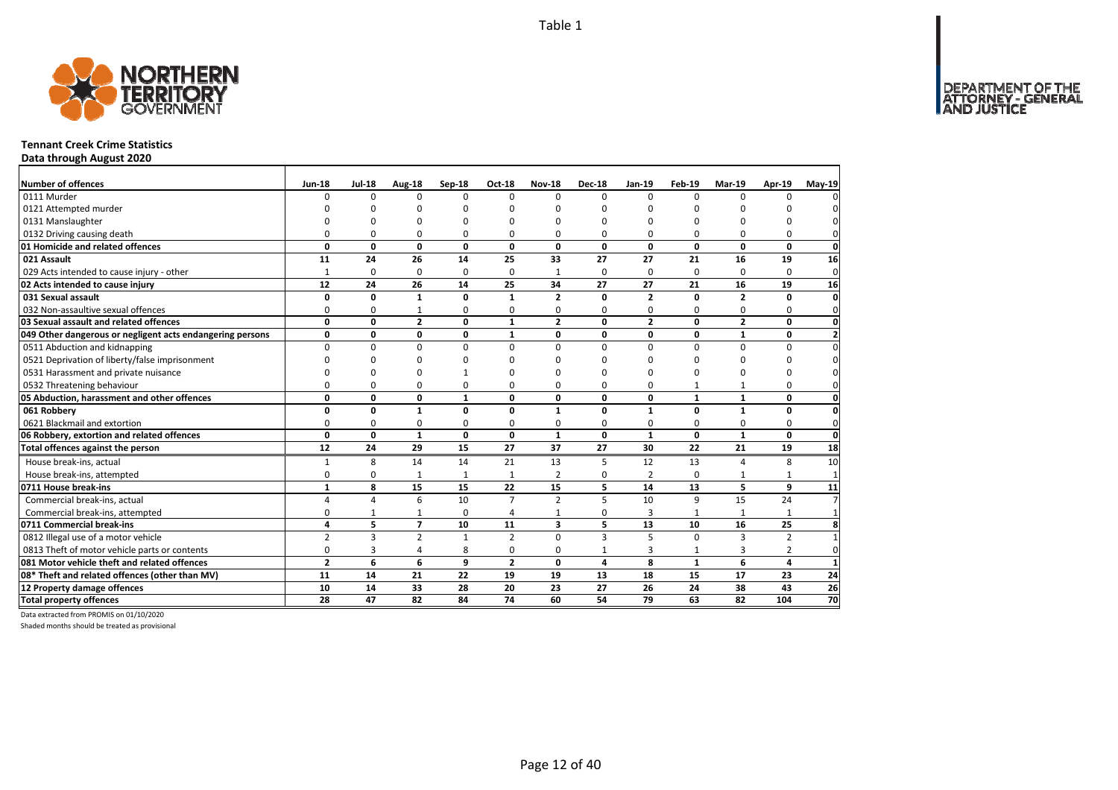

### **Tennant Creek Crime Statistics**

**Data through August 2020**

| Number of offences                                        | <b>Jun-18</b>  | <b>Jul-18</b>  | Aug-18         | Sep-18       | <b>Oct-18</b>  | <b>Nov-18</b>  | <b>Dec-18</b> | Jan-19         | Feb-19       | <b>Mar-19</b>  | Apr-19         | $May-19$        |
|-----------------------------------------------------------|----------------|----------------|----------------|--------------|----------------|----------------|---------------|----------------|--------------|----------------|----------------|-----------------|
| 0111 Murder                                               | $\Omega$       | $\Omega$       | $\Omega$       | $\Omega$     | $\Omega$       | $\Omega$       | $\Omega$      | $\Omega$       | $\Omega$     | $\Omega$       | O              |                 |
| 0121 Attempted murder                                     |                | O              | O              | C            |                | ŋ              | n             | ŋ              | O            |                |                |                 |
| 0131 Manslaughter                                         |                | $\Omega$       | 0              | $\Omega$     |                | O              | O             | 0              | $\Omega$     |                | O              |                 |
| 0132 Driving causing death                                | 0              | 0              | 0              | 0            | O              | 0              | 0             | 0              | 0            | O              | 0              |                 |
| 01 Homicide and related offences                          | 0              | 0              | 0              | 0            | 0              | 0              | $\mathbf{0}$  | 0              | $\mathbf{0}$ | $\mathbf{0}$   | 0              | $\mathbf 0$     |
| 021 Assault                                               | 11             | 24             | 26             | 14           | 25             | 33             | 27            | 27             | 21           | 16             | 19             | 16              |
| 029 Acts intended to cause injury - other                 | $\mathbf{1}$   | 0              | 0              | 0            | $\Omega$       | $\mathbf{1}$   | $\Omega$      | 0              | $\Omega$     | $\Omega$       | $\Omega$       | $\mathbf 0$     |
| 02 Acts intended to cause injury                          | 12             | 24             | 26             | 14           | 25             | 34             | 27            | 27             | 21           | 16             | 19             | 16              |
| 031 Sexual assault                                        | $\Omega$       | 0              | 1              | $\mathbf 0$  | 1              | $\overline{2}$ | $\Omega$      | $\overline{2}$ | $\Omega$     | $\overline{2}$ | $\mathbf{0}$   | 0               |
| 032 Non-assaultive sexual offences                        | 0              | 0              | $\mathbf{1}$   | $\Omega$     | $\Omega$       | 0              | 0             | 0              | $\Omega$     | $\Omega$       | 0              | $\Omega$        |
| 03 Sexual assault and related offences                    | $\mathbf{0}$   | 0              | $\overline{2}$ | $\mathbf 0$  | $\mathbf{1}$   | $\overline{2}$ | $\mathbf{0}$  | $\overline{2}$ | $\mathbf 0$  | $\overline{2}$ | $\mathbf{0}$   | $\mathbf{0}$    |
| 049 Other dangerous or negligent acts endangering persons | 0              | 0              | 0              | 0            | $\mathbf{1}$   | 0              | 0             | 0              | $\mathbf 0$  | $\mathbf{1}$   | 0              | $\overline{2}$  |
| 0511 Abduction and kidnapping                             | 0              | 0              | $\mathbf 0$    | $\mathbf 0$  | $\Omega$       | 0              | 0             | $\Omega$       | $\mathbf 0$  | $\Omega$       | 0              | $\Omega$        |
| 0521 Deprivation of liberty/false imprisonment            | $\Omega$       | $\Omega$       | 0              | C            |                | $\Omega$       | U             | O              | O            | $\Omega$       | O              | $\Omega$        |
| 0531 Harassment and private nuisance                      | $\Omega$       | O              | O              |              |                | ŋ              | n             | ŋ              | O            |                | O              |                 |
| 0532 Threatening behaviour                                | 0              | 0              | 0              | 0            | $\Omega$       | $\Omega$       | 0             | 0              | 1            |                | $\Omega$       | 0               |
| 05 Abduction, harassment and other offences               | 0              | 0              | 0              | $\mathbf{1}$ | $\Omega$       | $\Omega$       | 0             | 0              | $\mathbf{1}$ | $\mathbf{1}$   | 0              | $\mathbf 0$     |
| 061 Robbery                                               | 0              | 0              | $\mathbf{1}$   | 0            | $\mathbf{0}$   | 1              | 0             | $\mathbf{1}$   | $\mathbf{0}$ | $\mathbf{1}$   | 0              | $\mathbf{0}$    |
| 0621 Blackmail and extortion                              | 0              | 0              | 0              | 0            | $\Omega$       | 0              | 0             | $\Omega$       | $\Omega$     | $\Omega$       | 0              | $\Omega$        |
| 06 Robbery, extortion and related offences                | $\mathbf 0$    | 0              | $\mathbf{1}$   | $\mathbf{0}$ | 0              | 1              | 0             | $\mathbf{1}$   | $\mathbf{0}$ | $\mathbf{1}$   | 0              | $\mathbf 0$     |
| Total offences against the person                         | 12             | 24             | 29             | 15           | 27             | 37             | 27            | 30             | 22           | 21             | 19             | 18              |
| House break-ins, actual                                   | 1              | 8              | 14             | 14           | 21             | 13             | 5             | 12             | 13           | $\Delta$       | 8              | 10              |
| House break-ins, attempted                                | 0              | 0              | 1              | $\mathbf{1}$ | $\mathbf{1}$   | $\overline{2}$ | 0             | $\overline{2}$ | 0            |                | 1              | $\overline{1}$  |
| 0711 House break-ins                                      | $\mathbf{1}$   | 8              | 15             | 15           | 22             | 15             | 5             | 14             | 13           | 5              | 9              | 11              |
| Commercial break-ins, actual                              | 4              | 4              | 6              | 10           | $\overline{7}$ | $\overline{2}$ | 5             | 10             | 9            | 15             | 24             | $\overline{ }$  |
| Commercial break-ins, attempted                           | 0              | 1              | 1              | $\mathbf 0$  |                |                | 0             | 3              | 1            | $\mathbf{1}$   | 1              | $\mathbf 1$     |
| 0711 Commercial break-ins                                 | 4              | 5              | $\overline{7}$ | 10           | 11             | 3              | 5             | 13             | 10           | 16             | 25             | 8               |
| 0812 Illegal use of a motor vehicle                       | $\overline{2}$ | $\overline{3}$ | $\overline{2}$ | $\mathbf{1}$ | $\overline{2}$ | $\Omega$       | 3             | 5              | $\Omega$     | 3              | $\overline{2}$ |                 |
| 0813 Theft of motor vehicle parts or contents             | 0              | 3              | 4              | 8            | $\Omega$       | 0              | $\mathbf{1}$  | 3              | $\mathbf{1}$ | 3              | $\overline{2}$ | 0               |
| 081 Motor vehicle theft and related offences              | $\overline{2}$ | 6              | 6              | 9            | $\overline{2}$ | $\Omega$       | 4             | 8              | $\mathbf{1}$ | 6              | 4              | $\mathbf{1}$    |
| 08* Theft and related offences (other than MV)            | 11             | 14             | 21             | 22           | 19             | 19             | 13            | 18             | 15           | 17             | 23             | 24              |
| 12 Property damage offences                               | 10             | 14             | 33             | 28           | 20             | 23             | 27            | 26             | 24           | 38             | 43             | $\overline{26}$ |
| <b>Total property offences</b>                            | 28             | 47             | 82             | 84           | 74             | 60             | 54            | 79             | 63           | 82             | 104            | $\overline{70}$ |

Data extracted from PROMIS on 01/10/2020

Shaded months should be treated as provisional

DEPARTMENT OF THE<br>ATTORNEY - GENERAL<br>AND JUSTICE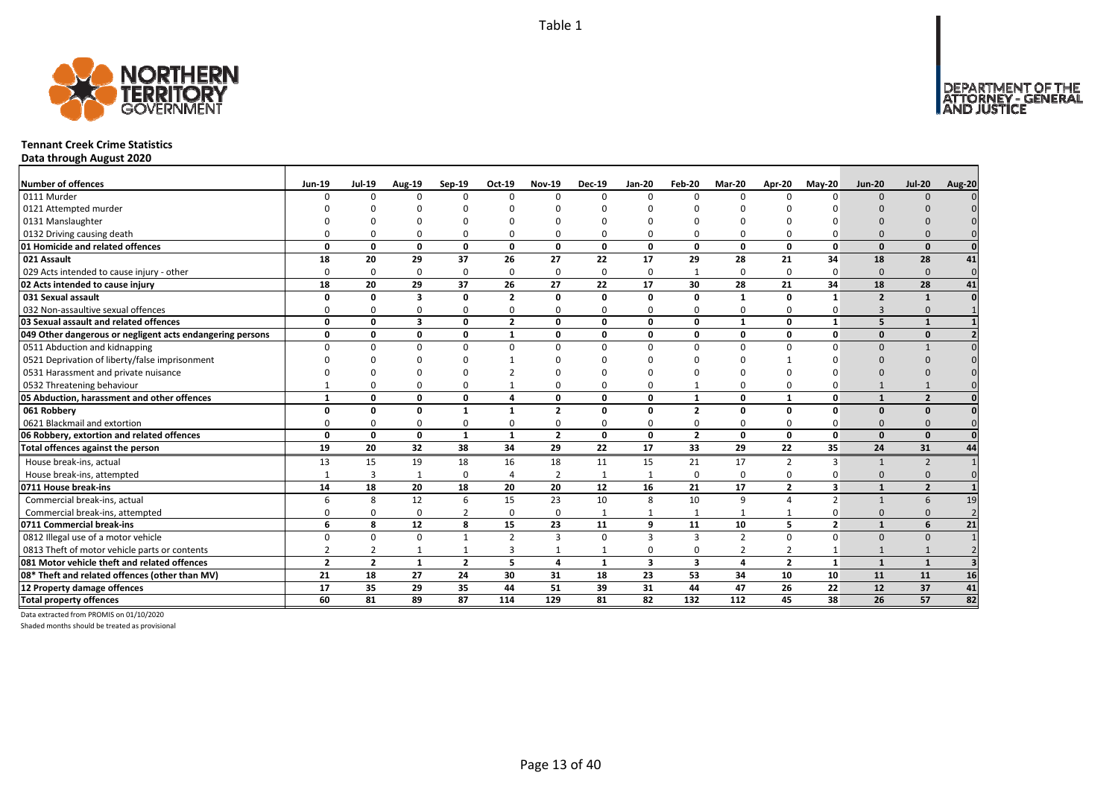

### **Tennant Creek Crime Statistics**

**Data through August 2020**

| <b>Number of offences</b>                                 | <b>Jun-19</b>  | <b>Jul-19</b>  | <b>Aug-19</b>           | Sep-19         | Oct-19          | <b>Nov-19</b>  | <b>Dec-19</b> | <b>Jan-20</b>           | Feb-20                  | Mar-20          | Apr-20         | <b>Mav-20</b>  | <b>Jun-20</b>  | <b>Jul-20</b>           | <b>Aug-20</b> |
|-----------------------------------------------------------|----------------|----------------|-------------------------|----------------|-----------------|----------------|---------------|-------------------------|-------------------------|-----------------|----------------|----------------|----------------|-------------------------|---------------|
| 0111 Murder                                               | $\Omega$       | $\Omega$       | n                       | $\Omega$       | $\Omega$        | $\Omega$       | <sup>0</sup>  | $\Omega$                | $\Omega$                | $\Omega$        | $\Omega$       | n              | $\Omega$       | $\Omega$                |               |
| 0121 Attempted murder                                     |                |                |                         |                | n               |                |               |                         |                         |                 |                |                |                |                         |               |
| 0131 Manslaughter                                         |                |                |                         |                |                 |                |               |                         |                         |                 |                |                |                |                         |               |
| 0132 Driving causing death                                |                |                |                         | $\Omega$       | $\Omega$        |                |               | $\Omega$                | $\Omega$                | $\Omega$        |                |                |                |                         |               |
| 01 Homicide and related offences                          | $\Omega$       | 0              | $\Omega$                | $\mathbf{0}$   | $\mathbf{0}$    | $\mathbf{0}$   | $\Omega$      | $\Omega$                | $\mathbf{0}$            | $\mathbf{0}$    | $\Omega$       | $\Omega$       | $\Omega$       | $\Omega$                |               |
| 021 Assault                                               | 18             | 20             | 29                      | 37             | 26              | 27             | 22            | 17                      | 29                      | 28              | 21             | 34             | 18             | 28                      | 41            |
| 029 Acts intended to cause injury - other                 | $\Omega$       | 0              | $\Omega$                | $\Omega$       | $\mathbf 0$     | $\Omega$       | $\Omega$      | $\Omega$                | 1                       | 0               | $\Omega$       | $\Omega$       | $\Omega$       | $\Omega$                | $\Omega$      |
| 02 Acts intended to cause injury                          | 18             | 20             | 29                      | 37             | 26              | 27             | 22            | 17                      | 30                      | 28              | 21             | 34             | 18             | 28                      | 41            |
| 031 Sexual assault                                        | $\Omega$       | 0              | $\overline{\mathbf{3}}$ | $\mathbf{0}$   | $\overline{2}$  | $\mathbf{0}$   | n             | 0                       | $\mathbf{0}$            | $\mathbf{1}$    | $\Omega$       | $\mathbf{1}$   | $\overline{2}$ | $\mathbf{1}$            |               |
| 032 Non-assaultive sexual offences                        | n              | O              | $\Omega$                | $\Omega$       | $\mathbf 0$     | $\Omega$       | ŋ             | $\Omega$                | 0                       | 0               | $\Omega$       | 0              | $\overline{3}$ | $\Omega$                |               |
| 03 Sexual assault and related offences                    | $\Omega$       | 0              | $\overline{\mathbf{3}}$ | $\mathbf 0$    | $\overline{2}$  | $\Omega$       | O             | 0                       | $\mathbf 0$             | $\mathbf{1}$    | 0              | $\mathbf{1}$   | 5              | $\mathbf{1}$            |               |
| 049 Other dangerous or negligent acts endangering persons | 0              | $\Omega$       | $\Omega$                | $\mathbf 0$    | $\mathbf{1}$    | $\Omega$       | n             | $\Omega$                | $\mathbf 0$             | 0               | $\Omega$       | $\Omega$       | $\Omega$       | $\Omega$                |               |
| 0511 Abduction and kidnapping                             | $\Omega$       |                | n                       | $\Omega$       | $\Omega$        | $\Omega$       | n             | $\Omega$                | $\Omega$                | $\Omega$        | $\Omega$       |                | $\Omega$       |                         |               |
| 0521 Deprivation of liberty/false imprisonment            |                |                |                         |                |                 |                |               |                         |                         |                 |                |                |                |                         |               |
| 0531 Harassment and private nuisance                      |                |                |                         |                |                 |                |               |                         |                         |                 |                |                |                |                         |               |
| 0532 Threatening behaviour                                |                |                |                         | 0              | $\mathbf{1}$    |                |               | $\Omega$                |                         | 0               |                |                |                |                         |               |
| 05 Abduction, harassment and other offences               | $\mathbf{1}$   | $\Omega$       | $\Omega$                | $\mathbf{0}$   | 4               | $\Omega$       | O             | $\Omega$                | $\mathbf{1}$            | 0               | $\mathbf{1}$   | $\Omega$       | $\mathbf{1}$   | $\overline{2}$          |               |
| 061 Robbery                                               |                | U              | n                       | $\mathbf{1}$   | $\mathbf{1}$    | $\mathbf{2}$   | O             | $\Omega$                | $\overline{2}$          | 0               | $\Omega$       | $\Omega$       | $\Omega$       | $\Omega$                |               |
| 0621 Blackmail and extortion                              |                |                | $\Omega$                | $\Omega$       | 0               | O              |               | $\Omega$                | $\Omega$                | 0               | O              |                | $\Omega$       |                         |               |
| 06 Robbery, extortion and related offences                | $\Omega$       | 0              | 0                       | $\mathbf{1}$   | $\mathbf{1}$    | $\overline{2}$ | 0             | 0                       | $\overline{2}$          | $\mathbf{0}$    | 0              | $\mathbf{0}$   | $\Omega$       | $\Omega$                |               |
| Total offences against the person                         | 19             | 20             | 32                      | 38             | $\overline{34}$ | 29             | 22            | 17                      | 33                      | $\overline{29}$ | 22             | 35             | 24             | 31                      | 44            |
| House break-ins, actual                                   | 13             | 15             | 19                      | 18             | 16              | 18             | 11            | 15                      | 21                      | 17              | 2              | 3              |                | $\overline{2}$          |               |
| House break-ins, attempted                                |                | $\overline{3}$ |                         | $\mathbf 0$    | 4               | $\overline{2}$ | $\mathbf{1}$  |                         | $\mathbf 0$             | 0               | $\Omega$       |                | $\Omega$       | $\Omega$                |               |
| 0711 House break-ins                                      | 14             | 18             | 20                      | 18             | 20              | 20             | 12            | 16                      | 21                      | 17              | $\overline{2}$ | 3              |                | $\overline{\mathbf{z}}$ |               |
| Commercial break-ins, actual                              |                | 8              | 12                      | 6              | 15              | 23             | 10            | 8                       | 10                      | 9               | $\Delta$       | $\overline{2}$ |                | 6                       | 19            |
| Commercial break-ins, attempted                           |                |                | $\Omega$                | $\overline{2}$ | 0               | $\Omega$       |               |                         | $\mathbf{1}$            | $\mathbf{1}$    |                |                | $\Omega$       | $\Omega$                |               |
| 0711 Commercial break-ins                                 | 6              | 8              | 12                      | 8              | 15              | 23             | 11            | 9                       | 11                      | 10              | 5              | $\overline{2}$ | $\mathbf{1}$   | 6                       | 21            |
| 0812 Illegal use of a motor vehicle                       | $\Omega$       | $\Omega$       | $\Omega$                | $\mathbf{1}$   | $\overline{2}$  | $\overline{3}$ | $\Omega$      | 3                       | $\overline{3}$          | $\overline{2}$  | $\Omega$       | $\Omega$       | $\Omega$       | $\Omega$                |               |
| 0813 Theft of motor vehicle parts or contents             |                |                |                         | $\mathbf{1}$   | 3               |                |               | 0                       | 0                       | 2               | 2              |                |                |                         |               |
| 081 Motor vehicle theft and related offences              | $\overline{2}$ | $\overline{2}$ | $\mathbf 1$             | $\overline{2}$ | 5               | 4              | $\mathbf{1}$  | $\overline{\mathbf{3}}$ | $\overline{\mathbf{3}}$ | 4               | $\overline{2}$ | $\mathbf{1}$   | $\mathbf{1}$   | $\mathbf{1}$            |               |
| 08* Theft and related offences (other than MV)            | 21             | 18             | 27                      | 24             | 30              | 31             | 18            | 23                      | 53                      | 34              | 10             | 10             | 11             | 11                      | 16            |
| 12 Property damage offences                               | 17             | 35             | 29                      | 35             | 44              | 51             | 39            | 31                      | 44                      | 47              | 26             | 22             | 12             | 37                      | 41            |
| <b>Total property offences</b>                            | 60             | 81             | 89                      | 87             | 114             | 129            | 81            | 82                      | $\overline{132}$        | 112             | 45             | 38             | 26             | 57                      | 82            |

Data extracted from PROMIS on 01/10/2020

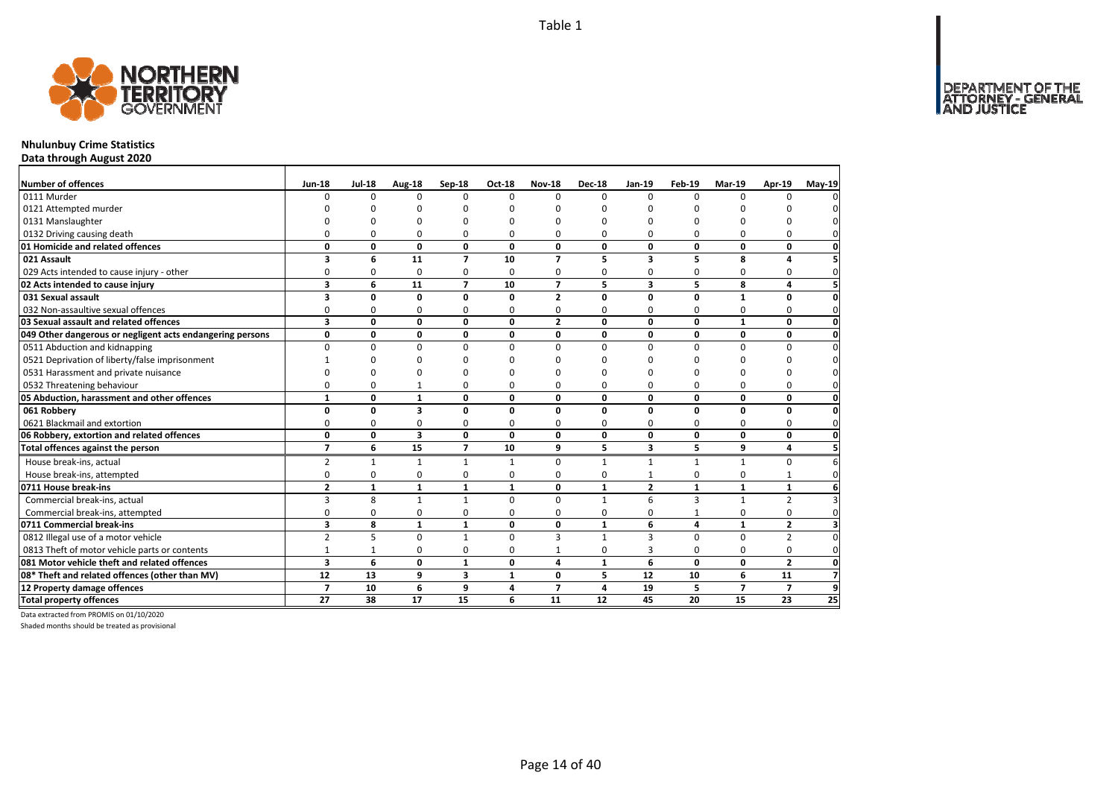DEPARTMENT OF THE<br>ATTORNEY - GENERAL<br>AND JUSTICE



# **Nhulunbuy Crime Statistics**

**Data through August 2020**

| Number of offences                                        | <b>Jun-18</b>           | <b>Jul-18</b> | Aug-18                  | Sep-18                  | <b>Oct-18</b> | <b>Nov-18</b>  | <b>Dec-18</b> | Jan-19                  | <b>Feb-19</b>  | Mar-19         | Apr-19         | <b>May-19</b>           |
|-----------------------------------------------------------|-------------------------|---------------|-------------------------|-------------------------|---------------|----------------|---------------|-------------------------|----------------|----------------|----------------|-------------------------|
| 0111 Murder                                               | <sup>n</sup>            | $\Omega$      | 0                       | $\Omega$                | $\Omega$      | $\Omega$       | $\Omega$      | $\Omega$                | $\Omega$       | $\Omega$       | $\Omega$       | 0                       |
| 0121 Attempted murder                                     |                         |               | n                       | C                       |               | n              | ŋ             | ŋ                       | C              |                |                |                         |
| 0131 Manslaughter                                         |                         | ŋ             | 0                       | $\Omega$                |               | O              | 0             | 0                       | $\Omega$       |                |                | $\Omega$                |
| 0132 Driving causing death                                | O                       | $\Omega$      | 0                       | $\Omega$                | 0             | 0              | $\Omega$      | 0                       | $\Omega$       | 0              | 0              | 0l                      |
| 01 Homicide and related offences                          | 0                       | 0             | $\mathbf{0}$            | 0                       | $\mathbf{0}$  | 0              | 0             | 0                       | 0              | 0              | 0              | $\mathbf{0}$            |
| 021 Assault                                               | 3                       | 6             | 11                      | $\overline{7}$          | 10            | $\overline{ }$ | 5             | 3                       | 5              | 8              | 4              | 5                       |
| 029 Acts intended to cause injury - other                 | 0                       | 0             | 0                       | 0                       | $\Omega$      | 0              | 0             | 0                       | 0              | 0              | 0              | $\mathbf 0$             |
| 02 Acts intended to cause injury                          | 3                       | 6             | 11                      | $\overline{7}$          | 10            | $\overline{ }$ | 5             | 3                       | 5              | 8              | 4              | 5 <sup>1</sup>          |
| 031 Sexual assault                                        | 3                       | 0             | 0                       | $\mathbf 0$             | $\Omega$      | $\overline{2}$ | 0             | 0                       | $\Omega$       | $\mathbf{1}$   | 0              | $\mathbf{0}$            |
| 032 Non-assaultive sexual offences                        | 0                       | 0             | 0                       | $\Omega$                |               | 0              | $\Omega$      | 0                       | $\Omega$       | $\Omega$       | 0              | $\mathbf{0}$            |
| 03 Sexual assault and related offences                    | $\overline{\mathbf{3}}$ | $\mathbf{0}$  | $\mathbf{0}$            | $\mathbf{0}$            | 0             | $\overline{2}$ | $\mathbf{0}$  | $\Omega$                | $\mathbf{0}$   | $\mathbf{1}$   | 0              | $\mathbf{0}$            |
| 049 Other dangerous or negligent acts endangering persons | 0                       | 0             | $\mathbf 0$             | 0                       | 0             | 0              | 0             | 0                       | 0              | 0              | 0              | $\mathbf{0}$            |
| 0511 Abduction and kidnapping                             | $\Omega$                | 0             | $\mathbf 0$             | $\mathbf 0$             | $\Omega$      | $\Omega$       | $\Omega$      | $\Omega$                | $\Omega$       | 0              | 0              | $\mathbf{0}$            |
| 0521 Deprivation of liberty/false imprisonment            |                         | 0             | O                       | $\Omega$                |               | n              | ŋ             | 0                       | $\Omega$       | ŋ              | O              | $\mathbf 0$             |
| 0531 Harassment and private nuisance                      | ŋ                       | 0             | 0                       | $\Omega$                |               | n              | ŋ             | 0                       | $\Omega$       |                | O              | 0                       |
| 0532 Threatening behaviour                                | 0                       | 0             | $\mathbf{1}$            | $\Omega$                | ŋ             | 0              | $\Omega$      | 0                       | $\Omega$       | $\Omega$       | 0              | $\mathbf 0$             |
| 05 Abduction, harassment and other offences               | $\mathbf{1}$            | 0             | $\mathbf{1}$            | 0                       | 0             | 0              | 0             | 0                       | 0              | 0              | 0              | $\mathbf{0}$            |
| 061 Robbery                                               | $\mathbf 0$             | $\mathbf{0}$  | 3                       | 0                       | $\Omega$      | 0              | 0             | 0                       | 0              | 0              | $\mathbf 0$    | <sub>0</sub>            |
| 0621 Blackmail and extortion                              | 0                       | 0             | 0                       | 0                       | $\Omega$      | 0              | $\Omega$      | 0                       | 0              | $\Omega$       | 0              | $\mathbf{0}$            |
| 06 Robbery, extortion and related offences                | $\mathbf 0$             | 0             | $\overline{\mathbf{3}}$ | 0                       | 0             | 0              | 0             | 0                       | 0              | 0              | 0              | $\mathbf{0}$            |
| Total offences against the person                         | $\overline{7}$          | 6             | 15                      | $\overline{7}$          | 10            | 9              | 5             | $\overline{\mathbf{3}}$ | 5              | 9              | 4              | 5 <sup>1</sup>          |
| House break-ins, actual                                   | $\overline{2}$          | $\mathbf{1}$  | $\mathbf{1}$            | $\mathbf{1}$            | $\mathbf{1}$  | $\Omega$       | $\mathbf{1}$  | $\mathbf{1}$            | $\mathbf{1}$   | $\mathbf{1}$   | 0              | 6                       |
| House break-ins, attempted                                | $\mathbf 0$             | 0             | 0                       | 0                       | O             | 0              | 0             | 1                       | $\Omega$       | 0              | 1              | $\mathbf 0$             |
| 0711 House break-ins                                      | $\overline{2}$          | $\mathbf{1}$  | $\mathbf{1}$            | $\mathbf{1}$            | $\mathbf{1}$  | 0              | $\mathbf{1}$  | $\overline{2}$          | $\mathbf{1}$   | $\mathbf{1}$   | $\mathbf{1}$   | $6 \mid$                |
| Commercial break-ins, actual                              | 3                       | 8             | $\mathbf{1}$            | $\mathbf{1}$            | $\Omega$      | $\Omega$       | $\mathbf{1}$  | 6                       | $\overline{3}$ | $\mathbf{1}$   | $\overline{2}$ | $\overline{3}$          |
| Commercial break-ins, attempted                           | 0                       | 0             | 0                       | 0                       | $\Omega$      | 0              | 0             | 0                       | $\mathbf{1}$   | 0              | 0              | $\mathbf 0$             |
| 0711 Commercial break-ins                                 | 3                       | 8             | $\mathbf{1}$            | $\mathbf{1}$            | 0             | 0              | $\mathbf{1}$  | 6                       | 4              | $\mathbf{1}$   | $\mathbf{2}$   | $\overline{\mathbf{3}}$ |
| 0812 Illegal use of a motor vehicle                       | $\overline{2}$          | 5             | $\mathbf 0$             | $\mathbf{1}$            | $\Omega$      | 3              | $\mathbf{1}$  | 3                       | $\Omega$       | $\Omega$       | $\overline{2}$ | $\mathbf{0}$            |
| 0813 Theft of motor vehicle parts or contents             | $\mathbf{1}$            | $\mathbf 1$   | 0                       | $\mathbf 0$             | $\Omega$      | $\mathbf{1}$   | 0             | 3                       | $\mathbf 0$    | 0              | 0              | $\mathbf{0}$            |
| 081 Motor vehicle theft and related offences              | 3                       | 6             | 0                       | $\mathbf{1}$            | 0             | 4              | $\mathbf{1}$  | 6                       | 0              | 0              | $\overline{2}$ | $\mathbf{0}$            |
| 08* Theft and related offences (other than MV)            | 12                      | 13            | 9                       | $\overline{\mathbf{3}}$ | $\mathbf{1}$  | 0              | 5             | 12                      | 10             | 6              | 11             | $\overline{7}$          |
| 12 Property damage offences                               | $\overline{7}$          | 10            | 6                       | 9                       | 4             | $\overline{7}$ | 4             | 19                      | 5              | $\overline{7}$ | $\overline{7}$ | 9                       |
| <b>Total property offences</b>                            | 27                      | 38            | 17                      | 15                      | 6             | 11             | 12            | 45                      | 20             | 15             | 23             | 25                      |

Data extracted from PROMIS on 01/10/2020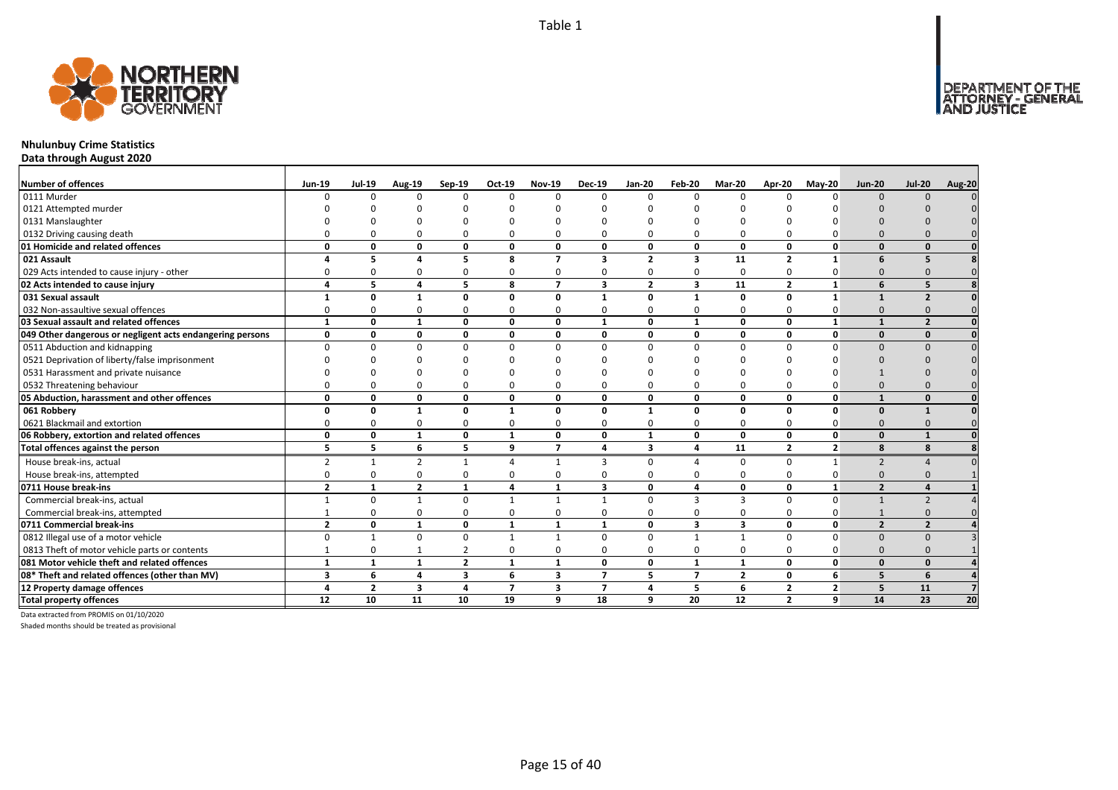

# **Nhulunbuy Crime Statistics**

**Data through August 2020**

| <b>Number of offences</b>                                 | <b>Jun-19</b>  | <b>Jul-19</b>  | <b>Aug-19</b>  | Sep-19                  | $Oct-19$       | <b>Nov-19</b>            | <b>Dec-19</b>           | <b>Jan-20</b>  | Feb-20                  | <b>Mar-20</b>  | Apr-20         | $M$ ay-20      | <b>Jun-20</b>            | <b>Jul-20</b>            | <b>Aug-20</b> |
|-----------------------------------------------------------|----------------|----------------|----------------|-------------------------|----------------|--------------------------|-------------------------|----------------|-------------------------|----------------|----------------|----------------|--------------------------|--------------------------|---------------|
| 0111 Murder                                               |                | n              | $\Omega$       | $\Omega$                | $\Omega$       |                          | $\Omega$                | $\Omega$       | $\Omega$                | $\Omega$       |                | n              | $\Omega$                 | $\Omega$                 |               |
| 0121 Attempted murder                                     |                |                |                |                         |                |                          |                         |                |                         |                |                |                |                          |                          |               |
| 0131 Manslaughter                                         |                |                |                |                         |                |                          |                         |                |                         |                |                |                |                          |                          |               |
| 0132 Driving causing death                                |                |                |                | $\Omega$                | $\Omega$       |                          |                         | $\Omega$       | $\Omega$                | O              |                |                |                          |                          |               |
| 01 Homicide and related offences                          | O              | n              | 0              | $\mathbf{0}$            | 0              | 0                        | 0                       | 0              | $\mathbf{0}$            | 0              | 0              | $\Omega$       | $\Omega$                 | $\Omega$                 |               |
| 021 Assault                                               |                | 5              | $\lambda$      | 5                       | 8              | $\overline{\phantom{a}}$ | 3                       | $\overline{2}$ | 3                       | 11             | $\overline{2}$ |                | 6                        |                          |               |
| 029 Acts intended to cause injury - other                 |                |                | $\Omega$       | 0                       | 0              |                          | O                       | O              | $\Omega$                | 0              | $\Omega$       | O              | $\Omega$                 |                          |               |
| 02 Acts intended to cause injury                          | 4              | 5              | $\mathbf{A}$   | 5                       | 8              | $\overline{7}$           | $\overline{\mathbf{3}}$ | $\overline{2}$ | $\overline{\mathbf{3}}$ | 11             | $\overline{2}$ | $\mathbf{1}$   | 6                        | 5                        |               |
| 031 Sexual assault                                        |                | n              |                | $\Omega$                | 0              | $\Omega$                 | 1                       | O              | $\mathbf{1}$            | 0              | $\Omega$       | 1              |                          | $\overline{\phantom{a}}$ |               |
| 032 Non-assaultive sexual offences                        |                |                | $\Omega$       | $\Omega$                | 0              | 0                        | 0                       | $\Omega$       | $\Omega$                | 0              | $\Omega$       | 0              | $\Omega$                 |                          |               |
| 03 Sexual assault and related offences                    | $\mathbf{1}$   | 0              | $\mathbf{1}$   | $\mathbf{0}$            | $\mathbf{0}$   | $\mathbf 0$              | $\mathbf{1}$            | 0              | $\mathbf{1}$            | 0              | 0              | $\mathbf{1}$   | $\mathbf{1}$             | $\overline{2}$           |               |
| 049 Other dangerous or negligent acts endangering persons | 0              | O              | 0              | $\mathbf{0}$            | 0              | 0                        | 0                       | 0              | $\mathbf{0}$            | 0              | 0              | $\mathbf{0}$   | $\Omega$                 | $\mathbf{0}$             |               |
| 0511 Abduction and kidnapping                             | U              |                | $\Omega$       | $\Omega$                | $\Omega$       | <sup>n</sup>             | U                       | $\Omega$       | $\Omega$                | $\Omega$       | $\Omega$       |                | $\Omega$                 | $\cap$                   |               |
| 0521 Deprivation of liberty/false imprisonment            |                |                |                |                         | ŋ              |                          |                         |                |                         |                |                |                |                          |                          |               |
| 0531 Harassment and private nuisance                      |                |                |                |                         | n              |                          |                         |                |                         |                |                |                |                          |                          |               |
| 0532 Threatening behaviour                                |                |                | $\Omega$       | $\Omega$                | 0              |                          |                         | $\Omega$       | $\Omega$                | 0              | $\Omega$       |                | $\Omega$                 |                          |               |
| 05 Abduction, harassment and other offences               | $\Omega$       | n              | 0              | $\mathbf 0$             | 0              | $\Omega$                 | O                       | 0              | $\mathbf{0}$            | 0              | $\Omega$       | $\mathbf{0}$   | $\mathbf{1}$             | $\Omega$                 |               |
| 061 Robbery                                               | O              | 0              | 1              | $\mathbf{0}$            | $\mathbf{1}$   | $\mathbf 0$              | 0                       | $\mathbf{1}$   | $\mathbf{0}$            | 0              | $\Omega$       | $\mathbf{0}$   | $\Omega$                 | $\mathbf{1}$             |               |
| 0621 Blackmail and extortion                              |                |                | $\Omega$       | $\mathbf 0$             | 0              | O                        | O                       | $\Omega$       | $\Omega$                | 0              | $\Omega$       | 0              | $\Omega$                 | $\Omega$                 |               |
| 06 Robbery, extortion and related offences                | $\Omega$       | O              | 1              | $\mathbf 0$             | 1              | $\Omega$                 | 0                       | 1              | $\mathbf{0}$            | 0              | 0              | $\mathbf{0}$   | $\Omega$                 | $\mathbf{1}$             |               |
| Total offences against the person                         | 5              | 5.             | 6              | 5                       | 9              | $\overline{7}$           | 4                       | 3              | 4                       | 11             | $\overline{2}$ | $\overline{2}$ | 8                        | 8                        |               |
| House break-ins, actual                                   | $\overline{2}$ | $\mathbf{1}$   | $\mathcal{P}$  | 1                       | 4              | $\mathbf{1}$             | 3                       | $\Omega$       | $\Lambda$               | $\Omega$       | $\Omega$       | $\mathbf{1}$   | $\overline{2}$           |                          |               |
| House break-ins, attempted                                | O              | U              | $\Omega$       | $\Omega$                | 0              | $\Omega$                 | O                       | $\Omega$       | $\Omega$                | 0              | $\Omega$       | 0              | $\Omega$                 |                          |               |
| 0711 House break-ins                                      | $\overline{2}$ | $\mathbf{1}$   | $\overline{2}$ | $\mathbf{1}$            | 4              | $\mathbf{1}$             | $\overline{\mathbf{3}}$ | 0              | 4                       | 0              | 0              | $\mathbf{1}$   | $\overline{\phantom{a}}$ |                          |               |
| Commercial break-ins, actual                              |                | $\Omega$       |                | $\mathbf 0$             | $\mathbf{1}$   | $\mathbf{1}$             | $\mathbf{1}$            | $\Omega$       | $\overline{3}$          | 3              | $\Omega$       | $\Omega$       | $\mathbf{1}$             | $\mathcal{P}$            |               |
| Commercial break-ins, attempted                           |                |                | $\Omega$       | $\Omega$                | 0              | O                        | O                       | O              | $\Omega$                | 0              | ŋ              |                |                          |                          |               |
| 0711 Commercial break-ins                                 | $\overline{2}$ | 0              | $\mathbf{1}$   | 0                       | 1              | 1                        | $\mathbf{1}$            | 0              | 3                       | 3              | 0              | $\mathbf{0}$   | $\overline{2}$           | $\overline{2}$           |               |
| 0812 Illegal use of a motor vehicle                       | $\Omega$       |                | $\Omega$       | $\mathbf 0$             | $\mathbf{1}$   | $\mathbf{1}$             | $\Omega$                | $\Omega$       | $\overline{1}$          | $\mathbf{1}$   | $\Omega$       | $\Omega$       | $\Omega$                 | $\Omega$                 |               |
| 0813 Theft of motor vehicle parts or contents             |                | U              |                | $\overline{2}$          | 0              | $\Omega$                 | $\Omega$                | 0              | 0                       | 0              | $\Omega$       |                | $\Omega$                 |                          |               |
| 081 Motor vehicle theft and related offences              | $\mathbf{1}$   | $\mathbf{1}$   | $\mathbf{1}$   | $\overline{2}$          | $\mathbf{1}$   | $\mathbf{1}$             | 0                       | 0              | $\mathbf{1}$            | $\mathbf{1}$   | 0              | $\mathbf{0}$   | $\Omega$                 | $\mathbf{0}$             |               |
| 08* Theft and related offences (other than MV)            | 3              | 6              | 4              | $\overline{\mathbf{3}}$ | 6              | 3                        | 7                       | 5              | $\overline{7}$          | $\overline{2}$ | 0              | 6              | 5                        | 6                        |               |
| 12 Property damage offences                               | Δ              | $\overline{2}$ | 3              | $\overline{a}$          | $\overline{7}$ | 3                        | $\overline{7}$          | 4              | 5                       | 6              | $\overline{2}$ | $\overline{2}$ | 5                        | 11                       |               |
| <b>Total property offences</b>                            | 12             | 10             | 11             | 10                      | 19             | 9                        | 18                      | 9              | 20                      | 12             | $\overline{2}$ | 9              | 14                       | 23                       | 20            |

Data extracted from PROMIS on 01/10/2020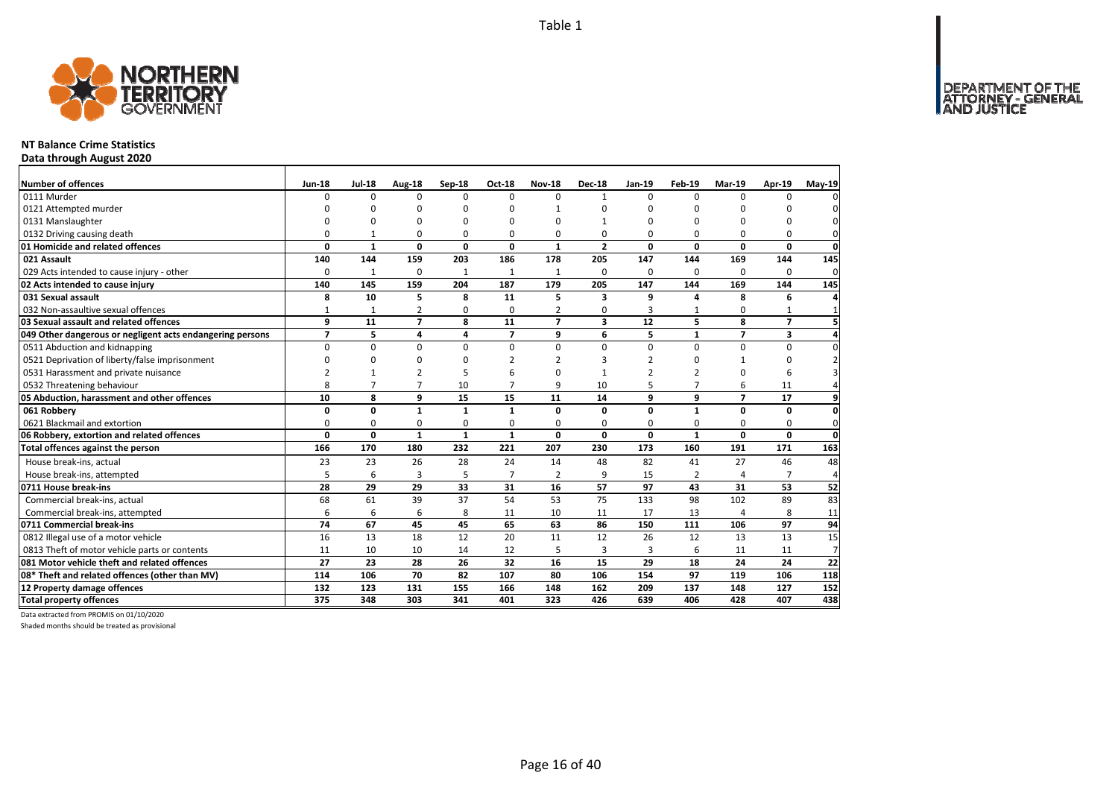

### **NT Balance Crime Statistics**

**Data through August 2020**

| Number of offences                                        | <b>Jun-18</b>  | <b>Jul-18</b>   | Aug-18         | Sep-18         | <b>Oct-18</b>  | <b>Nov-18</b>  | <b>Dec-18</b>  | Jan-19          | Feb-19         | <b>Mar-19</b>            | Apr-19         | $May-19$       |
|-----------------------------------------------------------|----------------|-----------------|----------------|----------------|----------------|----------------|----------------|-----------------|----------------|--------------------------|----------------|----------------|
| 0111 Murder                                               | $\Omega$       | $\Omega$        | $\Omega$       | $\Omega$       | $\Omega$       | $\Omega$       | 1              | $\Omega$        | $\Omega$       | $\Omega$                 | O              |                |
| 0121 Attempted murder                                     | n              | O               | O              | $\Omega$       |                |                | n              | 0               | 0              |                          | ŋ              |                |
| 0131 Manslaughter                                         | $\Omega$       | $\Omega$        | 0              | $\Omega$       |                | $\Omega$       |                | 0               | $\Omega$       |                          | $\Omega$       |                |
| 0132 Driving causing death                                | 0              | $\mathbf{1}$    | 0              | 0              | O              | 0              | 0              | 0               | $\Omega$       | O                        | 0              | 0              |
| 01 Homicide and related offences                          | 0              | $\mathbf{1}$    | 0              | $\mathbf 0$    | $\mathbf{0}$   | 1              | $\overline{2}$ | 0               | $\mathbf 0$    | $\Omega$                 | 0              | $\mathbf 0$    |
| 021 Assault                                               | 140            | 144             | 159            | 203            | 186            | 178            | 205            | 147             | 144            | 169                      | 144            | 145            |
| 029 Acts intended to cause injury - other                 | $\Omega$       | $\mathbf{1}$    | 0              | $\mathbf{1}$   | $\mathbf{1}$   | $\mathbf{1}$   | 0              | 0               | $\Omega$       | $\Omega$                 | $\Omega$       | $\mathbf 0$    |
| 02 Acts intended to cause injury                          | 140            | 145             | 159            | 204            | 187            | 179            | 205            | 147             | 144            | 169                      | 144            | 145            |
| 031 Sexual assault                                        | 8              | 10              | 5              | 8              | 11             | 5              | 3              | 9               | $\Delta$       | 8                        | 6              |                |
| 032 Non-assaultive sexual offences                        |                | 1               | 2              | $\Omega$       | $\Omega$       | 2              | 0              | 3               |                | $\Omega$                 | 1              |                |
| 03 Sexual assault and related offences                    | 9              | $\overline{11}$ | $\overline{7}$ | 8              | 11             | $\overline{ }$ | 3              | $\overline{12}$ | 5              | 8                        | $\overline{7}$ |                |
| 049 Other dangerous or negligent acts endangering persons | $\overline{ }$ | 5               | 4              | $\overline{a}$ | $\overline{ }$ | 9              | 6              | 5               | $\mathbf{1}$   | $\overline{\phantom{a}}$ | 3              |                |
| 0511 Abduction and kidnapping                             | 0              | 0               | $\mathbf 0$    | $\mathbf 0$    | $\Omega$       | 0              | $\Omega$       | 0               | $\mathbf 0$    | $\Omega$                 | 0              | $\Omega$       |
| 0521 Deprivation of liberty/false imprisonment            | $\Omega$       | $\Omega$        | 0              | $\Omega$       |                | $\mathcal{P}$  | з              | $\overline{2}$  | $\Omega$       |                          | 0              |                |
| 0531 Harassment and private nuisance                      |                |                 | 2              | 5              |                | n              |                | 2               |                |                          | 6              |                |
| 0532 Threatening behaviour                                | 8              | $\overline{7}$  | $\overline{7}$ | 10             | 7              | q              | 10             | 5               | 7              | 6                        | 11             |                |
| 05 Abduction, harassment and other offences               | 10             | 8               | 9              | 15             | 15             | 11             | 14             | 9               | 9              | $\overline{ }$           | 17             | 9              |
| 061 Robbery                                               | 0              | 0               | $\mathbf{1}$   | $\mathbf{1}$   | $\mathbf{1}$   | 0              | 0              | 0               | $\mathbf{1}$   | 0                        | 0              | $\mathbf{0}$   |
| 0621 Blackmail and extortion                              | 0              | 0               | 0              | 0              | $\Omega$       | 0              | 0              | $\Omega$        | $\Omega$       | $\Omega$                 | 0              | $\Omega$       |
| 06 Robbery, extortion and related offences                | 0              | 0               | $\mathbf{1}$   | $\mathbf{1}$   | $\mathbf{1}$   | 0              | 0              | 0               | $\mathbf{1}$   | $\mathbf{0}$             | 0              | $\mathbf{0}$   |
| Total offences against the person                         | 166            | 170             | 180            | 232            | 221            | 207            | 230            | 173             | 160            | 191                      | 171            | 163            |
| House break-ins, actual                                   | 23             | 23              | 26             | 28             | 24             | 14             | 48             | 82              | 41             | 27                       | 46             | 48             |
| House break-ins, attempted                                | 5              | 6               | 3              | 5              | $\overline{ }$ | $\overline{2}$ | 9              | 15              | $\overline{2}$ |                          | 7              | 4              |
| 0711 House break-ins                                      | 28             | 29              | 29             | 33             | 31             | 16             | 57             | 97              | 43             | 31                       | 53             | 52             |
| Commercial break-ins, actual                              | 68             | 61              | 39             | 37             | 54             | 53             | 75             | 133             | 98             | 102                      | 89             | 83             |
| Commercial break-ins, attempted                           | 6              | 6               | 6              | 8              | 11             | 10             | 11             | 17              | 13             | $\overline{4}$           | 8              | 11             |
| 0711 Commercial break-ins                                 | 74             | 67              | 45             | 45             | 65             | 63             | 86             | 150             | 111            | 106                      | 97             | 94             |
| 0812 Illegal use of a motor vehicle                       | 16             | 13              | 18             | 12             | 20             | 11             | 12             | 26              | 12             | 13                       | 13             | 15             |
| 0813 Theft of motor vehicle parts or contents             | 11             | 10              | 10             | 14             | 12             | 5              | 3              | 3               | 6              | 11                       | 11             | $\overline{7}$ |
| 081 Motor vehicle theft and related offences              | 27             | 23              | 28             | 26             | 32             | 16             | 15             | 29              | 18             | 24                       | 24             | 22             |
| 08* Theft and related offences (other than MV)            | 114            | 106             | 70             | 82             | 107            | 80             | 106            | 154             | 97             | 119                      | 106            | 118            |
| 12 Property damage offences                               | 132            | 123             | 131            | 155            | 166            | 148            | 162            | 209             | 137            | 148                      | 127            | 152            |
| <b>Total property offences</b>                            | 375            | 348             | 303            | 341            | 401            | 323            | 426            | 639             | 406            | 428                      | 407            | 438            |

Data extracted from PROMIS on 01/10/2020

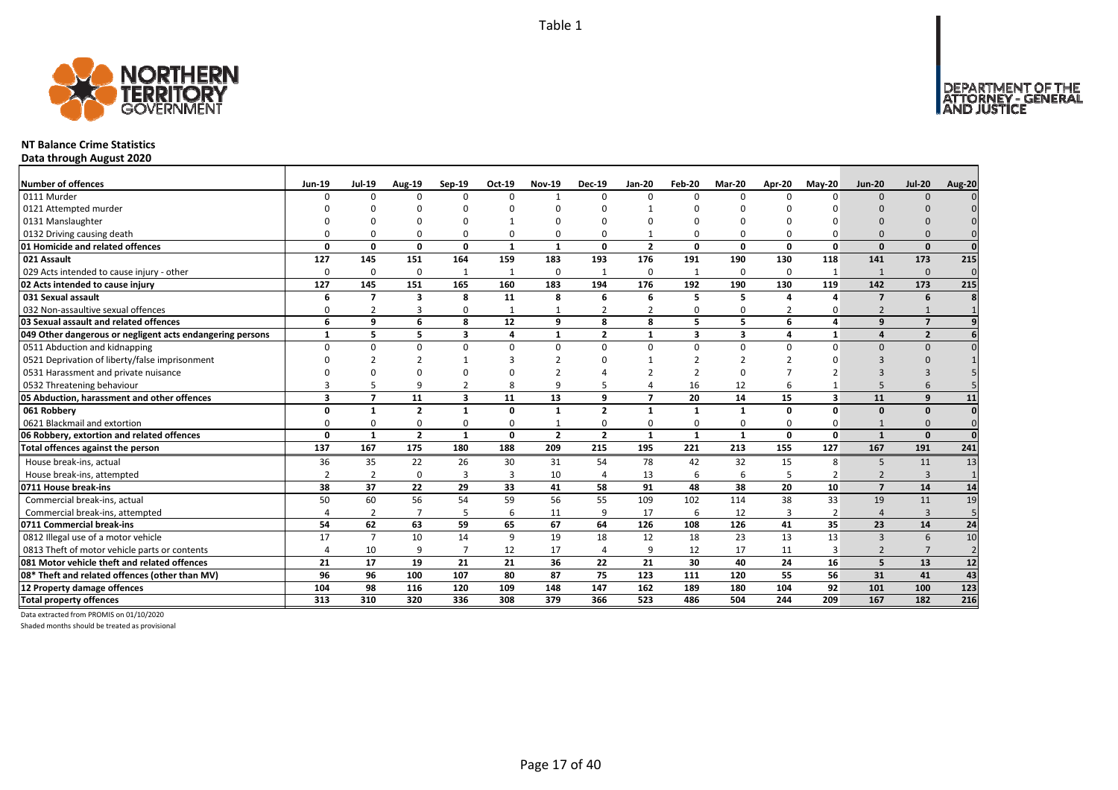

### **NT Balance Crime Statistics**

**Data through August 2020**

| <b>Number of offences</b>                                 | <b>Jun-19</b>  | <b>Jul-19</b>            | <b>Aug-19</b>  | Sep-19                  | Oct-19       | <b>Nov-19</b>  | <b>Dec-19</b>  | <b>Jan-20</b>            | Feb-20                  | Mar-20         | Apr-20   | <b>Mav-20</b>  | <b>Jun-20</b>            | <b>Jul-20</b>  | Aug-20         |
|-----------------------------------------------------------|----------------|--------------------------|----------------|-------------------------|--------------|----------------|----------------|--------------------------|-------------------------|----------------|----------|----------------|--------------------------|----------------|----------------|
| 0111 Murder                                               | n              | $\Omega$                 | n              | $\Omega$                | $\Omega$     |                | $\Omega$       | $\Omega$                 | $\Omega$                | $\Omega$       |          |                | $\Omega$                 | $\Omega$       |                |
| 0121 Attempted murder                                     |                |                          |                |                         |              |                |                |                          |                         |                |          |                |                          |                |                |
| 0131 Manslaughter                                         |                |                          |                |                         |              |                |                |                          |                         |                |          |                |                          |                |                |
| 0132 Driving causing death                                |                |                          |                | 0                       | 0            |                |                |                          | $\Omega$                | 0              |          |                |                          |                |                |
| 01 Homicide and related offences                          | $\Omega$       | 0                        | $\Omega$       | $\mathbf{0}$            | $\mathbf{1}$ | $\mathbf{1}$   | 0              | $\overline{2}$           | $\mathbf{0}$            | 0              | $\Omega$ | $\Omega$       | $\Omega$                 | $\Omega$       | $\Omega$       |
| 021 Assault                                               | 127            | 145                      | 151            | 164                     | 159          | 183            | 193            | 176                      | 191                     | 190            | 130      | 118            | 141                      | 173            | 215            |
| 029 Acts intended to cause injury - other                 | $\Omega$       | 0                        | $\Omega$       | 1                       | $\mathbf{1}$ | 0              |                | $\Omega$                 | 1                       | 0              | $\Omega$ |                | $\mathbf{1}$             | $\mathbf{0}$   | $\mathbf{0}$   |
| 02 Acts intended to cause injury                          | 127            | 145                      | 151            | 165                     | 160          | 183            | 194            | 176                      | 192                     | 190            | 130      | 119            | 142                      | 173            | 215            |
| 031 Sexual assault                                        | 6              | $\overline{\phantom{a}}$ | 3              | 8                       | 11           | 8              | 6              | 6                        | 5                       | 5              |          |                | $\overline{ }$           | 6              |                |
| 032 Non-assaultive sexual offences                        | $\Omega$       |                          | 3              | $\Omega$                | 1            |                |                | $\overline{2}$           | 0                       | 0              | 2        | O              | $\overline{2}$           |                |                |
| 03 Sexual assault and related offences                    | 6              | q                        | 6              | 8                       | 12           | q              | 8              | 8                        | 5                       | 5              | 6        | $\overline{a}$ | $\mathbf{q}$             | $\overline{7}$ |                |
| 049 Other dangerous or negligent acts endangering persons |                | 5                        | 5              | $\overline{\mathbf{3}}$ | 4            | $\mathbf{1}$   | $\overline{2}$ | $\mathbf{1}$             | $\overline{\mathbf{3}}$ | 3              | 4        | 1              | $\Delta$                 | $\overline{2}$ |                |
| 0511 Abduction and kidnapping                             | $\Omega$       | <sup>0</sup>             | $\Omega$       | $\Omega$                | $\Omega$     | $\Omega$       | $\Omega$       | $\Omega$                 | $\Omega$                | $\Omega$       | $\Omega$ | $\Omega$       | $\Omega$                 | $\Omega$       |                |
| 0521 Deprivation of liberty/false imprisonment            |                |                          |                |                         | 3            |                |                |                          |                         | $\overline{2}$ |          |                |                          |                |                |
| 0531 Harassment and private nuisance                      |                |                          |                |                         | O            |                |                |                          | -2                      | $\Omega$       |          |                |                          |                |                |
| 0532 Threatening behaviour                                |                |                          | q              | $\overline{2}$          | 8            | q              |                | $\overline{a}$           | 16                      | 12             |          |                |                          |                |                |
| 05 Abduction, harassment and other offences               | $\mathbf{3}$   | $\overline{\phantom{a}}$ | 11             | $\overline{\mathbf{3}}$ | 11           | 13             | q              | $\overline{\phantom{a}}$ | 20                      | 14             | 15       | 3              | 11                       | $\mathbf{q}$   | 11             |
| 061 Robbery                                               | O              | $\mathbf{1}$             | $\overline{2}$ | $\mathbf{1}$            | 0            | $\mathbf{1}$   | $\overline{2}$ | $\mathbf{1}$             | $\mathbf{1}$            | $\mathbf{1}$   | 0        | $\Omega$       | $\Omega$                 | $\Omega$       | $\Omega$       |
| 0621 Blackmail and extortion                              | n              | 0                        | $\Omega$       | $\Omega$                | 0            |                | 0              | $\Omega$                 | $\Omega$                | 0              | $\Omega$ |                |                          | $\Omega$       | $\Omega$       |
| 06 Robbery, extortion and related offences                | $\mathbf{0}$   | $\mathbf{1}$             | $\overline{2}$ | $\mathbf{1}$            | 0            | $\overline{2}$ | $\overline{2}$ | $\mathbf{1}$             | $\mathbf{1}$            | $\mathbf{1}$   | 0        | $\mathbf 0$    | $\mathbf{1}$             | $\Omega$       | $\Omega$       |
| Total offences against the person                         | 137            | 167                      | 175            | 180                     | 188          | 209            | 215            | 195                      | 221                     | 213            | 155      | 127            | 167                      | 191            | 241            |
| House break-ins, actual                                   | 36             | 35                       | 22             | 26                      | 30           | 31             | 54             | 78                       | 42                      | 32             | 15       | 8              | 5                        | 11             | 13             |
| House break-ins, attempted                                | $\overline{2}$ | $\overline{2}$           | $\Omega$       | $\overline{3}$          | 3            | 10             | $\overline{a}$ | 13                       | 6                       | 6              | 5        | $\overline{2}$ | $\overline{2}$           | $\overline{3}$ | $\overline{1}$ |
| 0711 House break-ins                                      | 38             | 37                       | 22             | 29                      | 33           | 41             | 58             | 91                       | 48                      | 38             | 20       | 10             | $\overline{\mathbf{z}}$  | 14             | 14             |
| Commercial break-ins, actual                              | 50             | 60                       | 56             | 54                      | 59           | 56             | 55             | 109                      | 102                     | 114            | 38       | 33             | 19                       | 11             | 19             |
| Commercial break-ins, attempted                           |                | $\overline{2}$           |                | 5                       | 6            | 11             | 9              | 17                       | 6                       | 12             | 3        | $\overline{2}$ | 4                        | $\overline{3}$ |                |
| 0711 Commercial break-ins                                 | 54             | 62                       | 63             | 59                      | 65           | 67             | 64             | 126                      | 108                     | 126            | 41       | 35             | 23                       | 14             | 24             |
| 0812 Illegal use of a motor vehicle                       | 17             | $\overline{7}$           | 10             | 14                      | 9            | 19             | 18             | 12                       | 18                      | 23             | 13       | 13             | $\mathbf{3}$             | 6              | 10             |
| 0813 Theft of motor vehicle parts or contents             |                | 10                       | q              | $\overline{7}$          | 12           | 17             | 4              | q                        | 12                      | 17             | 11       | 3              | $\overline{\phantom{0}}$ |                | $\overline{2}$ |
| 081 Motor vehicle theft and related offences              | 21             | 17                       | 19             | 21                      | 21           | 36             | 22             | 21                       | 30                      | 40             | 24       | 16             | 5                        | 13             | 12             |
| 08* Theft and related offences (other than MV)            | 96             | 96                       | 100            | 107                     | 80           | 87             | 75             | 123                      | 111                     | 120            | 55       | 56             | 31                       | 41             | 43             |
| 12 Property damage offences                               | 104            | 98                       | 116            | 120                     | 109          | 148            | 147            | 162                      | 189                     | 180            | 104      | 92             | 101                      | 100            | 123            |
| <b>Total property offences</b>                            | 313            | 310                      | 320            | 336                     | 308          | 379            | 366            | 523                      | 486                     | 504            | 244      | 209            | 167                      | 182            | 216            |

Data extracted from PROMIS on 01/10/2020

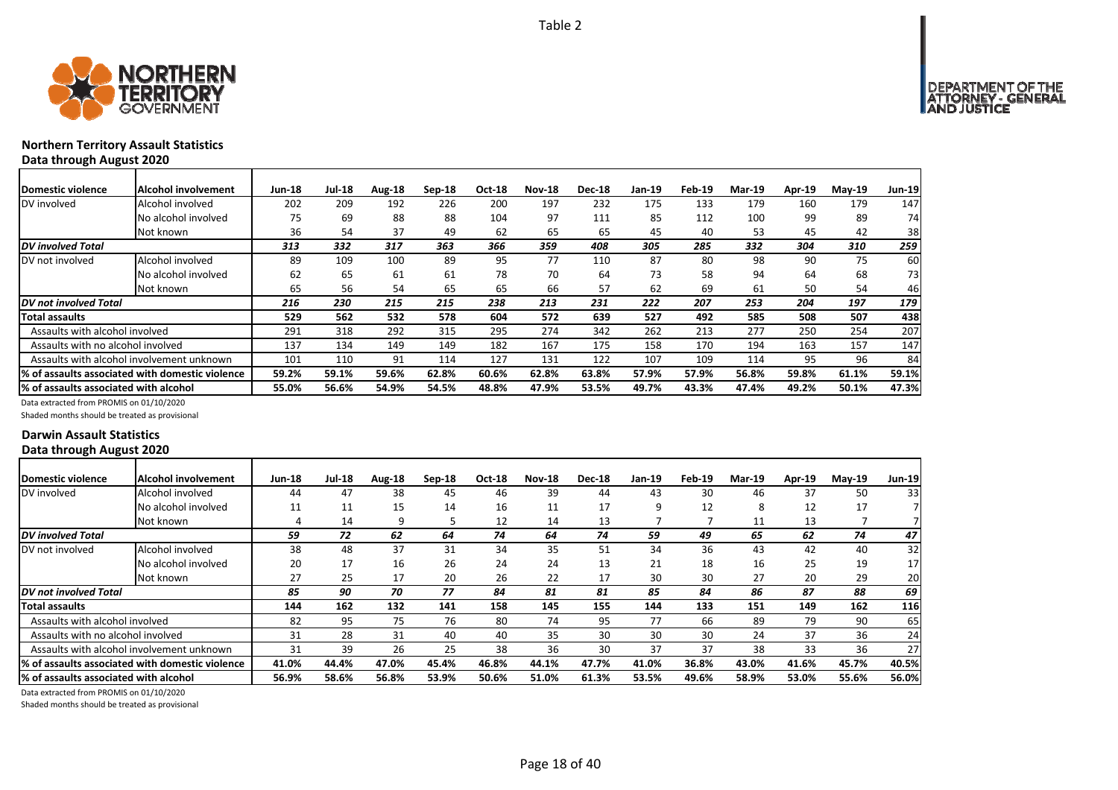

### **Northern Territory Assault Statistics Data through August 2020**

| Domestic violence                     | Alcohol involvement                              | <b>Jun-18</b> | <b>Jul-18</b> | Aug-18 | $Sep-18$ | <b>Oct-18</b> | <b>Nov-18</b> | <b>Dec-18</b> | Jan-19 | Feb-19 | <b>Mar-19</b> | Apr-19 | $M$ ay-19 | <b>Jun-19</b> |
|---------------------------------------|--------------------------------------------------|---------------|---------------|--------|----------|---------------|---------------|---------------|--------|--------|---------------|--------|-----------|---------------|
| DV involved                           | Alcohol involved                                 | 202           | 209           | 192    | 226      | 200           | 197           | 232           | 175    | 133    | 179           | 160    | 179       | 147           |
|                                       | No alcohol involved                              | 75            | 69            | 88     | 88       | 104           | 97            | 111           | 85     | 112    | 100           | 99     | 89        | 74            |
|                                       | Not known                                        | 36            | 54            | 37     | 49       | 62            | 65            | 65            | 45     | 40     | 53            | 45     | 42        | 38            |
| DV involved Total                     |                                                  | 313           | 332           | 317    | 363      | 366           | 359           | 408           | 305    | 285    | 332           | 304    | 310       | 259           |
| DV not involved                       | Alcohol involved                                 | 89            | 109           | 100    | 89       | 95            | 77            | 110           | 87     | 80     | 98            | 90     | 75        | 60            |
|                                       | No alcohol involved                              | 62            | 65            | 61     | 61       | 78            | 70            | 64            | 73     | 58     | 94            | 64     | 68        | 73            |
|                                       | Not known                                        | 65            | 56            | 54     | 65       | 65            | 66            | 57            | 62     | 69     | 61            | 50     | 54        | 46            |
| DV not involved Total                 |                                                  | 216           | 230           | 215    | 215      | 238           | 213           | 231           | 222    | 207    | 253           | 204    | 197       | 179           |
| Total assaults                        |                                                  | 529           | 562           | 532    | 578      | 604           | 572           | 639           | 527    | 492    | 585           | 508    | 507       | 438           |
| Assaults with alcohol involved        |                                                  | 291           | 318           | 292    | 315      | 295           | 274           | 342           | 262    | 213    | 277           | 250    | 254       | 207           |
| Assaults with no alcohol involved     |                                                  | 137           | 134           | 149    | 149      | 182           | 167           | 175           | 158    | 170    | 194           | 163    | 157       | 147           |
|                                       | Assaults with alcohol involvement unknown        | 101           | 110           | 91     | 114      | 127           | 131           | 122           | 107    | 109    | 114           | 95     | 96        | 84            |
|                                       | I% of assaults associated with domestic violence | 59.2%         | 59.1%         | 59.6%  | 62.8%    | 60.6%         | 62.8%         | 63.8%         | 57.9%  | 57.9%  | 56.8%         | 59.8%  | 61.1%     | 59.1%         |
| % of assaults associated with alcohol |                                                  | 55.0%         | 56.6%         | 54.9%  | 54.5%    | 48.8%         | 47.9%         | 53.5%         | 49.7%  | 43.3%  | 47.4%         | 49.2%  | 50.1%     | 47.3%         |

Data extracted from PROMIS on 01/10/2020

Shaded months should be treated as provisional

### **Darwin Assault Statistics Data through August 2020**

| <b>Domestic violence</b>               | Alcohol involvement                              | <b>Jun-18</b> | <b>Jul-18</b> | Aug-18 | $Sep-18$ | Oct-18 | <b>Nov-18</b> | <b>Dec-18</b> | Jan-19 | Feb-19 | <b>Mar-19</b> | Apr-19 | $Mav-19$ | <b>Jun-19</b>   |
|----------------------------------------|--------------------------------------------------|---------------|---------------|--------|----------|--------|---------------|---------------|--------|--------|---------------|--------|----------|-----------------|
| DV involved                            | Alcohol involved                                 | 44            | 47            | 38     | 45       | 46     | 39            | 44            | 43     | 30     | 46            | 37     | 50       | 33              |
|                                        | No alcohol involved                              | 11            | 11            | 15     | 14       | 16     | 11            | 17            | ٩      | 12     | 8             | 12     | 17       |                 |
|                                        | Not known                                        |               | 14            | 9      | 5        | 12     | 14            | 13            |        |        | 11            | 13     |          |                 |
| DV involved Total                      |                                                  | 59            | 72            | 62     | 64       | 74     | 64            | 74            | 59     | 49     | 65            | 62     | 74       | 47              |
| DV not involved                        | Alcohol involved                                 | 38            | 48            | 37     | 31       | 34     | 35            | 51            | 34     | 36     | 43            | 42     | 40       | 32              |
|                                        | No alcohol involved                              | 20            | 17            | 16     | 26       | 24     | 24            | 13            | 21     | 18     | 16            | 25     | 19       | 17 <sup>1</sup> |
|                                        | Not known                                        | 27            | 25            | 17     | 20       | 26     | 22            | 17            | 30     | 30     | 27            | 20     | 29       | 20              |
| DV not involved Total                  |                                                  | 85            | 90            | 70     | 77       | 84     | 81            | 81            | 85     | 84     | 86            | 87     | 88       | 69              |
| Total assaults                         |                                                  | 144           | 162           | 132    | 141      | 158    | 145           | 155           | 144    | 133    | 151           | 149    | 162      | 116             |
| Assaults with alcohol involved         |                                                  | 82            | 95            | 75     | 76       | 80     | 74            | 95            | 77     | 66     | 89            | 79     | 90       | 65              |
| Assaults with no alcohol involved      |                                                  | 31            | 28            | 31     | 40       | 40     | 35            | 30            | 30     | 30     | 24            | 37     | 36       | 24              |
|                                        | Assaults with alcohol involvement unknown        | 31            | 39            | 26     | 25       | 38     | 36            | 30            | 37     | 37     | 38            | 33     | 36       | 27              |
|                                        | I% of assaults associated with domestic violence | 41.0%         | 44.4%         | 47.0%  | 45.4%    | 46.8%  | 44.1%         | 47.7%         | 41.0%  | 36.8%  | 43.0%         | 41.6%  | 45.7%    | 40.5%           |
| I% of assaults associated with alcohol |                                                  | 56.9%         | 58.6%         | 56.8%  | 53.9%    | 50.6%  | 51.0%         | 61.3%         | 53.5%  | 49.6%  | 58.9%         | 53.0%  | 55.6%    | 56.0%           |

Page 18 of 40

Data extracted from PROMIS on 01/10/2020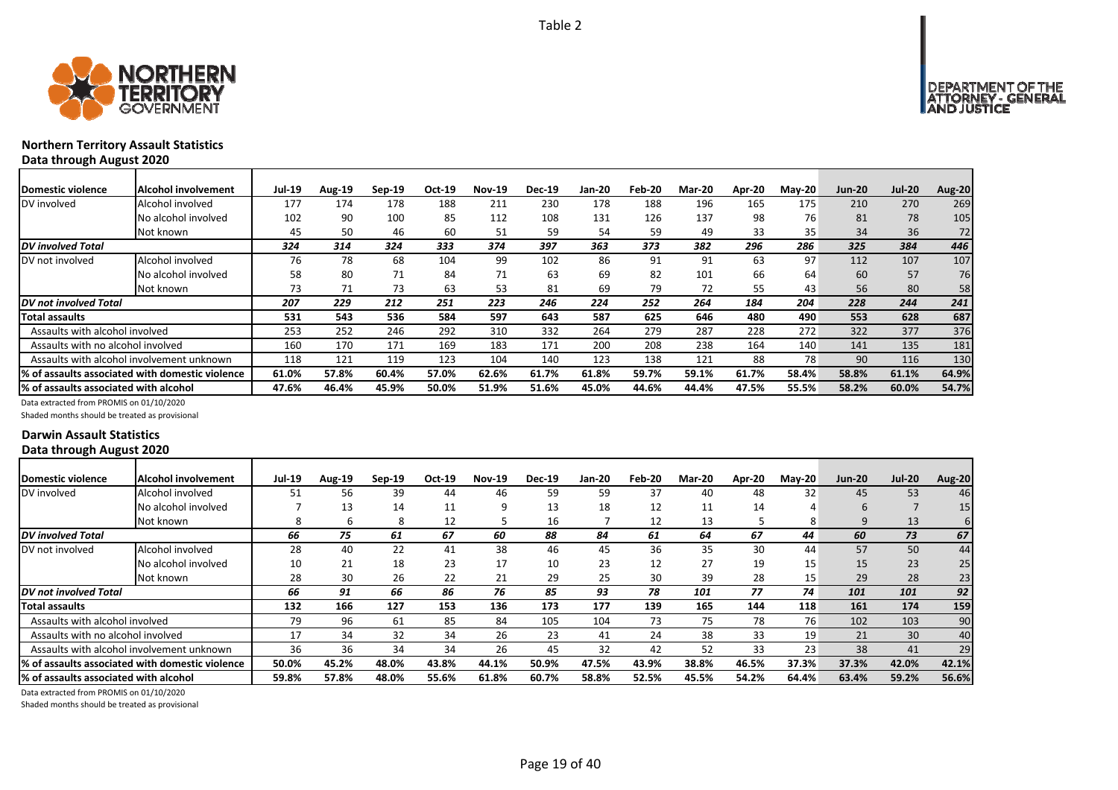



### **Northern Territory Assault Statistics Data through August 2020**

| Domestic violence                     | Alcohol involvement                             | <b>Jul-19</b> | Aug-19 | $Sep-19$ | Oct-19 | <b>Nov-19</b> | <b>Dec-19</b> | Jan-20 | Feb-20 | Mar-20 | Apr-20 | $M$ ay-20 | <b>Jun-20</b> | <b>Jul-20</b> | <b>Aug-20</b> |
|---------------------------------------|-------------------------------------------------|---------------|--------|----------|--------|---------------|---------------|--------|--------|--------|--------|-----------|---------------|---------------|---------------|
| DV involved                           | Alcohol involved                                | 177           | 174    | 178      | 188    | 211           | 230           | 178    | 188    | 196    | 165    | 175       | 210           | 270           | 269           |
|                                       | No alcohol involved                             | 102           | 90     | 100      | 85     | 112           | 108           | 131    | 126    | 137    | 98     | 76        | 81            | 78            | 105           |
|                                       | Not known                                       | 45            | 50     | 46       | 60     | 51            | 59            | 54     | 59     | 49     | 33     | 35        | 34            | 36            | 72            |
| <b>DV</b> involved Total              |                                                 | 324           | 314    | 324      | 333    | 374           | 397           | 363    | 373    | 382    | 296    | 286       | 325           | 384           | 446           |
| DV not involved                       | Alcohol involved                                | 76            | 78     | 68       | 104    | 99            | 102           | 86     | 91     | 91     | 63     | 97        | 112           | 107           | 107           |
|                                       | No alcohol involved                             | 58            | 80     | 71       | 84     | 71            | 63            | 69     | 82     | 101    | 66     | 64        | 60            | 57            | 76            |
|                                       | Not known                                       | 73            |        | 73       | 63     | 53            | 81            | 69     | 79     | 72     | 55     | 43        | 56            | 80            | 58            |
| DV not involved Total                 |                                                 | 207           | 229    | 212      | 251    | 223           | 246           | 224    | 252    | 264    | 184    | 204       | 228           | 244           | 241           |
| <b>Total assaults</b>                 |                                                 | 531           | 543    | 536      | 584    | 597           | 643           | 587    | 625    | 646    | 480    | 490       | 553           | 628           | 687           |
| Assaults with alcohol involved        |                                                 | 253           | 252    | 246      | 292    | 310           | 332           | 264    | 279    | 287    | 228    | 272       | 322           | 377           | 376           |
| Assaults with no alcohol involved     |                                                 | 160           | 170    | 171      | 169    | 183           | 171           | 200    | 208    | 238    | 164    | 140       | 141           | 135           | 181           |
|                                       | Assaults with alcohol involvement unknown       | 118           | 121    | 119      | 123    | 104           | 140           | 123    | 138    | 121    | 88     | 78        | 90            | 116           | 130           |
|                                       | % of assaults associated with domestic violence | 61.0%         | 57.8%  | 60.4%    | 57.0%  | 62.6%         | 61.7%         | 61.8%  | 59.7%  | 59.1%  | 61.7%  | 58.4%     | 58.8%         | 61.1%         | 64.9%         |
| % of assaults associated with alcohol |                                                 | 47.6%         | 46.4%  | 45.9%    | 50.0%  | 51.9%         | 51.6%         | 45.0%  | 44.6%  | 44.4%  | 47.5%  | 55.5%     | 58.2%         | 60.0%         | 54.7%         |

Data extracted from PROMIS on 01/10/2020

Shaded months should be treated as provisional

### **Darwin Assault Statistics Data through August 2020**

| Domestic violence                     | Alcohol involvement                             | <b>Jul-19</b> | <b>Aug-19</b> | $Sep-19$ | Oct-19 | <b>Nov-19</b> | <b>Dec-19</b> | Jan-20 | Feb-20 | <b>Mar-20</b> | Apr-20 | $M$ ay-20 | <b>Jun-20</b> | <b>Jul-20</b> | <b>Aug-20</b>   |
|---------------------------------------|-------------------------------------------------|---------------|---------------|----------|--------|---------------|---------------|--------|--------|---------------|--------|-----------|---------------|---------------|-----------------|
| DV involved                           | Alcohol involved                                | 51            | 56            | 39       | 44     | 46            | 59            | 59     | 37     | 40            | 48     | 32        | 45            | 53            | 46              |
|                                       | No alcohol involved                             |               | 13            | 14       | 11     |               | 13            | 18     | 12     | 11            | 14     |           | 6             |               | 15 <sub>l</sub> |
|                                       | Not known                                       |               | h             | 8        | 12     |               | 16            |        | 12     | 13            |        | 8         | 9             | 13            | 6               |
| <b>DV</b> involved Total              |                                                 | 66            | 75            | 61       | 67     | 60            | 88            | 84     | 61     | 64            | 67     | 44        | 60            | 73            | 67              |
| DV not involved                       | Alcohol involved                                | 28            | 40            | 22       | 41     | 38            | 46            | 45     | 36     | 35            | 30     | 44        | 57            | 50            | 44              |
|                                       | No alcohol involved                             | 10            | 21            | 18       | 23     | 17            | 10            | 23     | 12     | 27            | 19     | 15        | 15            | 23            | 25              |
|                                       | Not known                                       | 28            | 30            | 26       | 22     | 21            | 29            | 25     | 30     | 39            | 28     | 15        | 29            | 28            | 23              |
| DV not involved Total                 |                                                 | 66            | 91            | 66       | 86     | 76            | 85            | 93     | 78     | 101           | 77     | 74        | 101           | 101           | 92              |
| Total assaults                        |                                                 | 132           | 166           | 127      | 153    | 136           | 173           | 177    | 139    | 165           | 144    | 118       | 161           | 174           | 159             |
| Assaults with alcohol involved        |                                                 | 79            | 96            | 61       | 85     | 84            | 105           | 104    | 73     | 75            | 78     | 76        | 102           | 103           | 90              |
| Assaults with no alcohol involved     |                                                 | 17            | 34            | 32       | 34     | 26            | 23            | 41     | 24     | 38            | 33     | 19        | 21            | 30            | 40              |
|                                       | Assaults with alcohol involvement unknown       | 36            | 36            | 34       | 34     | 26            | 45            | 32     | 42     | 52            | 33     | 23        | 38            | 41            | 29              |
|                                       | % of assaults associated with domestic violence | 50.0%         | 45.2%         | 48.0%    | 43.8%  | 44.1%         | 50.9%         | 47.5%  | 43.9%  | 38.8%         | 46.5%  | 37.3%     | 37.3%         | 42.0%         | 42.1%           |
| % of assaults associated with alcohol |                                                 | 59.8%         | 57.8%         | 48.0%    | 55.6%  | 61.8%         | 60.7%         | 58.8%  | 52.5%  | 45.5%         | 54.2%  | 64.4%     | 63.4%         | 59.2%         | 56.6%           |

Data extracted from PROMIS on 01/10/2020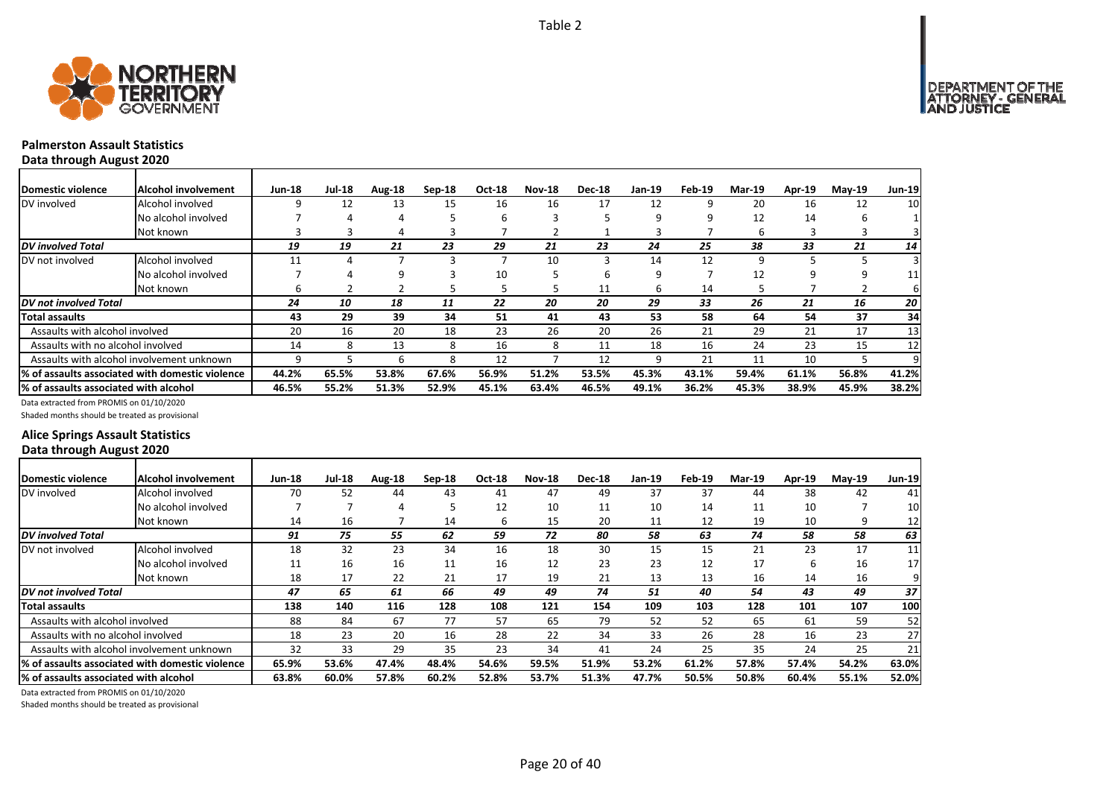

### **Palmerston Assault StatisticsData through August 2020**

Domestic violence |Alcohol involvement | Jun-18 Jul-18 Aug-18 Sep-18 Oct-18 Nov-18 Dec-18 Jan-19 Feb-19 Mar-19 Apr-19 May-19 Jun-19 DV involved Alcohol involved 9 12 13 15 16 16 17 12 9 20 16 12 10 No alcohol involved a state of the 4 4 a 5 6 3 5 5 9 9 12 14 6 1 Not known 3 3 4 3 7 2 1 3 7 6 3 3 3 *DV involved Total 19 19 21 23 29 21 23 24 25 38 33 21 14* DV not involved Alcohol involved 11 4 7 3 7 10 3 14 12 9 5 5 3 No alcohol involved 7 4 9 3 10 5 6 9 7 12 9 9 11 Not known 6 2 2 5 5 5 11 6 14 5 7 2 6 *DV not involved Total 24 10 18 11 22 20 20 29 33 26 21 16 20* Total assaults | 43 29 39 34 51 41 43 53 58 64 54 37 34 Assaults with alcohol involved **20** 16 20 18 23 26 20 26 21 29 21 17 13 Assaults with no alcohol involved 14 8 13 8 16 8 11 18 16 24 23 15 12 Assaults with alcohol involvement unknown | 9 5 6 8 12 7 12 9 21 11 10 5 9 % of assaults associated with domestic violence | 44.2% 65.5% 53.8% 67.6% 56.9% 51.2% 53.5% 45.3% 43.1% 59.4% 61.1% 56.8% 41.2% % of assaults associated with alcohol | 46.5% 55.2% 51.3% 52.9% 45.1% 63.4% 46.5% 49.1% 36.2% 45.3% 38.9% 45.9% 38.2%

Data extracted from PROMIS on 01/10/2020

Shaded months should be treated as provisional

### **Alice Springs Assault Statistics Data through August 2020**

| <b>Domestic violence</b>              | Alcohol involvement                             | <b>Jun-18</b> | <b>Jul-18</b> | Aug-18 | Sep-18 | <b>Oct-18</b> | <b>Nov-18</b> | <b>Dec-18</b> | Jan-19 | Feb-19 | <b>Mar-19</b> | <b>Apr-19</b> | $Mav-19$ | <b>Jun-19</b>   |
|---------------------------------------|-------------------------------------------------|---------------|---------------|--------|--------|---------------|---------------|---------------|--------|--------|---------------|---------------|----------|-----------------|
| DV involved                           | Alcohol involved                                | 70            | 52            | 44     | 43     | 41            | 47            | 49            | 37     | 37     | 44            | 38            | 42       | 41              |
|                                       | No alcohol involved                             |               |               | 4      |        | 12            | 10            | 11            | 10     | 14     | 11            | 10            |          | 10              |
|                                       | Not known                                       | 14            | 16            |        | 14     | 6             | 15            | 20            | 11     | 12     | 19            | 10            | 9        | 12              |
| <b>DV</b> involved Total              |                                                 | 91            | 75            | 55     | 62     | 59            | 72            | 80            | 58     | 63     | 74            | 58            | 58       | 63              |
| DV not involved                       | Alcohol involved                                | 18            | 32            | 23     | 34     | 16            | 18            | 30            | 15     | 15     | 21            | 23            | 17       | 11              |
|                                       | No alcohol involved                             | 11            | 16            | 16     | 11     | 16            | 12            | 23            | 23     | 12     | 17            | 6             | 16       | 17 <sup>1</sup> |
|                                       | Not known                                       | 18            | 17            | 22     | 21     | 17            | 19            | 21            | 13     | 13     | 16            | 14            | 16       | 9               |
| DV not involved Total                 |                                                 | 47            | 65            | 61     | 66     | 49            | 49            | 74            | 51     | 40     | 54            | 43            | 49       | 37              |
| <b>Total assaults</b>                 |                                                 | 138           | 140           | 116    | 128    | 108           | 121           | 154           | 109    | 103    | 128           | 101           | 107      | 100             |
| Assaults with alcohol involved        |                                                 | 88            | 84            | 67     | 77     | 57            | 65            | 79            | 52     | 52     | 65            | 61            | 59       | 52              |
| Assaults with no alcohol involved     |                                                 | 18            | 23            | 20     | 16     | 28            | 22            | 34            | 33     | 26     | 28            | 16            | 23       | 27              |
|                                       | Assaults with alcohol involvement unknown       | 32            | 33            | 29     | 35     | 23            | 34            | 41            | 24     | 25     | 35            | 24            | 25       | 21              |
|                                       | % of assaults associated with domestic violence | 65.9%         | 53.6%         | 47.4%  | 48.4%  | 54.6%         | 59.5%         | 51.9%         | 53.2%  | 61.2%  | 57.8%         | 57.4%         | 54.2%    | 63.0%           |
| % of assaults associated with alcohol |                                                 | 63.8%         | 60.0%         | 57.8%  | 60.2%  | 52.8%         | 53.7%         | 51.3%         | 47.7%  | 50.5%  | 50.8%         | 60.4%         | 55.1%    | 52.0%           |

Data extracted from PROMIS on 01/10/2020

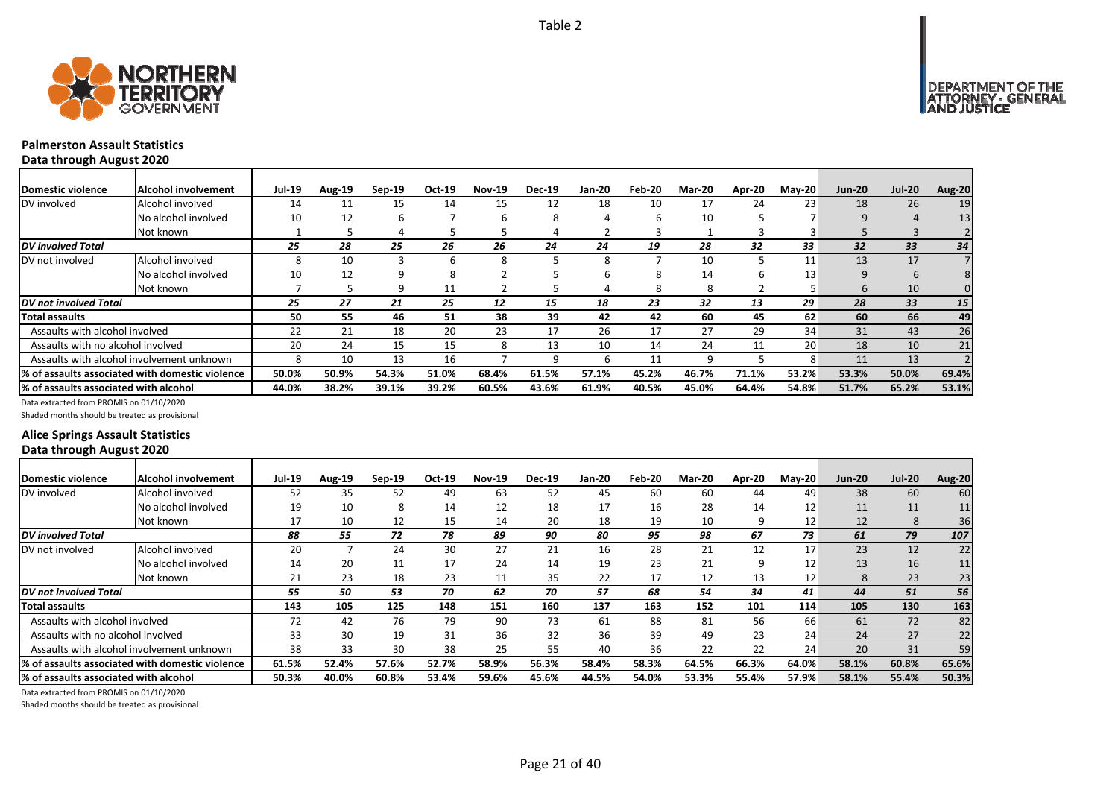



# **Palmerston Assault Statistics**

**Data through August 2020**

| <b>IDomestic violence</b>             | Alcohol involvement                              | <b>Jul-19</b> | <b>Aug-19</b> | $Sep-19$ | Oct-19 | <b>Nov-19</b> | <b>Dec-19</b> | <b>Jan-20</b> | Feb-20 | <b>Mar-20</b> | Apr-20 | $M$ ay-20 | <b>Jun-20</b> | <b>Jul-20</b> | <b>Aug-20</b>   |
|---------------------------------------|--------------------------------------------------|---------------|---------------|----------|--------|---------------|---------------|---------------|--------|---------------|--------|-----------|---------------|---------------|-----------------|
| DV involved                           | Alcohol involved                                 | 14            | 11            | 15       | 14     | 15            | 12            | 18            | 10     | 17            | 24     | 23        | 18            | 26            | 19              |
|                                       | No alcohol involved                              | 10            | 12            | b        |        | h             | 8             |               | b      | 10            |        |           | 9             | 4             | 13 <sup>1</sup> |
|                                       | Not known                                        |               |               |          |        |               | 4             |               |        |               |        |           |               |               |                 |
| <b>DV</b> involved Total              |                                                  | 25            | 28            | 25       | 26     | 26            | 24            | 24            | 19     | 28            | 32     | 33        | 32            | 33            | 34              |
| DV not involved                       | Alcohol involved                                 |               | 10            |          | h      | 8             |               | 8             |        | 10            |        | 11        | 13            | 17            |                 |
|                                       | No alcohol involved                              | 10            | 12            |          |        |               |               |               |        | 14            |        | 13        | 9             |               |                 |
|                                       | Not known                                        |               |               | q        | 11     |               |               |               | 8      | 8             |        |           | $\mathbf b$   | 10            |                 |
| <b>DV</b> not involved Total          |                                                  | 25            | 27            | 21       | 25     | 12            | 15            | 18            | 23     | 32            | 13     | 29        | 28            | 33            | 15 <sup>1</sup> |
| <b>Total assaults</b>                 |                                                  | 50            | 55            | 46       | 51     | 38            | 39            | 42            | 42     | 60            | 45     | 62        | 60            | 66            | 49              |
| Assaults with alcohol involved        |                                                  | 22            | 21            | 18       | 20     | 23            | 17            | 26            | 17     | 27            | 29     | 34        | 31            | 43            | 26              |
| Assaults with no alcohol involved     |                                                  | 20            | 24            | 15       | 15     | 8             | 13            | 10            | 14     | 24            | 11     | 20        | 18            | 10            | 21              |
|                                       | Assaults with alcohol involvement unknown        | 8             | 10            | 13       | 16     |               |               | h             | 11     | 9             |        | 8         | 11            | 13            |                 |
|                                       | 1% of assaults associated with domestic violence | 50.0%         | 50.9%         | 54.3%    | 51.0%  | 68.4%         | 61.5%         | 57.1%         | 45.2%  | 46.7%         | 71.1%  | 53.2%     | 53.3%         | 50.0%         | 69.4%           |
| % of assaults associated with alcohol |                                                  | 44.0%         | 38.2%         | 39.1%    | 39.2%  | 60.5%         | 43.6%         | 61.9%         | 40.5%  | 45.0%         | 64.4%  | 54.8%     | 51.7%         | 65.2%         | 53.1%           |

Data extracted from PROMIS on 01/10/2020

Shaded months should be treated as provisional

### **Alice Springs Assault Statistics Data through August 2020**

| Domestic violence                     | Alcohol involvement                              | <b>Jul-19</b> | Aug-19 | $Sep-19$ | Oct-19 | <b>Nov-19</b> | <b>Dec-19</b> | Jan-20 | Feb-20 | <b>Mar-20</b> | Apr-20 | $M$ ay-20 | <b>Jun-20</b> | <b>Jul-20</b> | <b>Aug-20</b> |
|---------------------------------------|--------------------------------------------------|---------------|--------|----------|--------|---------------|---------------|--------|--------|---------------|--------|-----------|---------------|---------------|---------------|
| DV involved                           | Alcohol involved                                 | 52            | 35     | 52       | 49     | 63            | 52            | 45     | 60     | 60            | 44     | 49        | 38            | 60            | 60            |
|                                       | No alcohol involved                              | 19            | 10     | 8        | 14     | 12            | 18            | 17     | 16     | 28            | 14     | 12        | 11            | 11            | 11            |
|                                       | Not known                                        | 17            | 10     | 12       | 15     | 14            | 20            | 18     | 19     | 10            | 9      | 12        | 12            | 8             | 36            |
| <b>DV</b> involved Total              |                                                  | 88            | 55     | 72       | 78     | 89            | 90            | 80     | 95     | 98            | 67     | 73        | 61            | 79            | 107           |
| DV not involved                       | Alcohol involved                                 | 20            |        | 24       | 30     | 27            | 21            | 16     | 28     | 21            | 12     | 17        | 23            | 12            | 22            |
|                                       | No alcohol involved                              | 14            | 20     | 11       | 17     | 24            | 14            | 19     | 23     | 21            | 9      | 12        | 13            | 16            | 11            |
|                                       | Not known                                        | 21            | 23     | 18       | 23     | 11            | 35            | 22     | 17     | 12            | 13     | 12        | 8             | 23            | 23            |
| <b>DV</b> not involved Total          |                                                  | 55            | 50     | 53       | 70     | 62            | 70            | 57     | 68     | 54            | 34     | 41        | 44            | 51            | 56            |
| <b>Total assaults</b>                 |                                                  | 143           | 105    | 125      | 148    | 151           | 160           | 137    | 163    | 152           | 101    | 114       | 105           | 130           | 163           |
| Assaults with alcohol involved        |                                                  | 72            | 42     | 76       | 79     | 90            | 73            | 61     | 88     | 81            | 56     | 66        | 61            | 72            | 82            |
| Assaults with no alcohol involved     |                                                  | 33            | 30     | 19       | 31     | 36            | 32            | 36     | 39     | 49            | 23     | 24        | 24            | 27            | 22            |
|                                       | Assaults with alcohol involvement unknown        | 38            | 33     | 30       | 38     | 25            | 55            | 40     | 36     | 22            | 22     | 24        | 20            | 31            | 59            |
|                                       | 1% of assaults associated with domestic violence | 61.5%         | 52.4%  | 57.6%    | 52.7%  | 58.9%         | 56.3%         | 58.4%  | 58.3%  | 64.5%         | 66.3%  | 64.0%     | 58.1%         | 60.8%         | 65.6%         |
| % of assaults associated with alcohol |                                                  | 50.3%         | 40.0%  | 60.8%    | 53.4%  | 59.6%         | 45.6%         | 44.5%  | 54.0%  | 53.3%         | 55.4%  | 57.9%     | 58.1%         | 55.4%         | 50.3%         |

Data extracted from PROMIS on 01/10/2020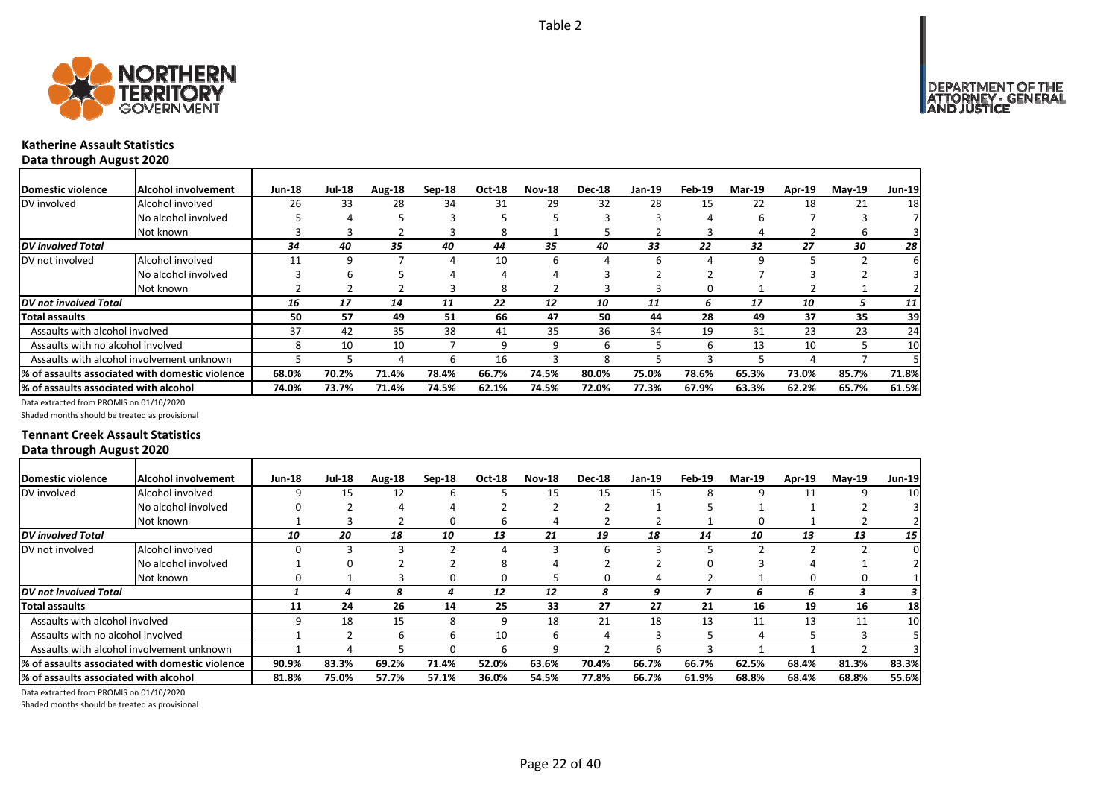

### **Katherine Assault Statistics Data through August 2020**

| <b>Domestic violence</b>              | Alcohol involvement                             | <b>Jun-18</b> | <b>Jul-18</b> | Aug-18 | Sep-18 | <b>Oct-18</b> | <b>Nov-18</b> | <b>Dec-18</b> | Jan-19 | Feb-19 | <b>Mar-19</b> | Apr-19 | $Mav-19$ | <b>Jun-19</b> |
|---------------------------------------|-------------------------------------------------|---------------|---------------|--------|--------|---------------|---------------|---------------|--------|--------|---------------|--------|----------|---------------|
| DV involved                           | Alcohol involved                                | 26            | 33            | 28     | 34     | 31            | 29            | 32            | 28     | 15     | 22            | 18     | 21       | 18            |
|                                       | No alcohol involved                             |               |               |        |        |               |               |               |        |        | h             |        |          |               |
|                                       | Not known                                       |               |               |        |        | 8             |               |               |        |        |               |        | b        |               |
| <b>DV</b> involved Total              |                                                 | 34            | 40            | 35     | 40     | 44            | 35            | 40            | 33     | 22     | 32            | 27     | 30       | 28            |
| DV not involved                       | Alcohol involved                                | 11            |               |        |        | 10            | 6             | Д             | h      |        | q             |        |          |               |
|                                       | No alcohol involved                             |               |               |        |        |               |               |               |        |        |               |        |          |               |
|                                       | Not known                                       |               |               |        |        | 8             |               |               |        |        |               |        |          |               |
| DV not involved Total                 |                                                 | 16            | 17            | 14     | 11     | 22            | 12            | 10            | 11     | ь      | 17            | 10     |          | 11            |
| Total assaults                        |                                                 | 50            | 57            | 49     | 51     | 66            | 47            | 50            | 44     | 28     | 49            | 37     | 35       | 39            |
| Assaults with alcohol involved        |                                                 | 37            | 42            | 35     | 38     | 41            | 35            | 36            | 34     | 19     | 31            | 23     | 23       | 24            |
| Assaults with no alcohol involved     |                                                 | 8             | 10            | 10     |        | 9             | 9             | n             |        | h      | 13            | 10     |          | 10            |
|                                       | Assaults with alcohol involvement unknown       |               |               |        | b      | 16            | 3             | 8             |        |        |               | 4      |          |               |
|                                       | % of assaults associated with domestic violence | 68.0%         | 70.2%         | 71.4%  | 78.4%  | 66.7%         | 74.5%         | 80.0%         | 75.0%  | 78.6%  | 65.3%         | 73.0%  | 85.7%    | 71.8%         |
| % of assaults associated with alcohol |                                                 | 74.0%         | 73.7%         | 71.4%  | 74.5%  | 62.1%         | 74.5%         | 72.0%         | 77.3%  | 67.9%  | 63.3%         | 62.2%  | 65.7%    | 61.5%         |

Data extracted from PROMIS on 01/10/2020

Shaded months should be treated as provisional

### **Tennant Creek Assault Statistics Data through August 2020**

| Domestic violence                      | Alcohol involvement                              | <b>Jun-18</b> | <b>Jul-18</b> | Aug-18 | $Sep-18$ | <b>Oct-18</b> | <b>Nov-18</b> | <b>Dec-18</b> | Jan-19 | Feb-19 | <b>Mar-19</b> | <b>Apr-19</b> | $M$ ay-19 | <b>Jun-19</b> |
|----------------------------------------|--------------------------------------------------|---------------|---------------|--------|----------|---------------|---------------|---------------|--------|--------|---------------|---------------|-----------|---------------|
| DV involved                            | Alcohol involved                                 | ٩             | 15            | 12     | ь        |               | 15            | 15            | 15     |        | 9             | 11            | 9         | 10            |
|                                        | No alcohol involved                              |               |               |        |          |               |               |               |        |        |               |               |           |               |
|                                        | Not known                                        |               |               |        | o        | b             | 4             |               |        |        | 0             |               |           |               |
| <b>DV</b> involved Total               |                                                  | 10            | 20            | 18     | 10       | 13            | 21            | 19            | 18     | 14     | 10            | 13            | 13        | 15            |
| DV not involved                        | Alcohol involved                                 |               |               |        |          |               |               | 6             |        |        |               |               |           | $\Omega$      |
|                                        | No alcohol involved                              |               |               |        |          | Ջ             | Δ             |               |        |        |               | Δ             |           |               |
|                                        | Not known                                        |               |               |        | 0        | 0             | 5             | 0             |        |        |               |               |           |               |
| <b>DV</b> not involved Total           |                                                  |               |               | 8      | 4        | 12            | 12            | 8             | 9      |        | ь             | 6             |           | 3             |
| Total assaults                         |                                                  | 11            | 24            | 26     | 14       | 25            | 33            | 27            | 27     | 21     | 16            | 19            | 16        | 18            |
| Assaults with alcohol involved         |                                                  |               | 18            | 15     | 8        | 9             | 18            | 21            | 18     | 13     | 11            | 13            | 11        | 10            |
| Assaults with no alcohol involved      |                                                  |               |               | h      | h        | 10            | 6             |               |        |        |               |               | 3         |               |
|                                        | Assaults with alcohol involvement unknown        |               |               |        |          | b             | 9             |               | h      |        |               |               |           |               |
|                                        | 1% of assaults associated with domestic violence | 90.9%         | 83.3%         | 69.2%  | 71.4%    | 52.0%         | 63.6%         | 70.4%         | 66.7%  | 66.7%  | 62.5%         | 68.4%         | 81.3%     | 83.3%         |
| 1% of assaults associated with alcohol |                                                  | 81.8%         | 75.0%         | 57.7%  | 57.1%    | 36.0%         | 54.5%         | 77.8%         | 66.7%  | 61.9%  | 68.8%         | 68.4%         | 68.8%     | 55.6%         |

Data extracted from PROMIS on 01/10/2020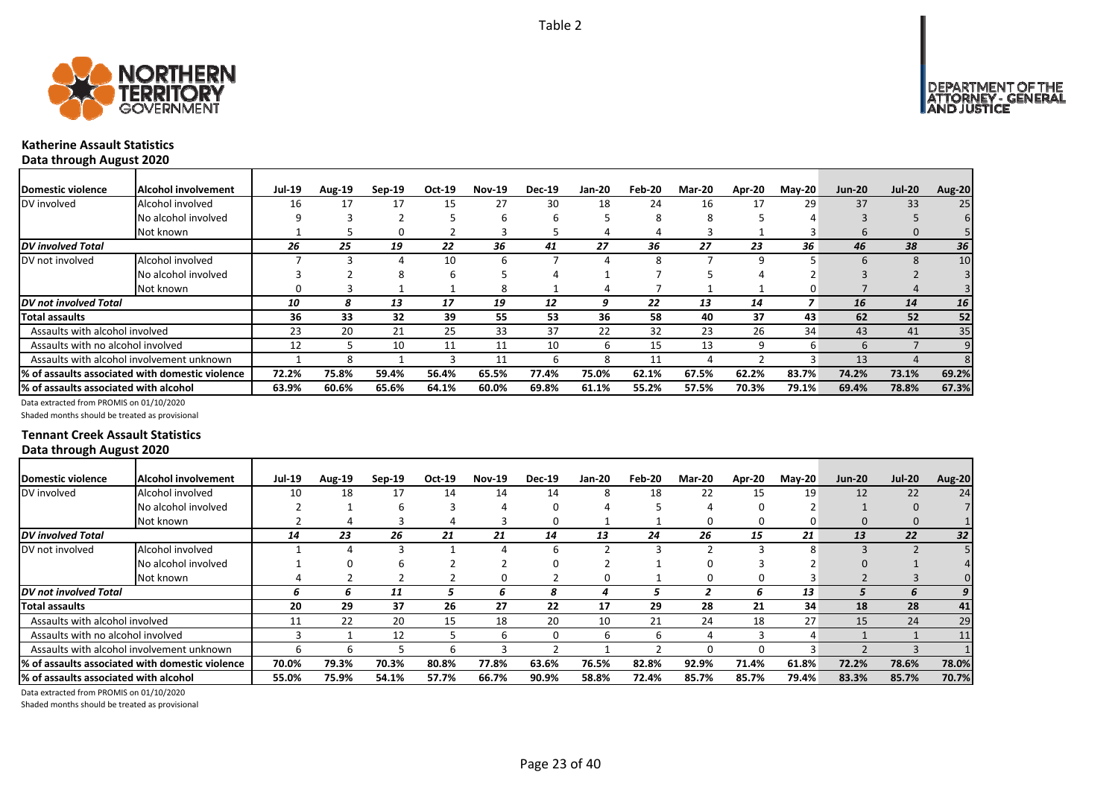



### **Katherine Assault Statistics Data through August 2020**

| <b>Domestic violence</b>              | <b>Alcohol involvement</b>                      | <b>Jul-19</b> | Aug-19 | $Sep-19$ | Oct-19 | <b>Nov-19</b> | <b>Dec-19</b> | <b>Jan-20</b> | Feb-20 | Mar-20 | Apr-20 | $M$ ay-20 | <b>Jun-20</b> | <b>Jul-20</b> | <b>Aug-20</b> |
|---------------------------------------|-------------------------------------------------|---------------|--------|----------|--------|---------------|---------------|---------------|--------|--------|--------|-----------|---------------|---------------|---------------|
| DV involved                           | Alcohol involved                                | 16            | 17     |          | 15     | 27            | 30            | 18            | 24     | 16     | 17     | 29        | 37            | 33            | 25            |
|                                       | No alcohol involved                             | q             |        |          |        | h             |               |               | 8      | 8      |        |           |               |               |               |
|                                       | Not known                                       |               |        |          |        |               |               |               |        |        |        |           | b             |               |               |
| <b>DV</b> involved Total              |                                                 | 26            | 25     | 19       | 22     | 36            | 41            | 27            | 36     | 27     | 23     | 36        | 46            | 38            | 36            |
| DV not involved                       | Alcohol involved                                |               |        |          | 10     |               |               |               | Ջ      |        | ٩      |           |               |               | 10            |
|                                       | No alcohol involved                             |               |        |          |        |               |               |               |        |        |        |           |               |               |               |
|                                       | Not known                                       |               |        |          |        |               |               |               |        |        |        |           |               |               |               |
| DV not involved Total                 |                                                 | 10            | 8      | 13       | 17     | 19            | 12            | 9             | 22     | 13     | 14     |           | 16            | 14            | 16            |
| <b>Total assaults</b>                 |                                                 | 36            | 33     | 32       | 39     | 55            | 53            | 36            | 58     | 40     | 37     | 43        | 62            | 52            | 52            |
| Assaults with alcohol involved        |                                                 | 23            | 20     | 21       | 25     | 33            | 37            | 22            | 32     | 23     | 26     | 34        | 43            | 41            | 35            |
| Assaults with no alcohol involved     |                                                 | 12            |        | 10       | 11     | 11            | 10            | ь             | 15     | 13     | q      | b         | <sub>b</sub>  |               |               |
|                                       | Assaults with alcohol involvement unknown       |               |        |          |        | 11            |               | ጸ             | 11     |        |        |           | 13            |               |               |
|                                       | % of assaults associated with domestic violence | 72.2%         | 75.8%  | 59.4%    | 56.4%  | 65.5%         | 77.4%         | 75.0%         | 62.1%  | 67.5%  | 62.2%  | 83.7%     | 74.2%         | 73.1%         | 69.2%         |
| % of assaults associated with alcohol |                                                 | 63.9%         | 60.6%  | 65.6%    | 64.1%  | 60.0%         | 69.8%         | 61.1%         | 55.2%  | 57.5%  | 70.3%  | 79.1%     | 69.4%         | 78.8%         | 67.3%         |

Data extracted from PROMIS on 01/10/2020

Shaded months should be treated as provisional

### **Tennant Creek Assault Statistics Data through August 2020**

| Domestic violence                     | Alcohol involvement                              | <b>Jul-19</b> | <b>Aug-19</b> | $Sep-19$ | Oct-19 | <b>Nov-19</b> | <b>Dec-19</b> | Jan-20 | Feb-20 | Mar-20 | Apr-20 | $M$ ay-20 | <b>Jun-20</b> | <b>Jul-20</b> | <b>Aug-20</b> |
|---------------------------------------|--------------------------------------------------|---------------|---------------|----------|--------|---------------|---------------|--------|--------|--------|--------|-----------|---------------|---------------|---------------|
| DV involved                           | Alcohol involved                                 | 10            | 18            | 17       | 14     | 14            | 14            | 8      | 18     | 22     | 15     | 19        | 12            | 22            | 24            |
|                                       | No alcohol involved                              |               |               |          |        |               |               |        |        |        |        |           |               |               |               |
|                                       | Not known                                        |               |               |          |        |               |               |        |        |        | 0      | 0         | 0             | 0             |               |
| <b>DV</b> involved Total              |                                                  | 14            | 23            | 26       | 21     | 21            | 14            | 13     | 24     | 26     | 15     | 21        | 13            | 22            | 32            |
| DV not involved                       | Alcohol involved                                 |               |               |          |        |               | h             |        |        |        |        | 8         |               |               |               |
|                                       | No alcohol involved                              |               |               |          |        |               |               |        |        |        |        |           |               |               |               |
|                                       | Not known                                        |               |               |          |        |               |               | O      |        |        |        |           |               |               |               |
| <b>DV</b> not involved Total          |                                                  | 6             | ь             | 11       | ∍      | b.            | 8             |        |        |        |        | 13        |               | 6             |               |
| <b>Total assaults</b>                 |                                                  | 20            | 29            | 37       | 26     | 27            | 22            | 17     | 29     | 28     | 21     | 34        | 18            | 28            | 41            |
| Assaults with alcohol involved        |                                                  | 11            | 22            | 20       | 15     | 18            | 20            | 10     | 21     | 24     | 18     | 27        | 15            | 24            | 29            |
| Assaults with no alcohol involved     |                                                  |               |               | 12       |        | b             | 0             | ь      | 6      |        |        | 4         |               |               |               |
|                                       | Assaults with alcohol involvement unknown        |               |               |          |        |               |               |        |        |        |        |           |               |               |               |
|                                       | 1% of assaults associated with domestic violence | 70.0%         | 79.3%         | 70.3%    | 80.8%  | 77.8%         | 63.6%         | 76.5%  | 82.8%  | 92.9%  | 71.4%  | 61.8%     | 72.2%         | 78.6%         | 78.0%         |
| % of assaults associated with alcohol |                                                  | 55.0%         | 75.9%         | 54.1%    | 57.7%  | 66.7%         | 90.9%         | 58.8%  | 72.4%  | 85.7%  | 85.7%  | 79.4%     | 83.3%         | 85.7%         | 70.7%         |

Data extracted from PROMIS on 01/10/2020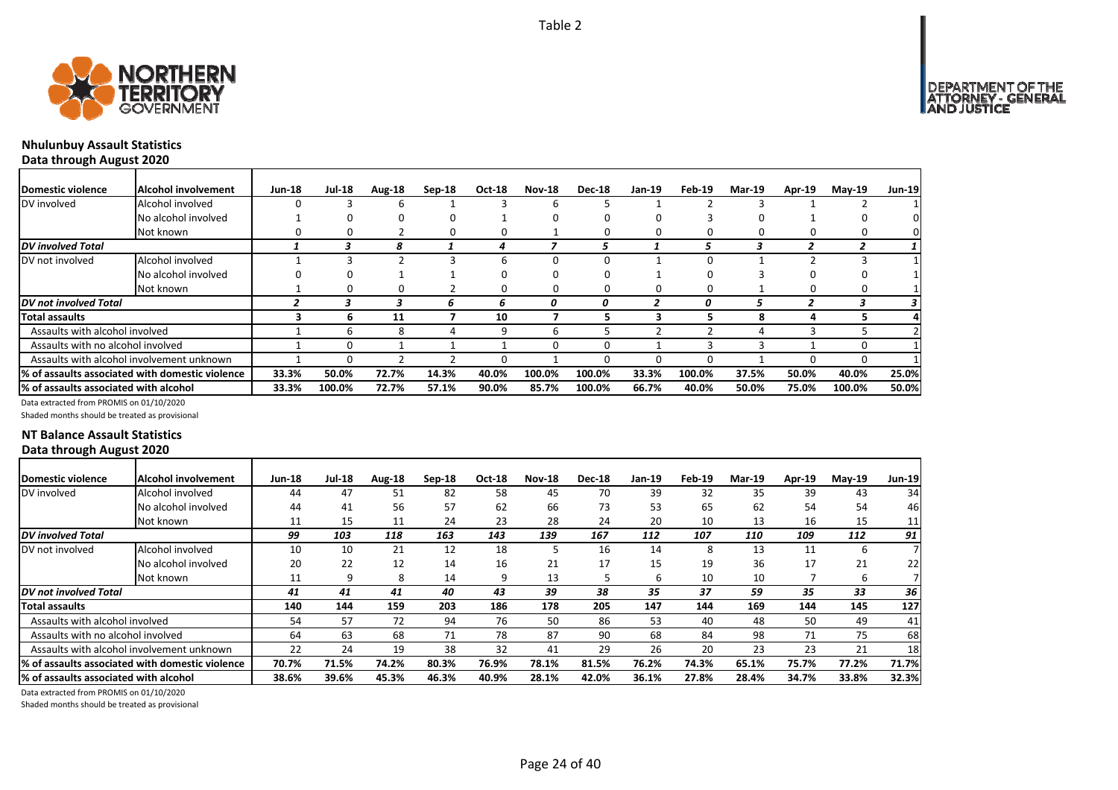

### **Nhulunbuy Assault Statistics Data through August 2020**

| <b>Domestic violence</b>                        | Alcohol involvement | <b>Jun-18</b> | <b>Jul-18</b> | Aug-18 | $Sep-18$ | Oct-18 | <b>Nov-18</b> | <b>Dec-18</b> | <b>Jan-19</b> | Feb-19 | <b>Mar-19</b> | Apr-19 | $Mav-19$ | <b>Jun-19</b> |
|-------------------------------------------------|---------------------|---------------|---------------|--------|----------|--------|---------------|---------------|---------------|--------|---------------|--------|----------|---------------|
| DV involved                                     | Alcohol involved    |               |               | ь      |          |        | b             |               |               |        |               |        |          |               |
|                                                 | No alcohol involved |               |               | O      |          |        | 0             |               |               |        |               |        |          |               |
|                                                 | Not known           |               |               |        | 0        | 0      |               |               |               |        |               |        | 0        |               |
| <b>DV</b> involved Total                        |                     |               | З             | 8      |          | 4      |               | ٠,            |               | ∽      | 3             |        |          |               |
| DV not involved                                 | Alcohol involved    |               |               |        |          | h      | 0             |               |               |        |               |        |          |               |
|                                                 | No alcohol involved |               |               |        |          | 0      | O             |               |               |        |               |        |          |               |
|                                                 | Not known           |               |               | 0      |          | 0      | 0             |               |               |        |               |        | 0        |               |
| DV not involved Total                           |                     |               |               |        |          | 6      | Ω             | 0             |               |        |               |        |          |               |
| Total assaults                                  |                     |               | h             | 11     |          | 10     |               |               |               |        | 8             | 4      |          |               |
| Assaults with alcohol involved                  |                     |               |               | 8      |          | 9      | h             |               |               |        |               |        |          |               |
| Assaults with no alcohol involved               |                     |               | n             |        |          |        | <sup>0</sup>  |               |               |        |               |        | 0        |               |
| Assaults with alcohol involvement unknown       |                     |               |               |        |          | 0      |               |               | 0             |        |               |        | 0        |               |
| % of assaults associated with domestic violence |                     | 33.3%         | 50.0%         | 72.7%  | 14.3%    | 40.0%  | 100.0%        | 100.0%        | 33.3%         | 100.0% | 37.5%         | 50.0%  | 40.0%    | 25.0%         |
| % of assaults associated with alcohol           |                     | 33.3%         | 100.0%        | 72.7%  | 57.1%    | 90.0%  | 85.7%         | 100.0%        | 66.7%         | 40.0%  | 50.0%         | 75.0%  | 100.0%   | 50.0%         |

Data extracted from PROMIS on 01/10/2020

Shaded months should be treated as provisional

### **NT Balance Assault Statistics Data through August 2020**

| <b>Jul-18</b><br><b>Nov-18</b><br>Domestic violence<br>Alcohol involvement<br><b>Jun-18</b><br>Aug-18<br>Oct-18<br><b>Dec-18</b><br>Jan-19<br>$Sep-18$ | Feb-19<br><b>Mar-19</b> | <b>Apr-19</b> |                           |
|--------------------------------------------------------------------------------------------------------------------------------------------------------|-------------------------|---------------|---------------------------|
|                                                                                                                                                        |                         |               | <b>Jun-19</b><br>$Mav-19$ |
| 39<br>DV involved<br>51<br>82<br>58<br>45<br>70<br>Alcohol involved<br>44<br>47                                                                        | 32<br>35                | 39            | 34<br>43                  |
| 57<br>62<br>66<br>53<br>56<br>73<br>No alcohol involved<br>44<br>41                                                                                    | 65<br>62                | 54            | 54<br>46                  |
| 28<br>24<br>23<br>20<br>24<br>15<br>11<br>11<br>Not known                                                                                              | 13<br>10                | 16            | 15<br>11                  |
| 167<br>99<br>103<br>163<br>143<br>139<br><b>DV</b> involved Total<br>118<br>112                                                                        | 107<br>110              | 109           | 91<br>112                 |
| 18<br>DV not involved<br>21<br>12<br>16<br>Alcohol involved<br>10<br>10<br>14                                                                          | 13<br>8                 | 11            | ь                         |
| 16<br>20<br>22<br>21<br>17<br>12<br>14<br>15<br>No alcohol involved                                                                                    | 36<br>19                | 17            | 21<br>22                  |
| 13<br>9<br>Not known<br>11<br>8<br>14<br>9<br>ь                                                                                                        | 10<br>10                |               | ь                         |
| 39<br>38<br>40<br>43<br>35<br>DV not involved Total<br>41<br>41<br>41                                                                                  | 37<br>59                | 35            | 33<br>36                  |
| 186<br>178<br>205<br>140<br>203<br>147<br><b>Total assaults</b><br>144<br>159                                                                          | 144<br>169              | 144           | 127<br>145                |
| Assaults with alcohol involved<br>72<br>94<br>76<br>50<br>86<br>53<br>54<br>57                                                                         | 40<br>48                | 50            | 49<br>41                  |
| 78<br>87<br>90<br>63<br>68<br>71<br>68<br>64<br>Assaults with no alcohol involved                                                                      | 84<br>98                | 71            | 75<br>68                  |
| 38<br>32<br>29<br>Assaults with alcohol involvement unknown<br>22<br>24<br>26<br>19<br>41                                                              | 23<br>20                | 23            | 21<br>18 <sub>l</sub>     |
| % of assaults associated with domestic violence<br>70.7%<br>76.2%<br>71.5%<br>74.2%<br>80.3%<br>76.9%<br>78.1%<br>81.5%                                | 74.3%<br>65.1%          | 75.7%         | 71.7%<br>77.2%            |
| 38.6%<br>39.6%<br>45.3%<br>46.3%<br>40.9%<br>28.1%<br>42.0%<br>36.1%<br>% of assaults associated with alcohol                                          | 27.8%<br>28.4%          | 34.7%         | 32.3%<br>33.8%            |

Data extracted from PROMIS on 01/10/2020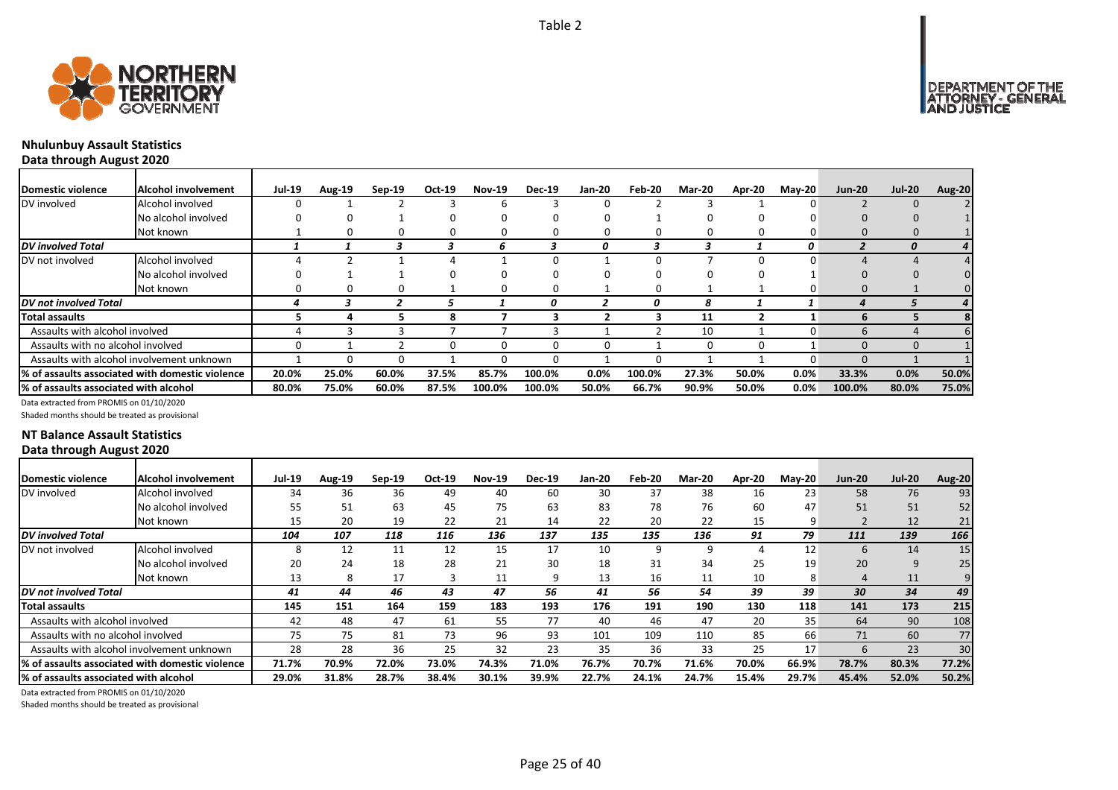



### **Nhulunbuy Assault Statistics Data through August 2020**

| Domestic violence                         | <b>Alcohol involvement</b>                      | <b>Jul-19</b> | Aug-19 | $Sep-19$ | Oct-19 | <b>Nov-19</b> | <b>Dec-19</b> | <b>Jan-20</b> | Feb-20 | <b>Mar-20</b> | Apr-20   | $Mav-20$ | <b>Jun-20</b> | <b>Jul-20</b> | Aug-20 |
|-------------------------------------------|-------------------------------------------------|---------------|--------|----------|--------|---------------|---------------|---------------|--------|---------------|----------|----------|---------------|---------------|--------|
| DV involved                               | Alcohol involved                                |               |        |          |        |               |               |               |        |               |          |          |               |               |        |
|                                           | No alcohol involved                             |               | 0      |          |        |               |               |               |        |               |          |          |               |               |        |
|                                           | Not known                                       |               | 0      |          |        |               |               |               | 0      |               | 0        |          |               |               |        |
| DV involved Total                         |                                                 |               |        |          |        |               |               | 0             |        |               |          | 0        |               |               |        |
| DV not involved                           | Alcohol involved                                |               |        |          |        |               |               |               |        |               |          |          |               |               |        |
|                                           | No alcohol involved                             |               |        |          |        |               |               |               | 0      |               |          |          |               |               |        |
|                                           | Not known                                       |               | 0      |          |        | 0             | 0             |               | 0      |               |          |          |               |               |        |
| DV not involved Total                     |                                                 |               |        |          |        |               |               |               | 0      | 8             |          |          |               |               |        |
| Total assaults                            |                                                 |               |        |          | 8      |               |               |               |        | 11            |          |          | h             |               |        |
| Assaults with alcohol involved            |                                                 |               |        |          |        |               |               |               |        | 10            |          |          | h             |               |        |
| Assaults with no alcohol involved         |                                                 |               |        |          |        |               | 0             |               |        |               | $\Omega$ |          |               |               |        |
| Assaults with alcohol involvement unknown |                                                 |               |        |          |        |               |               |               | n      |               |          |          |               |               |        |
|                                           | % of assaults associated with domestic violence | 20.0%         | 25.0%  | 60.0%    | 37.5%  | 85.7%         | 100.0%        | $0.0\%$       | 100.0% | 27.3%         | 50.0%    | $0.0\%$  | 33.3%         | 0.0%          | 50.0%  |
| % of assaults associated with alcohol     |                                                 | 80.0%         | 75.0%  | 60.0%    | 87.5%  | 100.0%        | 100.0%        | 50.0%         | 66.7%  | 90.9%         | 50.0%    | 0.0%     | 100.0%        | 80.0%         | 75.0%  |

Data extracted from PROMIS on 01/10/2020

Shaded months should be treated as provisional

### **NT Balance Assault Statistics Data through August 2020**

| Domestic violence                         | Alcohol involvement                              | <b>Jul-19</b> | <b>Aug-19</b> | $Sep-19$ | Oct-19 | <b>Nov-19</b> | <b>Dec-19</b> | Jan-20 | Feb-20 | <b>Mar-20</b> | Apr-20 | $M$ ay-20 | <b>Jun-20</b> | <b>Jul-20</b> | <b>Aug-20</b>   |
|-------------------------------------------|--------------------------------------------------|---------------|---------------|----------|--------|---------------|---------------|--------|--------|---------------|--------|-----------|---------------|---------------|-----------------|
| DV involved                               | Alcohol involved                                 | 34            | 36            | 36       | 49     | 40            | 60            | 30     | 37     | 38            | 16     | 23        | 58            | 76            | 93              |
|                                           | No alcohol involved                              | 55            | 51            | 63       | 45     | 75            | 63            | 83     | 78     | 76            | 60     | 47        | 51            | 51            | 52              |
|                                           | Not known                                        | 15            | 20            | 19       | 22     | 21            | 14            | 22     | 20     | 22            | 15     | 9         |               | 12            | 21              |
| <b>DV</b> involved Total                  |                                                  | 104           | 107           | 118      | 116    | 136           | 137           | 135    | 135    | 136           | 91     | 79        | 111           | 139           | 166             |
| DV not involved                           | Alcohol involved                                 | 8             | 12            | 11       | 12     | 15            | 17            | 10     | 9      | 9             |        | 12        | 6             | 14            | 15 <sub>1</sub> |
|                                           | No alcohol involved                              | 20            | 24            | 18       | 28     | 21            | 30            | 18     | 31     | 34            | 25     | 19        | 20            | 9             | 25              |
|                                           | Not known                                        | 13            |               | 17       |        | 11            | q             | 13     | 16     | 11            | 10     | 8         | 4             | 11            |                 |
| <b>DV</b> not involved Total              |                                                  | 41            | 44            | 46       | 43     | 47            | 56            | 41     | 56     | 54            | 39     | 39        | 30            | 34            | 49              |
| <b>Total assaults</b>                     |                                                  | 145           | 151           | 164      | 159    | 183           | 193           | 176    | 191    | 190           | 130    | 118       | 141           | 173           | 215             |
| Assaults with alcohol involved            |                                                  | 42            | 48            | 47       | 61     | 55            | 77            | 40     | 46     | 47            | 20     | 35        | 64            | 90            | 108             |
| Assaults with no alcohol involved         |                                                  | 75            | 75            | 81       | 73     | 96            | 93            | 101    | 109    | 110           | 85     | 66        | 71            | 60            | 77              |
| Assaults with alcohol involvement unknown |                                                  | 28            | 28            | 36       | 25     | 32            | 23            | 35     | 36     | 33            | 25     | 17        | 6             | 23            | 30              |
|                                           | 1% of assaults associated with domestic violence | 71.7%         | 70.9%         | 72.0%    | 73.0%  | 74.3%         | 71.0%         | 76.7%  | 70.7%  | 71.6%         | 70.0%  | 66.9%     | 78.7%         | 80.3%         | 77.2%           |
| 1% of assaults associated with alcohol    |                                                  | 29.0%         | 31.8%         | 28.7%    | 38.4%  | 30.1%         | 39.9%         | 22.7%  | 24.1%  | 24.7%         | 15.4%  | 29.7%     | 45.4%         | 52.0%         | 50.2%           |

Data extracted from PROMIS on 01/10/2020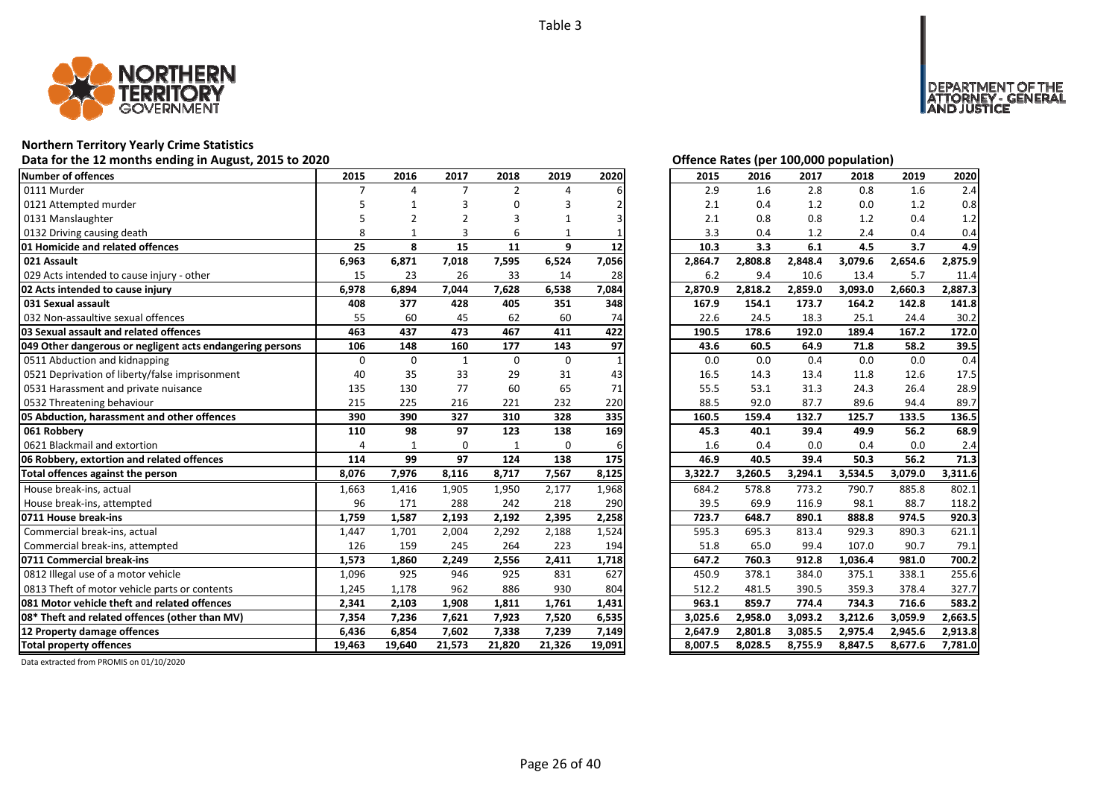

### **Northern Territory Yearly Crime Statistics**

### Data for the 12 months ending in August, 2015 to 2020

| Number of offences                                        | 2015     | 2016         | 2017         | 2018     | 2019        | 2020   | 2015    | 2016    | 2017    | 2018    | 2019    | 2020    |
|-----------------------------------------------------------|----------|--------------|--------------|----------|-------------|--------|---------|---------|---------|---------|---------|---------|
| 0111 Murder                                               |          | $\Lambda$    | 7            | 2        | 4           |        | 2.9     | 1.6     | 2.8     | 0.8     | 1.6     | 2.4     |
| 0121 Attempted murder                                     |          |              |              | O        |             |        | 2.1     | 0.4     | 1.2     | 0.0     | 1.2     | 0.8     |
| 0131 Manslaughter                                         |          |              |              | 3        | 1           |        | 2.1     | 0.8     | 0.8     | 1.2     | 0.4     | 1.2     |
| 0132 Driving causing death                                | 8        |              | 3            | 6        | 1           |        | 3.3     | 0.4     | 1.2     | 2.4     | 0.4     | 0.4     |
| 01 Homicide and related offences                          | 25       | 8            | 15           | 11       | 9           | 12     | 10.3    | 3.3     | 6.1     | 4.5     | 3.7     | 4.9     |
| 021 Assault                                               | 6,963    | 6,871        | 7,018        | 7,595    | 6,524       | 7,056  | 2,864.7 | 2,808.8 | 2,848.4 | 3,079.6 | 2,654.6 | 2,875.9 |
| 029 Acts intended to cause injury - other                 | 15       | 23           | 26           | 33       | 14          | 28     | 6.2     | 9.4     | 10.6    | 13.4    | 5.7     | 11.4    |
| 02 Acts intended to cause injury                          | 6,978    | 6,894        | 7,044        | 7,628    | 6,538       | 7,084  | 2,870.9 | 2,818.2 | 2,859.0 | 3,093.0 | 2,660.3 | 2,887.3 |
| 031 Sexual assault                                        | 408      | 377          | 428          | 405      | 351         | 348    | 167.9   | 154.1   | 173.7   | 164.2   | 142.8   | 141.8   |
| 032 Non-assaultive sexual offences                        | 55       | 60           | 45           | 62       | 60          | 74     | 22.6    | 24.5    | 18.3    | 25.1    | 24.4    | 30.2    |
| 03 Sexual assault and related offences                    | 463      | 437          | 473          | 467      | 411         | 422    | 190.5   | 178.6   | 192.0   | 189.4   | 167.2   | 172.0   |
| 049 Other dangerous or negligent acts endangering persons | 106      | 148          | 160          | 177      | 143         | 97     | 43.6    | 60.5    | 64.9    | 71.8    | 58.2    | 39.5    |
| 0511 Abduction and kidnapping                             | $\Omega$ | $\Omega$     | $\mathbf{1}$ | $\Omega$ | $\mathbf 0$ |        | 0.0     | 0.0     | 0.4     | 0.0     | 0.0     | 0.4     |
| 0521 Deprivation of liberty/false imprisonment            | 40       | 35           | 33           | 29       | 31          | 43     | 16.5    | 14.3    | 13.4    | 11.8    | 12.6    | 17.5    |
| 0531 Harassment and private nuisance                      | 135      | 130          | 77           | 60       | 65          | 71     | 55.5    | 53.1    | 31.3    | 24.3    | 26.4    | 28.9    |
| 0532 Threatening behaviour                                | 215      | 225          | 216          | 221      | 232         | 220    | 88.5    | 92.0    | 87.7    | 89.6    | 94.4    | 89.7    |
| 05 Abduction, harassment and other offences               | 390      | 390          | 327          | 310      | 328         | 335    | 160.5   | 159.4   | 132.7   | 125.7   | 133.5   | 136.5   |
| 061 Robbery                                               | 110      | 98           | 97           | 123      | 138         | 169    | 45.3    | 40.1    | 39.4    | 49.9    | 56.2    | 68.9    |
| 0621 Blackmail and extortion                              | 4        | $\mathbf{1}$ | $\Omega$     | 1        | $\Omega$    | 6      | 1.6     | 0.4     | 0.0     | 0.4     | 0.0     | 2.4     |
| 06 Robbery, extortion and related offences                | 114      | 99           | 97           | 124      | 138         | 175    | 46.9    | 40.5    | 39.4    | 50.3    | 56.2    | 71.3    |
| Total offences against the person                         | 8,076    | 7,976        | 8,116        | 8,717    | 7,567       | 8,125  | 3,322.7 | 3,260.5 | 3,294.1 | 3,534.5 | 3,079.0 | 3,311.6 |
| House break-ins, actual                                   | 1,663    | 1,416        | 1,905        | 1,950    | 2,177       | 1,968  | 684.2   | 578.8   | 773.2   | 790.7   | 885.8   | 802.1   |
| House break-ins, attempted                                | 96       | 171          | 288          | 242      | 218         | 290    | 39.5    | 69.9    | 116.9   | 98.1    | 88.7    | 118.2   |
| 0711 House break-ins                                      | 1.759    | 1,587        | 2,193        | 2,192    | 2,395       | 2,258  | 723.7   | 648.7   | 890.1   | 888.8   | 974.5   | 920.3   |
| Commercial break-ins, actual                              | 1,447    | 1,701        | 2,004        | 2,292    | 2,188       | 1,524  | 595.3   | 695.3   | 813.4   | 929.3   | 890.3   | 621.1   |
| Commercial break-ins, attempted                           | 126      | 159          | 245          | 264      | 223         | 194    | 51.8    | 65.0    | 99.4    | 107.0   | 90.7    | 79.1    |
| 0711 Commercial break-ins                                 | 1,573    | 1,860        | 2,249        | 2,556    | 2,411       | 1,718  | 647.2   | 760.3   | 912.8   | 1,036.4 | 981.0   | 700.2   |
| 0812 Illegal use of a motor vehicle                       | 1,096    | 925          | 946          | 925      | 831         | 627    | 450.9   | 378.1   | 384.0   | 375.1   | 338.1   | 255.6   |
| 0813 Theft of motor vehicle parts or contents             | 1,245    | 1,178        | 962          | 886      | 930         | 804    | 512.2   | 481.5   | 390.5   | 359.3   | 378.4   | 327.7   |
| 081 Motor vehicle theft and related offences              | 2,341    | 2,103        | 1,908        | 1,811    | 1,761       | 1,431  | 963.1   | 859.7   | 774.4   | 734.3   | 716.6   | 583.2   |
| 08* Theft and related offences (other than MV)            | 7,354    | 7,236        | 7,621        | 7,923    | 7,520       | 6,535  | 3,025.6 | 2,958.0 | 3,093.2 | 3,212.6 | 3,059.9 | 2,663.5 |
| 12 Property damage offences                               | 6,436    | 6,854        | 7,602        | 7,338    | 7,239       | 7,149  | 2,647.9 | 2,801.8 | 3,085.5 | 2,975.4 | 2,945.6 | 2,913.8 |
| <b>Total property offences</b>                            | 19,463   | 19,640       | 21,573       | 21,820   | 21,326      | 19,091 | 8,007.5 | 8,028.5 | 8,755.9 | 8,847.5 | 8,677.6 | 7,781.0 |

DEPARTMENT OF THE<br>ATTORNEY - GENERAL<br>AND JUSTICE

| 2015    | 2016    | 2017    | 2018    | 2019    | 2020    |
|---------|---------|---------|---------|---------|---------|
| 2.9     | 1.6     | 2.8     | 0.8     | 1.6     | 2.4     |
| 2.1     | 0.4     | 1.2     | 0.0     | 1.2     | 0.8     |
| 2.1     | 0.8     | 0.8     | 1.2     | 0.4     | 1.2     |
| 3.3     | 0.4     | 1.2     | 2.4     | 0.4     | 0.4     |
| 10.3    | 3.3     | 6.1     | 4.5     | 3.7     | 4.9     |
| 2,864.7 | 2,808.8 | 2,848.4 | 3,079.6 | 2,654.6 | 2,875.9 |
| 6.2     | 9.4     | 10.6    | 13.4    | 5.7     | 11.4    |
| 2,870.9 | 2,818.2 | 2,859.0 | 3,093.0 | 2,660.3 | 2,887.3 |
| 167.9   | 154.1   | 173.7   | 164.2   | 142.8   | 141.8   |
| 22.6    | 24.5    | 18.3    | 25.1    | 24.4    | 30.2    |
| 190.5   | 178.6   | 192.0   | 189.4   | 167.2   | 172.0   |
| 43.6    | 60.5    | 64.9    | 71.8    | 58.2    | 39.5    |
| 0.0     | 0.0     | 0.4     | 0.0     | 0.0     | 0.4     |
| 16.5    | 14.3    | 13.4    | 11.8    | 12.6    | 17.5    |
| 55.5    | 53.1    | 31.3    | 24.3    | 26.4    | 28.9    |
| 88.5    | 92.0    | 87.7    | 89.6    | 94.4    | 89.7    |
| 160.5   | 159.4   | 132.7   | 125.7   | 133.5   | 136.5   |
| 45.3    | 40.1    | 39.4    | 49.9    | 56.2    | 68.9    |
| 1.6     | 0.4     | 0.0     | 0.4     | 0.0     | 2.4     |
| 46.9    | 40.5    | 39.4    | 50.3    | 56.2    | 71.3    |
| 3,322.7 | 3,260.5 | 3,294.1 | 3,534.5 | 3,079.0 | 3,311.6 |
| 684.2   | 578.8   | 773.2   | 790.7   | 885.8   | 802.1   |
| 39.5    | 69.9    | 116.9   | 98.1    | 88.7    | 118.2   |
| 723.7   | 648.7   | 890.1   | 888.8   | 974.5   | 920.3   |
| 595.3   | 695.3   | 813.4   | 929.3   | 890.3   | 621.1   |
| 51.8    | 65.0    | 99.4    | 107.0   | 90.7    | 79.1    |
| 647.2   | 760.3   | 912.8   | 1,036.4 | 981.0   | 700.2   |
| 450.9   | 378.1   | 384.0   | 375.1   | 338.1   | 255.6   |
| 512.2   | 481.5   | 390.5   | 359.3   | 378.4   | 327.7   |
| 963.1   | 859.7   | 774.4   | 734.3   | 716.6   | 583.2   |
| 3,025.6 | 2,958.0 | 3,093.2 | 3,212.6 | 3,059.9 | 2,663.5 |
| 2,647.9 | 2,801.8 | 3,085.5 | 2,975.4 | 2,945.6 | 2,913.8 |
| 8,007.5 | 8,028.5 | 8,755.9 | 8,847.5 | 8,677.6 | 7,781.0 |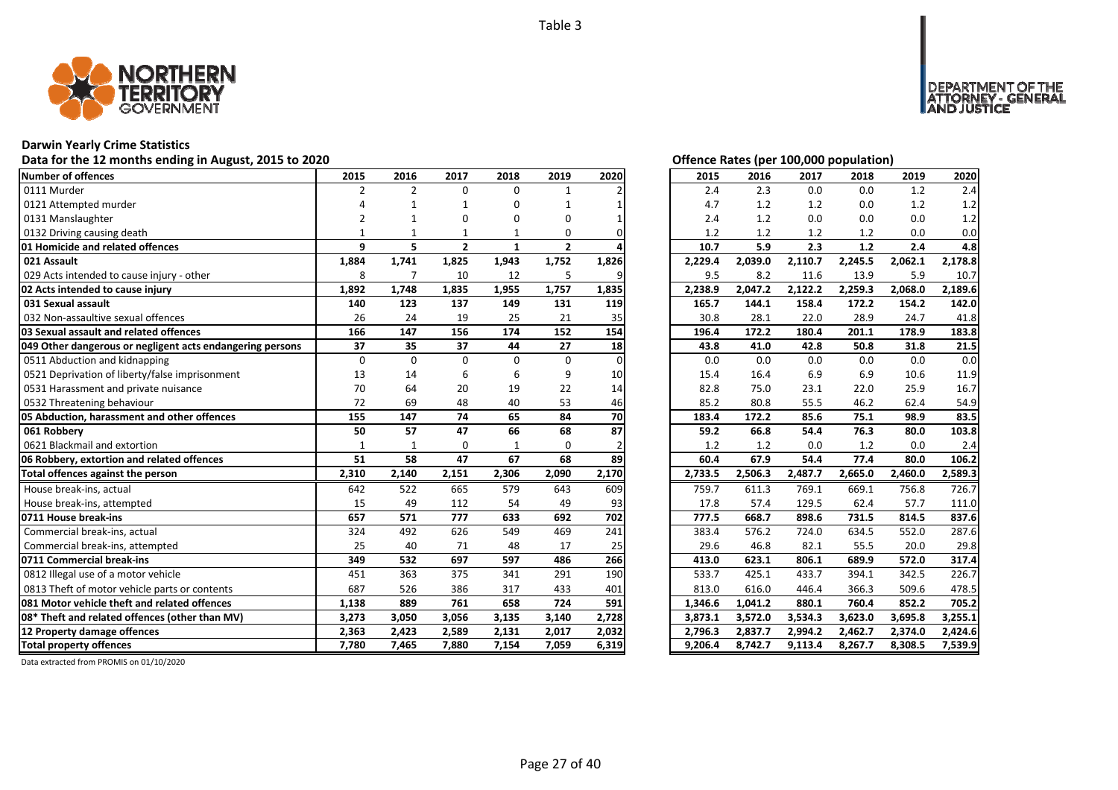

### **Darwin Yearly Crime Statistics**

### Data for the 12 months ending in August, 2015 to 2020<br> **Data for the 12 months ending in August, 2015 to 2020**

| Number of offences                                        | 2015           | 2016           | 2017           | 2018         | 2019         | 2020     | 2015    | 2016    | 2017    | 2018    | 2019    | 2020    |
|-----------------------------------------------------------|----------------|----------------|----------------|--------------|--------------|----------|---------|---------|---------|---------|---------|---------|
| 0111 Murder                                               | $\overline{2}$ | $\overline{2}$ | $\Omega$       | 0            |              |          | 2.4     | 2.3     | 0.0     | 0.0     | 1.2     | 2.4     |
| 0121 Attempted murder                                     |                |                |                | 0            |              |          | 4.7     | 1.2     | 1.2     | 0.0     | 1.2     | 1.2     |
| 0131 Manslaughter                                         | $\overline{2}$ |                | O              | 0            | 0            |          | 2.4     | 1.2     | 0.0     | 0.0     | 0.0     | 1.2     |
| 0132 Driving causing death                                |                |                |                |              | 0            |          | 1.2     | 1.2     | 1.2     | 1.2     | 0.0     | 0.0     |
| 01 Homicide and related offences                          | 9              | 5              | $\overline{2}$ | 1            | $\mathbf{2}$ |          | 10.7    | 5.9     | 2.3     | 1.2     | 2.4     | 4.8     |
| 021 Assault                                               | 1,884          | 1,741          | 1,825          | 1,943        | 1,752        | 1,826    | 2,229.4 | 2,039.0 | 2,110.7 | 2,245.5 | 2,062.1 | 2,178.8 |
| 029 Acts intended to cause injury - other                 | 8              | $\overline{7}$ | 10             | 12           | 5            |          | 9.5     | 8.2     | 11.6    | 13.9    | 5.9     | 10.7    |
| 02 Acts intended to cause injury                          | 1,892          | 1,748          | 1,835          | 1,955        | 1,757        | 1,835    | 2,238.9 | 2,047.2 | 2,122.2 | 2,259.3 | 2,068.0 | 2,189.6 |
| 031 Sexual assault                                        | 140            | 123            | 137            | 149          | 131          | 119      | 165.7   | 144.1   | 158.4   | 172.2   | 154.2   | 142.0   |
| 032 Non-assaultive sexual offences                        | 26             | 24             | 19             | 25           | 21           | 35       | 30.8    | 28.1    | 22.0    | 28.9    | 24.7    | 41.8    |
| 03 Sexual assault and related offences                    | 166            | 147            | 156            | 174          | 152          | 154      | 196.4   | 172.2   | 180.4   | 201.1   | 178.9   | 183.8   |
| 049 Other dangerous or negligent acts endangering persons | 37             | 35             | 37             | 44           | 27           | 18       | 43.8    | 41.0    | 42.8    | 50.8    | 31.8    | 21.5    |
| 0511 Abduction and kidnapping                             | $\mathbf 0$    | $\Omega$       | $\Omega$       | $\Omega$     | 0            | $\Omega$ | 0.0     | 0.0     | 0.0     | 0.0     | 0.0     | 0.0     |
| 0521 Deprivation of liberty/false imprisonment            | 13             | 14             | 6              | 6            | 9            | 10       | 15.4    | 16.4    | 6.9     | 6.9     | 10.6    | 11.9    |
| 0531 Harassment and private nuisance                      | 70             | 64             | 20             | 19           | 22           | 14       | 82.8    | 75.0    | 23.1    | 22.0    | 25.9    | 16.7    |
| 0532 Threatening behaviour                                | 72             | 69             | 48             | 40           | 53           | 46       | 85.2    | 80.8    | 55.5    | 46.2    | 62.4    | 54.9    |
| 05 Abduction, harassment and other offences               | 155            | 147            | 74             | 65           | 84           | 70       | 183.4   | 172.2   | 85.6    | 75.1    | 98.9    | 83.5    |
| 061 Robbery                                               | 50             | 57             | 47             | 66           | 68           | 87       | 59.2    | 66.8    | 54.4    | 76.3    | 80.0    | 103.8   |
| 0621 Blackmail and extortion                              | $\mathbf{1}$   | $\mathbf{1}$   | $\mathbf 0$    | $\mathbf{1}$ | $\Omega$     |          | 1.2     | 1.2     | 0.0     | 1.2     | 0.0     | 2.4     |
| 06 Robbery, extortion and related offences                | 51             | 58             | 47             | 67           | 68           | 89       | 60.4    | 67.9    | 54.4    | 77.4    | 80.0    | 106.2   |
| Total offences against the person                         | 2,310          | 2,140          | 2,151          | 2,306        | 2,090        | 2,170    | 2,733.5 | 2,506.3 | 2,487.7 | 2,665.0 | 2,460.0 | 2,589.3 |
| House break-ins, actual                                   | 642            | 522            | 665            | 579          | 643          | 609      | 759.7   | 611.3   | 769.1   | 669.1   | 756.8   | 726.7   |
| House break-ins, attempted                                | 15             | 49             | 112            | 54           | 49           | 93       | 17.8    | 57.4    | 129.5   | 62.4    | 57.7    | 111.0   |
| 0711 House break-ins                                      | 657            | 571            | 777            | 633          | 692          | 702      | 777.5   | 668.7   | 898.6   | 731.5   | 814.5   | 837.6   |
| Commercial break-ins, actual                              | 324            | 492            | 626            | 549          | 469          | 241      | 383.4   | 576.2   | 724.0   | 634.5   | 552.0   | 287.6   |
| Commercial break-ins, attempted                           | 25             | 40             | 71             | 48           | 17           | 25       | 29.6    | 46.8    | 82.1    | 55.5    | 20.0    | 29.8    |
| 0711 Commercial break-ins                                 | 349            | 532            | 697            | 597          | 486          | 266      | 413.0   | 623.1   | 806.1   | 689.9   | 572.0   | 317.4   |
| 0812 Illegal use of a motor vehicle                       | 451            | 363            | 375            | 341          | 291          | 190      | 533.7   | 425.1   | 433.7   | 394.1   | 342.5   | 226.7   |
| 0813 Theft of motor vehicle parts or contents             | 687            | 526            | 386            | 317          | 433          | 401      | 813.0   | 616.0   | 446.4   | 366.3   | 509.6   | 478.5   |
| 081 Motor vehicle theft and related offences              | 1,138          | 889            | 761            | 658          | 724          | 591      | 1,346.6 | 1,041.2 | 880.1   | 760.4   | 852.2   | 705.2   |
| 08* Theft and related offences (other than MV)            | 3,273          | 3,050          | 3,056          | 3,135        | 3,140        | 2,728    | 3,873.1 | 3,572.0 | 3,534.3 | 3,623.0 | 3,695.8 | 3,255.1 |
| 12 Property damage offences                               | 2,363          | 2,423          | 2,589          | 2,131        | 2,017        | 2,032    | 2,796.3 | 2,837.7 | 2,994.2 | 2,462.7 | 2,374.0 | 2,424.6 |
| <b>Total property offences</b>                            | 7,780          | 7,465          | 7,880          | 7,154        | 7,059        | 6,319    | 9,206.4 | 8,742.7 | 9,113.4 | 8,267.7 | 8,308.5 | 7,539.9 |

NT OF THE<br>- GENERAL

JSTICE

DEPAR

| 2015    | 2016    | 2017    | 2018    | 2019    | 2020    |
|---------|---------|---------|---------|---------|---------|
| 2.4     | 2.3     | 0.0     | 0.0     | 1.2     | 2.4     |
| 4.7     | 1.2     | 1.2     | 0.0     | 1.2     | 1.2     |
| 2.4     | 1.2     | 0.0     | 0.0     | 0.0     | 1.2     |
| 1.2     | 1.2     | 1.2     | 1.2     | 0.0     | 0.0     |
| 10.7    | 5.9     | 2.3     | 1.2     | 2.4     | 4.8     |
| 2,229.4 | 2,039.0 | 2,110.7 | 2,245.5 | 2,062.1 | 2,178.8 |
| 9.5     | 8.2     | 11.6    | 13.9    | 5.9     | 10.7    |
| 2,238.9 | 2,047.2 | 2,122.2 | 2,259.3 | 2,068.0 | 2,189.6 |
| 165.7   | 144.1   | 158.4   | 172.2   | 154.2   | 142.0   |
| 30.8    | 28.1    | 22.0    | 28.9    | 24.7    | 41.8    |
| 196.4   | 172.2   | 180.4   | 201.1   | 178.9   | 183.8   |
| 43.8    | 41.0    | 42.8    | 50.8    | 31.8    | 21.5    |
| 0.0     | 0.0     | 0.0     | 0.0     | 0.0     | 0.0     |
| 15.4    | 16.4    | 6.9     | 6.9     | 10.6    | 11.9    |
| 82.8    | 75.0    | 23.1    | 22.0    | 25.9    | 16.7    |
| 85.2    | 80.8    | 55.5    | 46.2    | 62.4    | 54.9    |
| 183.4   | 172.2   | 85.6    | 75.1    | 98.9    | 83.5    |
| 59.2    | 66.8    | 54.4    | 76.3    | 80.0    | 103.8   |
| 1.2     | 1.2     | 0.0     | 1.2     | 0.0     | 2.4     |
| 60.4    | 67.9    | 54.4    | 77.4    | 80.0    | 106.2   |
| 2,733.5 | 2,506.3 | 2,487.7 | 2,665.0 | 2,460.0 | 2,589.3 |
| 759.7   | 611.3   | 769.1   | 669.1   | 756.8   | 726.7   |
| 17.8    | 57.4    | 129.5   | 62.4    | 57.7    | 111.0   |
| 777.5   | 668.7   | 898.6   | 731.5   | 814.5   | 837.6   |
| 383.4   | 576.2   | 724.0   | 634.5   | 552.0   | 287.6   |
| 29.6    | 46.8    | 82.1    | 55.5    | 20.0    | 29.8    |
| 413.0   | 623.1   | 806.1   | 689.9   | 572.0   | 317.4   |
| 533.7   | 425.1   | 433.7   | 394.1   | 342.5   | 226.7   |
| 813.0   | 616.0   | 446.4   | 366.3   | 509.6   | 478.5   |
| 1,346.6 | 1,041.2 | 880.1   | 760.4   | 852.2   | 705.2   |
| 3,873.1 | 3,572.0 | 3,534.3 | 3,623.0 | 3,695.8 | 3,255.1 |
| 2,796.3 | 2,837.7 | 2,994.2 | 2,462.7 | 2,374.0 | 2,424.6 |
| 9,206.4 | 8,742.7 | 9,113.4 | 8,267.7 | 8,308.5 | 7,539.9 |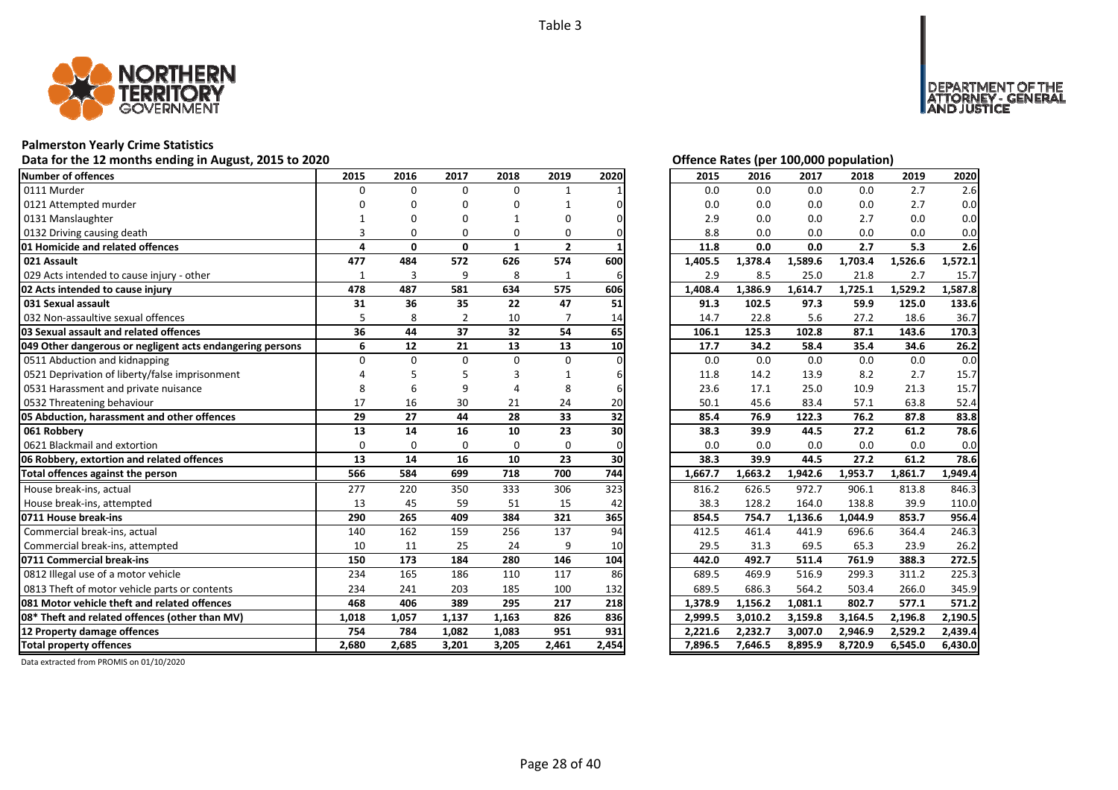

### **Palmerston Yearly Crime Statistics**

### Data for the 12 months ending in August, 2015 to 2020<br> **Data for the 12 months ending in August, 2015 to 2020**

| Number of offences                                        | 2015     | 2016         | 2017           | 2018         | 2019         | 2020  | 2015    | 2016    | 2017    | 2018    | 2019    | 2020    |
|-----------------------------------------------------------|----------|--------------|----------------|--------------|--------------|-------|---------|---------|---------|---------|---------|---------|
| 0111 Murder                                               | $\Omega$ | $\Omega$     | $\Omega$       | 0            |              |       | 0.0     | 0.0     | 0.0     | 0.0     | 2.7     | 2.6     |
| 0121 Attempted murder                                     |          |              | O              | O            |              |       | 0.0     | 0.0     | 0.0     | 0.0     | 2.7     | 0.0     |
| 0131 Manslaughter                                         |          |              |                |              | O            |       | 2.9     | 0.0     | 0.0     | 2.7     | 0.0     | 0.0     |
| 0132 Driving causing death                                |          | O            | O              | 0            | 0            |       | 8.8     | 0.0     | 0.0     | 0.0     | 0.0     | 0.0     |
| 01 Homicide and related offences                          | 4        | $\mathbf{0}$ | $\mathbf{0}$   | $\mathbf{1}$ | $\mathbf{2}$ |       | 11.8    | 0.0     | 0.0     | 2.7     | 5.3     | 2.6     |
| 021 Assault                                               | 477      | 484          | 572            | 626          | 574          | 600   | 1,405.5 | 1,378.4 | 1,589.6 | 1,703.4 | 1,526.6 | 1,572.1 |
| 029 Acts intended to cause injury - other                 | 1        | 3            | 9              | 8            | 1            | 6     | 2.9     | 8.5     | 25.0    | 21.8    | 2.7     | 15.7    |
| 02 Acts intended to cause injury                          | 478      | 487          | 581            | 634          | 575          | 606   | 1,408.4 | 1,386.9 | 1,614.7 | 1,725.1 | 1,529.2 | 1,587.8 |
| 031 Sexual assault                                        | 31       | 36           | 35             | 22           | 47           | 51    | 91.3    | 102.5   | 97.3    | 59.9    | 125.0   | 133.6   |
| 032 Non-assaultive sexual offences                        |          | 8            | $\overline{2}$ | 10           |              | 14    | 14.7    | 22.8    | 5.6     | 27.2    | 18.6    | 36.7    |
| 03 Sexual assault and related offences                    | 36       | 44           | 37             | 32           | 54           | 65    | 106.1   | 125.3   | 102.8   | 87.1    | 143.6   | 170.3   |
| 049 Other dangerous or negligent acts endangering persons | 6        | 12           | 21             | 13           | 13           | 10    | 17.7    | 34.2    | 58.4    | 35.4    | 34.6    | 26.2    |
| 0511 Abduction and kidnapping                             | $\Omega$ | $\Omega$     | $\Omega$       | $\Omega$     | $\Omega$     |       | 0.0     | 0.0     | 0.0     | 0.0     | 0.0     | 0.0     |
| 0521 Deprivation of liberty/false imprisonment            |          |              |                |              |              |       | 11.8    | 14.2    | 13.9    | 8.2     | 2.7     | 15.7    |
| 0531 Harassment and private nuisance                      |          |              | ٩              |              | 8            |       | 23.6    | 17.1    | 25.0    | 10.9    | 21.3    | 15.7    |
| 0532 Threatening behaviour                                | 17       | 16           | 30             | 21           | 24           | 20    | 50.1    | 45.6    | 83.4    | 57.1    | 63.8    | 52.4    |
| 05 Abduction, harassment and other offences               | 29       | 27           | 44             | 28           | 33           | 32    | 85.4    | 76.9    | 122.3   | 76.2    | 87.8    | 83.8    |
| 061 Robbery                                               | 13       | 14           | 16             | 10           | 23           | 30    | 38.3    | 39.9    | 44.5    | 27.2    | 61.2    | 78.6    |
| 0621 Blackmail and extortion                              | $\Omega$ | $\Omega$     | $\Omega$       | $\Omega$     | $\Omega$     |       | 0.0     | 0.0     | 0.0     | 0.0     | 0.0     | 0.0     |
| 06 Robbery, extortion and related offences                | 13       | 14           | 16             | 10           | 23           | 30    | 38.3    | 39.9    | 44.5    | 27.2    | 61.2    | 78.6    |
| Total offences against the person                         | 566      | 584          | 699            | 718          | 700          | 744   | 1,667.7 | 1,663.2 | 1,942.6 | 1,953.7 | 1,861.7 | 1,949.4 |
| House break-ins, actual                                   | 277      | 220          | 350            | 333          | 306          | 323   | 816.2   | 626.5   | 972.7   | 906.1   | 813.8   | 846.3   |
| House break-ins, attempted                                | 13       | 45           | 59             | 51           | 15           | 42    | 38.3    | 128.2   | 164.0   | 138.8   | 39.9    | 110.0   |
| 0711 House break-ins                                      | 290      | 265          | 409            | 384          | 321          | 365   | 854.5   | 754.7   | 1,136.6 | 1,044.9 | 853.7   | 956.4   |
| Commercial break-ins, actual                              | 140      | 162          | 159            | 256          | 137          | 94    | 412.5   | 461.4   | 441.9   | 696.6   | 364.4   | 246.3   |
| Commercial break-ins, attempted                           | 10       | 11           | 25             | 24           | 9            | 10    | 29.5    | 31.3    | 69.5    | 65.3    | 23.9    | 26.2    |
| 0711 Commercial break-ins                                 | 150      | 173          | 184            | 280          | 146          | 104   | 442.0   | 492.7   | 511.4   | 761.9   | 388.3   | 272.5   |
| 0812 Illegal use of a motor vehicle                       | 234      | 165          | 186            | 110          | 117          | 86    | 689.5   | 469.9   | 516.9   | 299.3   | 311.2   | 225.3   |
| 0813 Theft of motor vehicle parts or contents             | 234      | 241          | 203            | 185          | 100          | 132   | 689.5   | 686.3   | 564.2   | 503.4   | 266.0   | 345.9   |
| 081 Motor vehicle theft and related offences              | 468      | 406          | 389            | 295          | 217          | 218   | 1,378.9 | 1,156.2 | 1,081.1 | 802.7   | 577.1   | 571.2   |
| 08* Theft and related offences (other than MV)            | 1,018    | 1,057        | 1,137          | 1,163        | 826          | 836   | 2,999.5 | 3,010.2 | 3,159.8 | 3,164.5 | 2,196.8 | 2,190.5 |
| 12 Property damage offences                               | 754      | 784          | 1,082          | 1,083        | 951          | 931   | 2,221.6 | 2,232.7 | 3,007.0 | 2,946.9 | 2,529.2 | 2,439.4 |
| <b>Total property offences</b>                            | 2.680    | 2,685        | 3,201          | 3,205        | 2,461        | 2,454 | 7,896.5 | 7,646.5 | 8,895.9 | 8,720.9 | 6,545.0 | 6,430.0 |

DEPARTMENT OF THE<br>ATTORNEY - GENERAL<br>AND JUSTICE

| 2015    | 2016    | 2017    | 2018    | 2019    | 2020    |
|---------|---------|---------|---------|---------|---------|
| 0.0     | 0.0     | 0.0     | 0.0     | 2.7     | 2.6     |
| 0.0     | 0.0     | 0.0     | 0.0     | 2.7     | 0.0     |
| 2.9     | 0.0     | 0.0     | 2.7     | 0.0     | 0.0     |
| 8.8     | 0.0     | 0.0     | 0.0     | 0.0     | 0.0     |
| 11.8    | 0.0     | 0.0     | 2.7     | 5.3     | 2.6     |
| 1,405.5 | 1,378.4 | 1,589.6 | 1,703.4 | 1,526.6 | 1,572.1 |
| 2.9     | 8.5     | 25.0    | 21.8    | 2.7     | 15.7    |
| 1,408.4 | 1,386.9 | 1,614.7 | 1,725.1 | 1,529.2 | 1,587.8 |
| 91.3    | 102.5   | 97.3    | 59.9    | 125.0   | 133.6   |
| 14.7    | 22.8    | 5.6     | 27.2    | 18.6    | 36.7    |
| 106.1   | 125.3   | 102.8   | 87.1    | 143.6   | 170.3   |
| 17.7    | 34.2    | 58.4    | 35.4    | 34.6    | 26.2    |
| 0.0     | 0.0     | 0.0     | 0.0     | 0.0     | 0.0     |
| 11.8    | 14.2    | 13.9    | 8.2     | 2.7     | 15.7    |
| 23.6    | 17.1    | 25.0    | 10.9    | 21.3    | 15.7    |
| 50.1    | 45.6    | 83.4    | 57.1    | 63.8    | 52.4    |
| 85.4    | 76.9    | 122.3   | 76.2    | 87.8    | 83.8    |
| 38.3    | 39.9    | 44.5    | 27.2    | 61.2    | 78.6    |
| 0.0     | 0.0     | 0.0     | 0.0     | 0.0     | 0.0     |
| 38.3    | 39.9    | 44.5    | 27.2    | 61.2    | 78.6    |
| 1,667.7 | 1,663.2 | 1,942.6 | 1,953.7 | 1,861.7 | 1,949.4 |
| 816.2   | 626.5   | 972.7   | 906.1   | 813.8   | 846.3   |
| 38.3    | 128.2   | 164.0   | 138.8   | 39.9    | 110.0   |
| 854.5   | 754.7   | 1,136.6 | 1,044.9 | 853.7   | 956.4   |
| 412.5   | 461.4   | 441.9   | 696.6   | 364.4   | 246.3   |
| 29.5    | 31.3    | 69.5    | 65.3    | 23.9    | 26.2    |
| 442.0   | 492.7   | 511.4   | 761.9   | 388.3   | 272.5   |
| 689.5   | 469.9   | 516.9   | 299.3   | 311.2   | 225.3   |
| 689.5   | 686.3   | 564.2   | 503.4   | 266.0   | 345.9   |
| 1,378.9 | 1,156.2 | 1,081.1 | 802.7   | 577.1   | 571.2   |
| 2,999.5 | 3,010.2 | 3,159.8 | 3,164.5 | 2,196.8 | 2,190.5 |
| 2,221.6 | 2,232.7 | 3,007.0 | 2,946.9 | 2,529.2 | 2,439.4 |
| 7,896.5 | 7,646.5 | 8,895.9 | 8,720.9 | 6,545.0 | 6,430.0 |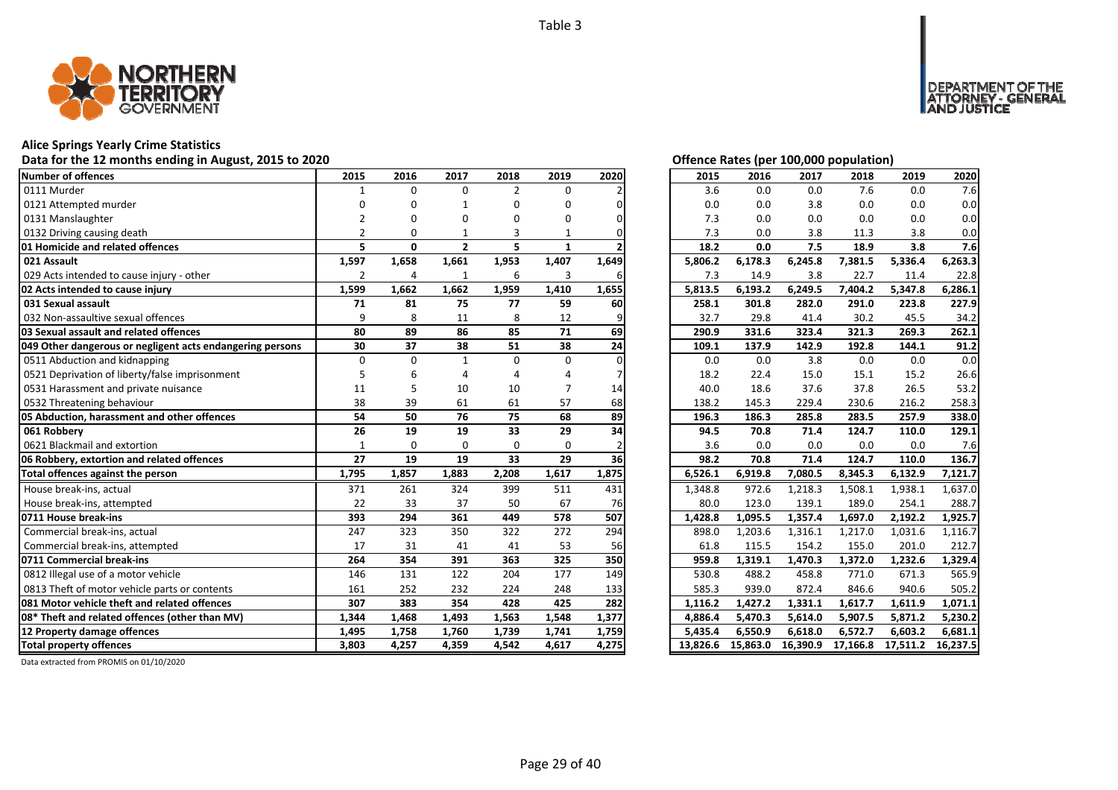

### **Alice Springs Yearly Crime Statistics**

### **Data for the 12 months ending in August, 2015 to 2020 Offence Rates (per 100,000 population)**

| <b>Number of offences</b>                                     | 2015           | 2016           | 2017           | 2018           | 2019         | 2020      | 2015    | 2016    | 2017    | 2018    | 2019    | 2020    |
|---------------------------------------------------------------|----------------|----------------|----------------|----------------|--------------|-----------|---------|---------|---------|---------|---------|---------|
| 0111 Murder                                                   |                | $\Omega$       | $\Omega$       | $\overline{2}$ | $\Omega$     |           | 3.6     | 0.0     | 0.0     | 7.6     | 0.0     | 7.6     |
| 0121 Attempted murder                                         | U              | n              |                | U              | O            |           | 0.0     | 0.0     | 3.8     | 0.0     | 0.0     | 0.0     |
| 0131 Manslaughter                                             |                |                |                |                | U            |           | 7.3     | 0.0     | 0.0     | 0.0     | 0.0     | 0.0     |
| 0132 Driving causing death                                    |                | 0              |                | 3              |              |           | 7.3     | 0.0     | 3.8     | 11.3    | 3.8     | 0.0     |
| 01 Homicide and related offences                              | 5              | 0              | $\overline{2}$ | 5              | $\mathbf{1}$ |           | 18.2    | 0.0     | 7.5     | 18.9    | 3.8     | 7.6     |
| 021 Assault                                                   | 1,597          | 1,658          | 1,661          | 1,953          | 1,407        | 1,649     | 5,806.2 | 6,178.3 | 6,245.8 | 7,381.5 | 5,336.4 | 6,263.3 |
| 029 Acts intended to cause injury - other                     | $\overline{2}$ | $\overline{4}$ |                | 6              | 3            |           | 7.3     | 14.9    | 3.8     | 22.7    | 11.4    | 22.8    |
| 02 Acts intended to cause injury                              | 1,599          | 1,662          | 1,662          | 1,959          | 1,410        | 1,655     | 5,813.5 | 6,193.2 | 6,249.5 | 7,404.2 | 5,347.8 | 6,286.1 |
| 031 Sexual assault                                            | 71             | 81             | 75             | 77             | 59           | 60        | 258.1   | 301.8   | 282.0   | 291.0   | 223.8   | 227.9   |
| 032 Non-assaultive sexual offences                            | 9              | 8              | 11             | 8              | 12           |           | 32.7    | 29.8    | 41.4    | 30.2    | 45.5    | 34.2    |
| 03 Sexual assault and related offences                        | 80             | 89             | 86             | 85             | 71           | 69        | 290.9   | 331.6   | 323.4   | 321.3   | 269.3   | 262.1   |
| 049 Other dangerous or negligent acts endangering persons     | 30             | 37             | 38             | 51             | 38           | 24        | 109.1   | 137.9   | 142.9   | 192.8   | 144.1   | 91.2    |
| 0511 Abduction and kidnapping                                 | $\Omega$       | $\Omega$       | $\mathbf{1}$   | $\Omega$       | $\Omega$     |           | 0.0     | 0.0     | 3.8     | 0.0     | 0.0     | 0.0     |
| 0521 Deprivation of liberty/false imprisonment                | 5              |                |                |                |              |           | 18.2    | 22.4    | 15.0    | 15.1    | 15.2    | 26.6    |
| 0531 Harassment and private nuisance                          | 11             |                | 10             | 10             |              | 14        | 40.0    | 18.6    | 37.6    | 37.8    | 26.5    | 53.2    |
|                                                               | 38             | 39             | 61             | 61             | 57           | 68        | 138.2   | 145.3   | 229.4   | 230.6   | 216.2   | 258.3   |
| 0532 Threatening behaviour                                    |                |                |                |                |              |           |         |         |         |         |         |         |
| 05 Abduction, harassment and other offences                   | 54             | 50             | 76             | 75             | 68           | 89        | 196.3   | 186.3   | 285.8   | 283.5   | 257.9   | 338.0   |
| 061 Robberv                                                   | 26             | 19             | 19             | 33             | 29           | 34        | 94.5    | 70.8    | 71.4    | 124.7   | 110.0   | 129.1   |
| 0621 Blackmail and extortion                                  | $\mathbf{1}$   | $\Omega$       | $\Omega$       | $\Omega$       | $\Omega$     |           | 3.6     | 0.0     | 0.0     | 0.0     | 0.0     | 7.6     |
| 06 Robbery, extortion and related offences                    | 27             | 19             | 19             | 33             | 29           | <b>36</b> | 98.2    | 70.8    | 71.4    | 124.7   | 110.0   | 136.7   |
| Total offences against the person                             | 1,795          | 1,857          | 1,883          | 2,208          | 1,617        | 1,875     | 6,526.1 | 6,919.8 | 7,080.5 | 8,345.3 | 6,132.9 | 7,121.7 |
| House break-ins, actual                                       | 371            | 261            | 324            | 399            | 511          | 431       | 1,348.8 | 972.6   | 1,218.3 | 1,508.1 | 1,938.1 | 1,637.0 |
| House break-ins, attempted                                    | 22             | 33             | 37             | 50             | 67           | 76        | 80.0    | 123.0   | 139.1   | 189.0   | 254.1   | 288.7   |
| 0711 House break-ins                                          | 393            | 294            | 361            | 449            | 578          | 507       | 1,428.8 | 1,095.5 | 1,357.4 | 1,697.0 | 2,192.2 | 1,925.7 |
| Commercial break-ins, actual                                  | 247            | 323            | 350            | 322            | 272          | 294       | 898.0   | 1,203.6 | 1,316.1 | 1,217.0 | 1,031.6 | 1,116.7 |
| Commercial break-ins, attempted                               | 17             | 31             | 41             | 41             | 53           | 56        | 61.8    | 115.5   | 154.2   | 155.0   | 201.0   | 212.7   |
| 0711 Commercial break-ins                                     | 264            | 354            | 391            | 363            | 325          | 350       | 959.8   | 1,319.1 | 1,470.3 | 1,372.0 | 1,232.6 | 1,329.4 |
| 0812 Illegal use of a motor vehicle                           | 146            | 131            | 122            | 204            | 177          | 149       | 530.8   | 488.2   | 458.8   | 771.0   | 671.3   | 565.9   |
| 0813 Theft of motor vehicle parts or contents                 | 161            | 252            | 232            | 224            | 248          | 133       | 585.3   | 939.0   | 872.4   | 846.6   | 940.6   | 505.2   |
| 081 Motor vehicle theft and related offences                  | 307            | 383            | 354            | 428            | 425          | 282       | 1,116.2 | 1,427.2 | 1,331.1 | 1,617.7 | 1,611.9 | 1,071.1 |
| 08* Theft and related offences (other than MV)                | 1,344          | 1,468          | 1,493          | 1,563          | 1,548        | 1,377     | 4,886.4 | 5,470.3 | 5,614.0 | 5,907.5 | 5,871.2 | 5,230.2 |
| 12 Property damage offences<br><b>Total property offences</b> | 1,495          | 1,758          | 1,760          | 1,739          | 1,741        | 1,759     | 5,435.4 | 6,550.9 | 6,618.0 | 6,572.7 | 6,603.2 | 6,681.1 |

DEPARTMENT OF THE<br>ATTORNEY - GENERAL<br>AND JUSTICE

| 2015     | 2016     | 2017     | 2018     | 2019     | 2020     |
|----------|----------|----------|----------|----------|----------|
| 3.6      | 0.0      | 0.0      | 7.6      | 0.0      | 7.6      |
| 0.0      | 0.0      | 3.8      | 0.0      | 0.0      | 0.0      |
| 7.3      | 0.0      | 0.0      | 0.0      | 0.0      | 0.0      |
| 7.3      | 0.0      | 3.8      | 11.3     | 3.8      | 0.0      |
| 18.2     | 0.0      | 7.5      | 18.9     | 3.8      | 7.6      |
| 5,806.2  | 6,178.3  | 6,245.8  | 7,381.5  | 5,336.4  | 6,263.3  |
| 7.3      | 14.9     | 3.8      | 22.7     | 11.4     | 22.8     |
| 5,813.5  | 6,193.2  | 6,249.5  | 7,404.2  | 5,347.8  | 6,286.1  |
| 258.1    | 301.8    | 282.0    | 291.0    | 223.8    | 227.9    |
| 32.7     | 29.8     | 41.4     | 30.2     | 45.5     | 34.2     |
| 290.9    | 331.6    | 323.4    | 321.3    | 269.3    | 262.1    |
| 109.1    | 137.9    | 142.9    | 192.8    | 144.1    | 91.2     |
| 0.0      | 0.0      | 3.8      | 0.0      | 0.0      | 0.0      |
| 18.2     | 22.4     | 15.0     | 15.1     | 15.2     | 26.6     |
| 40.0     | 18.6     | 37.6     | 37.8     | 26.5     | 53.2     |
| 138.2    | 145.3    | 229.4    | 230.6    | 216.2    | 258.3    |
| 196.3    | 186.3    | 285.8    | 283.5    | 257.9    | 338.0    |
| 94.5     | 70.8     | 71.4     | 124.7    | 110.0    | 129.1    |
| 3.6      | 0.0      | 0.0      | 0.0      | 0.0      | 7.6      |
| 98.2     | 70.8     | 71.4     | 124.7    | 110.0    | 136.7    |
| 6,526.1  | 6,919.8  | 7,080.5  | 8,345.3  | 6,132.9  | 7,121.7  |
| 1,348.8  | 972.6    | 1,218.3  | 1,508.1  | 1,938.1  | 1,637.0  |
| 80.0     | 123.0    | 139.1    | 189.0    | 254.1    | 288.7    |
| 1,428.8  | 1,095.5  | 1,357.4  | 1,697.0  | 2,192.2  | 1,925.7  |
| 898.0    | 1,203.6  | 1,316.1  | 1,217.0  | 1,031.6  | 1,116.7  |
| 61.8     | 115.5    | 154.2    | 155.0    | 201.0    | 212.7    |
| 959.8    | 1,319.1  | 1,470.3  | 1,372.0  | 1,232.6  | 1,329.4  |
| 530.8    | 488.2    | 458.8    | 771.0    | 671.3    | 565.9    |
| 585.3    | 939.0    | 872.4    | 846.6    | 940.6    | 505.2    |
| 1,116.2  | 1,427.2  | 1,331.1  | 1,617.7  | 1,611.9  | 1,071.1  |
| 4,886.4  | 5,470.3  | 5,614.0  | 5,907.5  | 5,871.2  | 5,230.2  |
| 5,435.4  | 6,550.9  | 6,618.0  | 6,572.7  | 6,603.2  | 6,681.1  |
| 13,826.6 | 15,863.0 | 16,390.9 | 17,166.8 | 17,511.2 | 16,237.5 |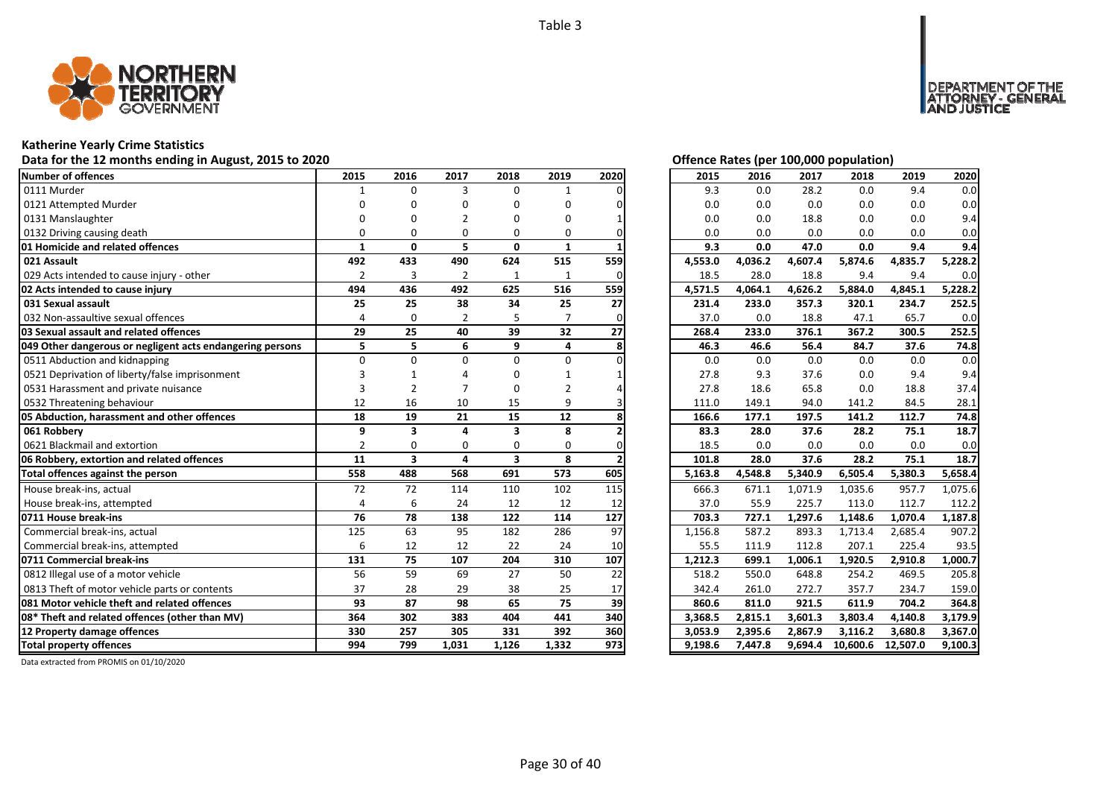

### **Katherine Yearly Crime Statistics**

### Data for the 12 months ending in August, 2015 to 2020 *Data for the 12 months ending in August, 2015 to 2020*

| Number of offences                                        | 2015           | 2016                    | 2017           | 2018         | 2019         | 2020 | 2015    | 2016    | 2017    | 2018     | 2019     | 2020    |
|-----------------------------------------------------------|----------------|-------------------------|----------------|--------------|--------------|------|---------|---------|---------|----------|----------|---------|
| 0111 Murder                                               |                | $\Omega$                | 3              | $\Omega$     | $\mathbf{1}$ |      | 9.3     | 0.0     | 28.2    | 0.0      | 9.4      | 0.0     |
| 0121 Attempted Murder                                     |                |                         |                | n            | O            |      | 0.0     | 0.0     | 0.0     | 0.0      | 0.0      | 0.0     |
| 0131 Manslaughter                                         |                |                         |                |              | n            |      | 0.0     | 0.0     | 18.8    | 0.0      | 0.0      | 9.4     |
| 0132 Driving causing death                                | $\Omega$       |                         | $\Omega$       | 0            | $\Omega$     |      | 0.0     | 0.0     | 0.0     | 0.0      | 0.0      | 0.0     |
| 01 Homicide and related offences                          | $\mathbf{1}$   | 0                       | 5              | $\mathbf{0}$ | 1            |      | 9.3     | 0.0     | 47.0    | 0.0      | 9.4      | 9.4     |
| 021 Assault                                               | 492            | 433                     | 490            | 624          | 515          | 559  | 4,553.0 | 4,036.2 | 4,607.4 | 5,874.6  | 4,835.7  | 5,228.2 |
| 029 Acts intended to cause injury - other                 | $\overline{2}$ | 3                       | $\overline{2}$ | 1            | 1            | O    | 18.5    | 28.0    | 18.8    | 9.4      | 9.4      | 0.0     |
| 02 Acts intended to cause injury                          | 494            | 436                     | 492            | 625          | 516          | 559  | 4,571.5 | 4,064.1 | 4,626.2 | 5,884.0  | 4,845.1  | 5,228.2 |
| 031 Sexual assault                                        | 25             | 25                      | 38             | 34           | 25           | 27   | 231.4   | 233.0   | 357.3   | 320.1    | 234.7    | 252.5   |
| 032 Non-assaultive sexual offences                        | 4              | 0                       | 2              | 5            |              |      | 37.0    | 0.0     | 18.8    | 47.1     | 65.7     | 0.0     |
| 03 Sexual assault and related offences                    | 29             | 25                      | 40             | 39           | 32           | 27   | 268.4   | 233.0   | 376.1   | 367.2    | 300.5    | 252.5   |
| 049 Other dangerous or negligent acts endangering persons | 5              | 5                       | 6              | 9            | 4            |      | 46.3    | 46.6    | 56.4    | 84.7     | 37.6     | 74.8    |
| 0511 Abduction and kidnapping                             | $\Omega$       | $\Omega$                | $\Omega$       | $\Omega$     | $\Omega$     |      | 0.0     | 0.0     | 0.0     | 0.0      | 0.0      | 0.0     |
| 0521 Deprivation of liberty/false imprisonment            |                |                         |                |              |              |      | 27.8    | 9.3     | 37.6    | 0.0      | 9.4      | 9.4     |
| 0531 Harassment and private nuisance                      | 3              | $\overline{2}$          |                | O            |              |      | 27.8    | 18.6    | 65.8    | 0.0      | 18.8     | 37.4    |
| 0532 Threatening behaviour                                | 12             | 16                      | 10             | 15           | 9            |      | 111.0   | 149.1   | 94.0    | 141.2    | 84.5     | 28.1    |
| 05 Abduction, harassment and other offences               | 18             | 19                      | 21             | 15           | 12           |      | 166.6   | 177.1   | 197.5   | 141.2    | 112.7    | 74.8    |
| 061 Robberv                                               | 9              | 3                       | 4              | 3            | 8            |      | 83.3    | 28.0    | 37.6    | 28.2     | 75.1     | 18.7    |
| 0621 Blackmail and extortion                              | $\overline{2}$ | $\Omega$                | $\Omega$       | $\Omega$     | $\Omega$     |      | 18.5    | 0.0     | 0.0     | 0.0      | 0.0      | 0.0     |
| 06 Robbery, extortion and related offences                | 11             | $\overline{\mathbf{3}}$ | 4              | 3            | 8            |      | 101.8   | 28.0    | 37.6    | 28.2     | 75.1     | 18.7    |
| Total offences against the person                         | 558            | 488                     | 568            | 691          | 573          | 605  | 5,163.8 | 4,548.8 | 5,340.9 | 6,505.4  | 5,380.3  | 5,658.4 |
| House break-ins, actual                                   | 72             | 72                      | 114            | 110          | 102          | 115  | 666.3   | 671.1   | 1,071.9 | 1,035.6  | 957.7    | 1,075.6 |
| House break-ins, attempted                                | 4              | 6                       | 24             | 12           | 12           | 12   | 37.0    | 55.9    | 225.7   | 113.0    | 112.7    | 112.2   |
| 0711 House break-ins                                      | 76             | 78                      | 138            | 122          | 114          | 127  | 703.3   | 727.1   | 1,297.6 | 1,148.6  | 1,070.4  | 1,187.8 |
| Commercial break-ins, actual                              | 125            | 63                      | 95             | 182          | 286          | 97   | 1,156.8 | 587.2   | 893.3   | 1,713.4  | 2,685.4  | 907.2   |
| Commercial break-ins, attempted                           | 6              | 12                      | 12             | 22           | 24           | 10   | 55.5    | 111.9   | 112.8   | 207.1    | 225.4    | 93.5    |
| 0711 Commercial break-ins                                 | 131            | 75                      | 107            | 204          | 310          | 107  | 1,212.3 | 699.1   | 1.006.1 | 1,920.5  | 2,910.8  | 1.000.7 |
| 0812 Illegal use of a motor vehicle                       | 56             | 59                      | 69             | 27           | 50           | 22   | 518.2   | 550.0   | 648.8   | 254.2    | 469.5    | 205.8   |
| 0813 Theft of motor vehicle parts or contents             | 37             | 28                      | 29             | 38           | 25           | 17   | 342.4   | 261.0   | 272.7   | 357.7    | 234.7    | 159.0   |
| 081 Motor vehicle theft and related offences              | 93             | 87                      | 98             | 65           | 75           | 39   | 860.6   | 811.0   | 921.5   | 611.9    | 704.2    | 364.8   |
| 08* Theft and related offences (other than MV)            | 364            | 302                     | 383            | 404          | 441          | 340  | 3,368.5 | 2,815.1 | 3.601.3 | 3,803.4  | 4,140.8  | 3,179.9 |
| 12 Property damage offences                               | 330            | 257                     | 305            | 331          | 392          | 360  | 3,053.9 | 2,395.6 | 2,867.9 | 3,116.2  | 3,680.8  | 3,367.0 |
| <b>Total property offences</b>                            | 994            | 799                     | 1,031          | 1,126        | 1,332        | 973  | 9,198.6 | 7,447.8 | 9,694.4 | 10,600.6 | 12,507.0 | 9,100.3 |

MENT OF THE<br>NEY - GENERAL

ÜSTICE

**DEPART** 

| 2015    | 2016               | 2017    | 2018     | 2019     | 2020    |
|---------|--------------------|---------|----------|----------|---------|
| 9.3     | 0.0                | 28.2    | 0.0      | 9.4      | 0.0     |
| 0.0     | 0.0                | 0.0     | 0.0      | 0.0      | 0.0     |
| 0.0     | 0.0                | 18.8    | 0.0      | 0.0      | 9.4     |
| 0.0     | 0.0                | 0.0     | 0.0      | 0.0      | 0.0     |
| 9.3     | 0.0                | 47.0    | 0.0      | 9.4      | 9.4     |
| 4,553.0 | 4,036.2            | 4,607.4 | 5,874.6  | 4,835.7  | 5,228.2 |
| 18.5    | 28.0               | 18.8    | 9.4      | 9.4      | 0.0     |
| 4,571.5 | 4,064.1            | 4,626.2 | 5,884.0  | 4,845.1  | 5,228.2 |
| 231.4   | 233.0              | 357.3   | 320.1    | 234.7    | 252.5   |
| 37.0    | 0.0                | 18.8    | 47.1     | 65.7     | 0.0     |
| 268.4   | 233.0              | 376.1   | 367.2    | 300.5    | 252.5   |
| 46.3    | 46.6               | 56.4    | 84.7     | 37.6     | 74.8    |
| 0.0     | 0.0                | 0.0     | 0.0      | 0.0      | 0.0     |
| 27.8    | 9.3                | 37.6    | 0.0      | 9.4      | 9.4     |
| 27.8    | 18.6               | 65.8    | 0.0      | 18.8     | 37.4    |
| 111.0   | 149.1              | 94.0    | 141.2    | 84.5     | 28.1    |
| 166.6   | $\overline{177.1}$ | 197.5   | 141.2    | 112.7    | 74.8    |
| 83.3    | 28.0               | 37.6    | 28.2     | 75.1     | 18.7    |
| 18.5    | 0.0                | 0.0     | 0.0      | 0.0      | $0.0\,$ |
| 101.8   | 28.0               | 37.6    | 28.2     | 75.1     | 18.7    |
| 5,163.8 | 4,548.8            | 5,340.9 | 6,505.4  | 5,380.3  | 5,658.4 |
| 666.3   | 671.1              | 1,071.9 | 1,035.6  | 957.7    | 1,075.6 |
| 37.0    | 55.9               | 225.7   | 113.0    | 112.7    | 112.2   |
| 703.3   | 727.1              | 1,297.6 | 1,148.6  | 1,070.4  | 1,187.8 |
| 1,156.8 | 587.2              | 893.3   | 1,713.4  | 2,685.4  | 907.2   |
| 55.5    | 111.9              | 112.8   | 207.1    | 225.4    | 93.5    |
| 1,212.3 | 699.1              | 1,006.1 | 1,920.5  | 2,910.8  | 1,000.7 |
| 518.2   | 550.0              | 648.8   | 254.2    | 469.5    | 205.8   |
| 342.4   | 261.0              | 272.7   | 357.7    | 234.7    | 159.0   |
| 860.6   | 811.0              | 921.5   | 611.9    | 704.2    | 364.8   |
| 3,368.5 | 2,815.1            | 3,601.3 | 3,803.4  | 4,140.8  | 3,179.9 |
| 3,053.9 | 2,395.6            | 2,867.9 | 3,116.2  | 3,680.8  | 3,367.0 |
| 9,198.6 | 7,447.8            | 9,694.4 | 10,600.6 | 12,507.0 | 9,100.3 |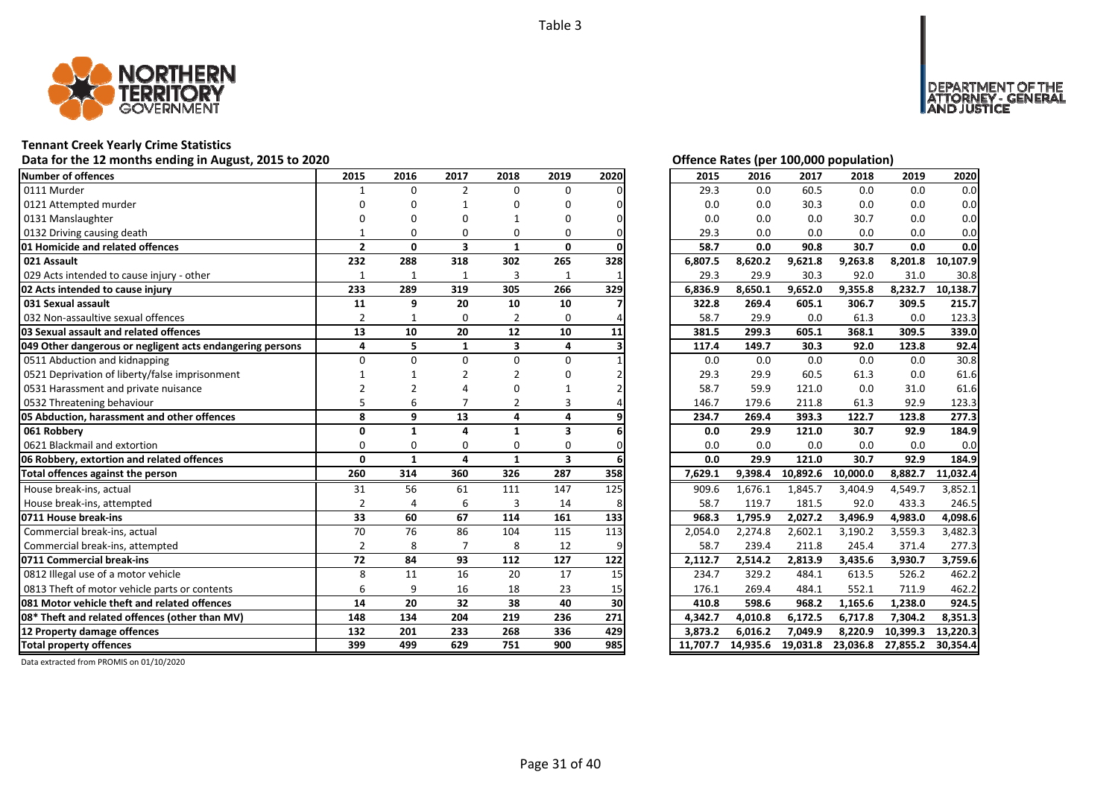

### **Tennant Creek Yearly Crime Statistics**

### Data for the 12 months ending in August, 2015 to 2020 *Data for the 12 months ending in August, 2015 to 2020*

| Number of offences                                        | 2015           | 2016         | 2017                    | 2018           | 2019         | 2020 | 2015     | 2016    | 2017              | 2018     | 2019     | 2020     |
|-----------------------------------------------------------|----------------|--------------|-------------------------|----------------|--------------|------|----------|---------|-------------------|----------|----------|----------|
| 0111 Murder                                               |                | $\Omega$     | $\overline{2}$          | $\Omega$       | $\Omega$     |      | 29.3     | 0.0     | 60.5              | 0.0      | 0.0      | 0.0      |
| 0121 Attempted murder                                     |                |              |                         | n              | n            |      | 0.0      | 0.0     | 30.3              | 0.0      | 0.0      | 0.0      |
| 0131 Manslaughter                                         |                |              |                         |                | U            |      | 0.0      | 0.0     | 0.0               | 30.7     | 0.0      | 0.0      |
| 0132 Driving causing death                                |                | ŋ            | O                       | 0              | 0            |      | 29.3     | 0.0     | 0.0               | 0.0      | 0.0      | 0.0      |
| 01 Homicide and related offences                          | $\overline{2}$ | $\mathbf{0}$ | $\overline{\mathbf{3}}$ | $\mathbf{1}$   | $\mathbf{0}$ |      | 58.7     | 0.0     | 90.8              | 30.7     | 0.0      | 0.0      |
| 021 Assault                                               | 232            | 288          | 318                     | 302            | 265          | 328  | 6,807.5  | 8,620.2 | 9,621.8           | 9,263.8  | 8,201.8  | 10,107.9 |
| 029 Acts intended to cause injury - other                 | 1              | 1            | 1                       | 3              | 1            |      | 29.3     | 29.9    | 30.3              | 92.0     | 31.0     | 30.8     |
| 02 Acts intended to cause injury                          | 233            | 289          | 319                     | 305            | 266          | 329  | 6,836.9  | 8,650.1 | 9,652.0           | 9,355.8  | 8,232.7  | 10,138.7 |
| 031 Sexual assault                                        | 11             | 9            | 20                      | 10             | 10           |      | 322.8    | 269.4   | 605.1             | 306.7    | 309.5    | 215.7    |
| 032 Non-assaultive sexual offences                        | $\overline{2}$ |              | $\Omega$                | $\overline{2}$ | $\Omega$     |      | 58.7     | 29.9    | 0.0               | 61.3     | 0.0      | 123.3    |
| 03 Sexual assault and related offences                    | 13             | 10           | 20                      | 12             | 10           | 11   | 381.5    | 299.3   | 605.1             | 368.1    | 309.5    | 339.0    |
| 049 Other dangerous or negligent acts endangering persons | 4              | 5            | $\mathbf{1}$            | 3              | 4            |      | 117.4    | 149.7   | 30.3              | 92.0     | 123.8    | 92.4     |
| 0511 Abduction and kidnapping                             | $\Omega$       | $\Omega$     | $\Omega$                | $\Omega$       | $\Omega$     |      | 0.0      | 0.0     | 0.0               | 0.0      | 0.0      | 30.8     |
| 0521 Deprivation of liberty/false imprisonment            |                |              |                         |                |              |      | 29.3     | 29.9    | 60.5              | 61.3     | 0.0      | 61.6     |
| 0531 Harassment and private nuisance                      |                |              |                         |                |              |      | 58.7     | 59.9    | 121.0             | 0.0      | 31.0     | 61.6     |
| 0532 Threatening behaviour                                |                | 6            |                         |                |              |      | 146.7    | 179.6   | 211.8             | 61.3     | 92.9     | 123.3    |
| 05 Abduction, harassment and other offences               | 8              | 9            | 13                      | 4              | 4            |      | 234.7    | 269.4   | 393.3             | 122.7    | 123.8    | 277.3    |
| 061 Robbery                                               | $\Omega$       | $\mathbf{1}$ | $\Delta$                | $\mathbf 1$    | 3            |      | 0.0      | 29.9    | 121.0             | 30.7     | 92.9     | 184.9    |
| 0621 Blackmail and extortion                              | $\Omega$       | 0            | $\Omega$                | 0              | $\Omega$     |      | 0.0      | 0.0     | 0.0               | 0.0      | 0.0      | 0.0      |
| 06 Robbery, extortion and related offences                | $\Omega$       | $\mathbf{1}$ | 4                       | $\mathbf{1}$   | 3            |      | 0.0      | 29.9    | 121.0             | 30.7     | 92.9     | 184.9    |
| Total offences against the person                         | 260            | 314          | 360                     | 326            | 287          | 358  | 7,629.1  | 9,398.4 | 10,892.6          | 10,000.0 | 8,882.7  | 11,032.4 |
| House break-ins, actual                                   | 31             | 56           | 61                      | 111            | 147          | 125  | 909.6    | 1,676.1 | 1,845.7           | 3,404.9  | 4,549.7  | 3,852.1  |
| House break-ins, attempted                                | $\overline{2}$ |              | 6                       | 3              | 14           |      | 58.7     | 119.7   | 181.5             | 92.0     | 433.3    | 246.5    |
| 0711 House break-ins                                      | 33             | 60           | 67                      | 114            | 161          | 133  | 968.3    | 1,795.9 | 2,027.2           | 3,496.9  | 4,983.0  | 4.098.6  |
| Commercial break-ins, actual                              | 70             | 76           | 86                      | 104            | 115          | 113  | 2,054.0  | 2,274.8 | 2,602.1           | 3,190.2  | 3,559.3  | 3,482.3  |
| Commercial break-ins, attempted                           | $\overline{2}$ | 8            |                         | 8              | 12           |      | 58.7     | 239.4   | 211.8             | 245.4    | 371.4    | 277.3    |
| 0711 Commercial break-ins                                 | 72             | 84           | 93                      | 112            | 127          | 122  | 2,112.7  | 2,514.2 | 2,813.9           | 3,435.6  | 3,930.7  | 3,759.6  |
| 0812 Illegal use of a motor vehicle                       | 8              | 11           | 16                      | 20             | 17           | 15   | 234.7    | 329.2   | 484.1             | 613.5    | 526.2    | 462.2    |
| 0813 Theft of motor vehicle parts or contents             | 6              | 9            | 16                      | 18             | 23           | 15   | 176.1    | 269.4   | 484.1             | 552.1    | 711.9    | 462.2    |
| 081 Motor vehicle theft and related offences              | 14             | 20           | 32                      | 38             | 40           | 30   | 410.8    | 598.6   | 968.2             | 1,165.6  | 1,238.0  | 924.5    |
| 08* Theft and related offences (other than MV)            | 148            | 134          | 204                     | 219            | 236          | 271  | 4,342.7  | 4,010.8 | 6,172.5           | 6,717.8  | 7,304.2  | 8,351.3  |
| 12 Property damage offences                               | 132            | 201          | 233                     | 268            | 336          | 429  | 3.873.2  | 6.016.2 | 7,049.9           | 8,220.9  | 10,399.3 | 13,220.3 |
| <b>Total property offences</b>                            | 399            | 499          | 629                     | 751            | 900          | 985  | 11.707.7 |         | 14,935.6 19,031.8 | 23,036.8 | 27,855.2 | 30,354.4 |

NT OF THE<br>' - GENERAL

**DEPAR** 

USTICE

| 2015     | 2016     | 2017     | 2018     | 2019     | 2020     |
|----------|----------|----------|----------|----------|----------|
| 29.3     | 0.0      | 60.5     | 0.0      | 0.0      | 0.0      |
| 0.0      | 0.0      | 30.3     | 0.0      | 0.0      | 0.0      |
| 0.0      | 0.0      | 0.0      | 30.7     | 0.0      | 0.0      |
| 29.3     | 0.0      | 0.0      | 0.0      | 0.0      | 0.0      |
| 58.7     | 0.0      | 90.8     | 30.7     | 0.0      | 0.0      |
| 6,807.5  | 8,620.2  | 9,621.8  | 9,263.8  | 8,201.8  | 10,107.9 |
| 29.3     | 29.9     | 30.3     | 92.0     | 31.0     | 30.8     |
| 6,836.9  | 8,650.1  | 9,652.0  | 9,355.8  | 8,232.7  | 10,138.7 |
| 322.8    | 269.4    | 605.1    | 306.7    | 309.5    | 215.7    |
| 58.7     | 29.9     | 0.0      | 61.3     | 0.0      | 123.3    |
| 381.5    | 299.3    | 605.1    | 368.1    | 309.5    | 339.0    |
| 117.4    | 149.7    | 30.3     | 92.0     | 123.8    | 92.4     |
| 0.0      | 0.0      | 0.0      | 0.0      | 0.0      | 30.8     |
| 29.3     | 29.9     | 60.5     | 61.3     | 0.0      | 61.6     |
| 58.7     | 59.9     | 121.0    | 0.0      | 31.0     | 61.6     |
| 146.7    | 179.6    | 211.8    | 61.3     | 92.9     | 123.3    |
| 234.7    | 269.4    | 393.3    | 122.7    | 123.8    | 277.3    |
| 0.0      | 29.9     | 121.0    | 30.7     | 92.9     | 184.9    |
| 0.0      | 0.0      | 0.0      | 0.0      | 0.0      | 0.0      |
| 0.0      | 29.9     | 121.0    | 30.7     | 92.9     | 184.9    |
| 7,629.1  | 9,398.4  | 10,892.6 | 10,000.0 | 8,882.7  | 11,032.4 |
| 909.6    | 1,676.1  | 1,845.7  | 3,404.9  | 4,549.7  | 3,852.1  |
| 58.7     | 119.7    | 181.5    | 92.0     | 433.3    | 246.5    |
| 968.3    | 1,795.9  | 2,027.2  | 3,496.9  | 4,983.0  | 4,098.6  |
| 2,054.0  | 2,274.8  | 2,602.1  | 3,190.2  | 3,559.3  | 3,482.3  |
| 58.7     | 239.4    | 211.8    | 245.4    | 371.4    | 277.3    |
| 2,112.7  | 2,514.2  | 2,813.9  | 3,435.6  | 3,930.7  | 3,759.6  |
| 234.7    | 329.2    | 484.1    | 613.5    | 526.2    | 462.2    |
| 176.1    | 269.4    | 484.1    | 552.1    | 711.9    | 462.2    |
| 410.8    | 598.6    | 968.2    | 1,165.6  | 1,238.0  | 924.5    |
| 4,342.7  | 4,010.8  | 6,172.5  | 6,717.8  | 7,304.2  | 8,351.3  |
| 3,873.2  | 6,016.2  | 7,049.9  | 8,220.9  | 10,399.3 | 13,220.3 |
| 11.707.7 | 14,935.6 | 19,031.8 | 23,036.8 | 27,855.2 | 30,354.4 |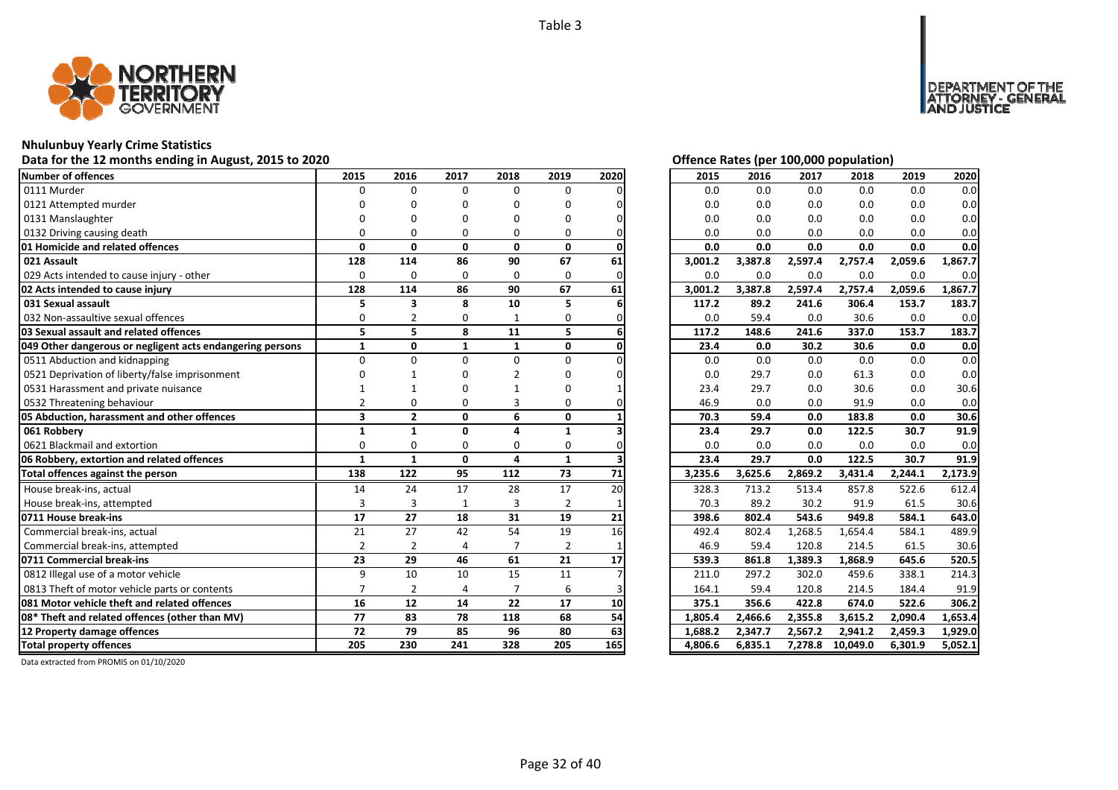

### **Nhulunbuy Yearly Crime Statistics**

### Data for the 12 months ending in August, 2015 to 2020<br>
Data for the 12 months ending in August, 2015 to 2020

| Number of offences                                        | 2015                    | 2016           | 2017         | 2018           | 2019           | 2020 | 2015    | 2016    | 2017    | 2018     | 2019    | 2020    |
|-----------------------------------------------------------|-------------------------|----------------|--------------|----------------|----------------|------|---------|---------|---------|----------|---------|---------|
| 0111 Murder                                               | $\Omega$                | $\Omega$       | $\Omega$     | $\Omega$       | $\Omega$       |      | 0.0     | 0.0     | 0.0     | 0.0      | 0.0     | 0.0     |
| 0121 Attempted murder                                     |                         |                | n            | O              | n              |      | 0.0     | 0.0     | 0.0     | 0.0      | 0.0     | 0.0     |
| 0131 Manslaughter                                         |                         |                |              |                | n              |      | 0.0     | 0.0     | 0.0     | 0.0      | 0.0     | 0.0     |
| 0132 Driving causing death                                |                         |                | O            | $\Omega$       | O              |      | 0.0     | 0.0     | 0.0     | 0.0      | 0.0     | 0.0     |
| 01 Homicide and related offences                          | $\Omega$                | $\mathbf{0}$   | $\mathbf{0}$ | $\mathbf{0}$   | 0              |      | 0.0     | 0.0     | 0.0     | 0.0      | 0.0     | 0.0     |
| 021 Assault                                               | 128                     | 114            | 86           | 90             | 67             | 61   | 3,001.2 | 3,387.8 | 2,597.4 | 2,757.4  | 2,059.6 | 1,867.7 |
| 029 Acts intended to cause injury - other                 | $\Omega$                | $\Omega$       | $\Omega$     | $\Omega$       | $\Omega$       |      | 0.0     | 0.0     | 0.0     | 0.0      | 0.0     | 0.0     |
| 02 Acts intended to cause injury                          | 128                     | 114            | 86           | 90             | 67             | 61   | 3,001.2 | 3,387.8 | 2,597.4 | 2,757.4  | 2,059.6 | 1,867.7 |
| 031 Sexual assault                                        | 5                       | 3              | 8            | 10             | 5              |      | 117.2   | 89.2    | 241.6   | 306.4    | 153.7   | 183.7   |
| 032 Non-assaultive sexual offences                        | $\Omega$                |                | 0            | 1              | 0              |      | 0.0     | 59.4    | 0.0     | 30.6     | 0.0     | 0.0     |
| 03 Sexual assault and related offences                    | 5                       | 5              | 8            | 11             | 5              |      | 117.2   | 148.6   | 241.6   | 337.0    | 153.7   | 183.7   |
| 049 Other dangerous or negligent acts endangering persons | $\mathbf{1}$            | $\mathbf{0}$   | $\mathbf{1}$ | $\mathbf{1}$   | 0              |      | 23.4    | 0.0     | 30.2    | 30.6     | 0.0     | 0.0     |
| 0511 Abduction and kidnapping                             | $\Omega$                | $\Omega$       | $\Omega$     | $\Omega$       | U              |      | 0.0     | 0.0     | 0.0     | 0.0      | 0.0     | 0.0     |
| 0521 Deprivation of liberty/false imprisonment            |                         |                |              |                |                |      | 0.0     | 29.7    | 0.0     | 61.3     | 0.0     | 0.0     |
| 0531 Harassment and private nuisance                      |                         |                |              |                |                |      | 23.4    | 29.7    | 0.0     | 30.6     | 0.0     | 30.6    |
| 0532 Threatening behaviour                                | $\mathfrak{p}$          | O              | O            | 3              | 0              |      | 46.9    | 0.0     | 0.0     | 91.9     | 0.0     | 0.0     |
| 05 Abduction, harassment and other offences               | $\overline{\mathbf{3}}$ | $\overline{2}$ | $\mathbf{0}$ | 6              | $\mathbf{0}$   |      | 70.3    | 59.4    | 0.0     | 183.8    | 0.0     | 30.6    |
| 061 Robberv                                               | 1                       | $\mathbf{1}$   | $\Omega$     |                | $\mathbf{1}$   |      | 23.4    | 29.7    | 0.0     | 122.5    | 30.7    | 91.9    |
| 0621 Blackmail and extortion                              | $\Omega$                | $\Omega$       | $\Omega$     | $\Omega$       | $\Omega$       |      | 0.0     | 0.0     | 0.0     | 0.0      | 0.0     | 0.0     |
| 06 Robbery, extortion and related offences                | $\mathbf{1}$            | $\mathbf{1}$   | $\mathbf{0}$ | 4              | $\mathbf{1}$   |      | 23.4    | 29.7    | 0.0     | 122.5    | 30.7    | 91.9    |
| Total offences against the person                         | 138                     | 122            | 95           | 112            | 73             | 71   | 3,235.6 | 3,625.6 | 2,869.2 | 3,431.4  | 2,244.1 | 2,173.9 |
| House break-ins, actual                                   | 14                      | 24             | 17           | 28             | 17             | 20   | 328.3   | 713.2   | 513.4   | 857.8    | 522.6   | 612.4   |
| House break-ins, attempted                                | 3                       | 3              | $\mathbf{1}$ | 3              | $\overline{2}$ |      | 70.3    | 89.2    | 30.2    | 91.9     | 61.5    | 30.6    |
| 0711 House break-ins                                      | 17                      | 27             | 18           | 31             | 19             | 21   | 398.6   | 802.4   | 543.6   | 949.8    | 584.1   | 643.0   |
| Commercial break-ins, actual                              | 21                      | 27             | 42           | 54             | 19             | 16   | 492.4   | 802.4   | 1,268.5 | 1,654.4  | 584.1   | 489.9   |
| Commercial break-ins, attempted                           | $\overline{2}$          | $\overline{2}$ | 4            | $\overline{7}$ | $\overline{2}$ |      | 46.9    | 59.4    | 120.8   | 214.5    | 61.5    | 30.6    |
| 0711 Commercial break-ins                                 | 23                      | 29             | 46           | 61             | 21             | 17   | 539.3   | 861.8   | 1.389.3 | 1.868.9  | 645.6   | 520.5   |
| 0812 Illegal use of a motor vehicle                       | 9                       | 10             | 10           | 15             | 11             |      | 211.0   | 297.2   | 302.0   | 459.6    | 338.1   | 214.3   |
| 0813 Theft of motor vehicle parts or contents             | $\overline{7}$          | $\overline{2}$ | 4            | $\overline{7}$ | 6              |      | 164.1   | 59.4    | 120.8   | 214.5    | 184.4   | 91.9    |
| 081 Motor vehicle theft and related offences              | 16                      | 12             | 14           | 22             | 17             | 10   | 375.1   | 356.6   | 422.8   | 674.0    | 522.6   | 306.2   |
| 08* Theft and related offences (other than MV)            | 77                      | 83             | 78           | 118            | 68             | 54   | 1.805.4 | 2,466.6 | 2,355.8 | 3,615.2  | 2,090.4 | 1.653.4 |
| 12 Property damage offences                               | 72                      | 79             | 85           | 96             | 80             | 63   | 1,688.2 | 2,347.7 | 2,567.2 | 2,941.2  | 2,459.3 | 1,929.0 |
| <b>Total property offences</b>                            | 205                     | 230            | 241          | 328            | 205            | 165  | 4,806.6 | 6,835.1 | 7,278.8 | 10,049.0 | 6,301.9 | 5,052.1 |

DEPARTMENT OF THE<br>ATTORNEY - GENERAL ÜŠTICE

| 2015    | 2016    | 2017    | 2018     | 2019    | 2020    |
|---------|---------|---------|----------|---------|---------|
| 0.0     | 0.0     | 0.0     | 0.0      | 0.0     | 0.0     |
| 0.0     | 0.0     | 0.0     | 0.0      | 0.0     | 0.0     |
| 0.0     | 0.0     | 0.0     | 0.0      | 0.0     | 0.0     |
| 0.0     | 0.0     | 0.0     | 0.0      | 0.0     | 0.0     |
| 0.0     | 0.0     | 0.0     | 0.0      | 0.0     | 0.0     |
| 3,001.2 | 3,387.8 | 2,597.4 | 2,757.4  | 2,059.6 | 1,867.7 |
| 0.0     | 0.0     | 0.0     | 0.0      | 0.0     | 0.0     |
| 3,001.2 | 3,387.8 | 2,597.4 | 2,757.4  | 2,059.6 | 1,867.7 |
| 117.2   | 89.2    | 241.6   | 306.4    | 153.7   | 183.7   |
| 0.0     | 59.4    | 0.0     | 30.6     | 0.0     | $0.0\,$ |
| 117.2   | 148.6   | 241.6   | 337.0    | 153.7   | 183.7   |
| 23.4    | 0.0     | 30.2    | 30.6     | 0.0     | 0.0     |
| 0.0     | 0.0     | 0.0     | 0.0      | 0.0     | 0.0     |
| 0.0     | 29.7    | 0.0     | 61.3     | 0.0     | 0.0     |
| 23.4    | 29.7    | 0.0     | 30.6     | 0.0     | 30.6    |
| 46.9    | 0.0     | 0.0     | 91.9     | 0.0     | 0.0     |
| 70.3    | 59.4    | 0.0     | 183.8    | 0.0     | 30.6    |
| 23.4    | 29.7    | 0.0     | 122.5    | 30.7    | 91.9    |
| 0.0     | 0.0     | 0.0     | 0.0      | 0.0     | 0.0     |
| 23.4    | 29.7    | 0.0     | 122.5    | 30.7    | 91.9    |
| 3,235.6 | 3,625.6 | 2,869.2 | 3,431.4  | 2,244.1 | 2,173.9 |
| 328.3   | 713.2   | 513.4   | 857.8    | 522.6   | 612.4   |
| 70.3    | 89.2    | 30.2    | 91.9     | 61.5    | 30.6    |
| 398.6   | 802.4   | 543.6   | 949.8    | 584.1   | 643.0   |
| 492.4   | 802.4   | 1,268.5 | 1,654.4  | 584.1   | 489.9   |
| 46.9    | 59.4    | 120.8   | 214.5    | 61.5    | 30.6    |
| 539.3   | 861.8   | 1,389.3 | 1,868.9  | 645.6   | 520.5   |
| 211.0   | 297.2   | 302.0   | 459.6    | 338.1   | 214.3   |
| 164.1   | 59.4    | 120.8   | 214.5    | 184.4   | 91.9    |
| 375.1   | 356.6   | 422.8   | 674.0    | 522.6   | 306.2   |
| 1,805.4 | 2,466.6 | 2,355.8 | 3,615.2  | 2,090.4 | 1,653.4 |
| 1,688.2 | 2,347.7 | 2,567.2 | 2,941.2  | 2,459.3 | 1,929.0 |
| 4,806.6 | 6,835.1 | 7,278.8 | 10,049.0 | 6,301.9 | 5,052.1 |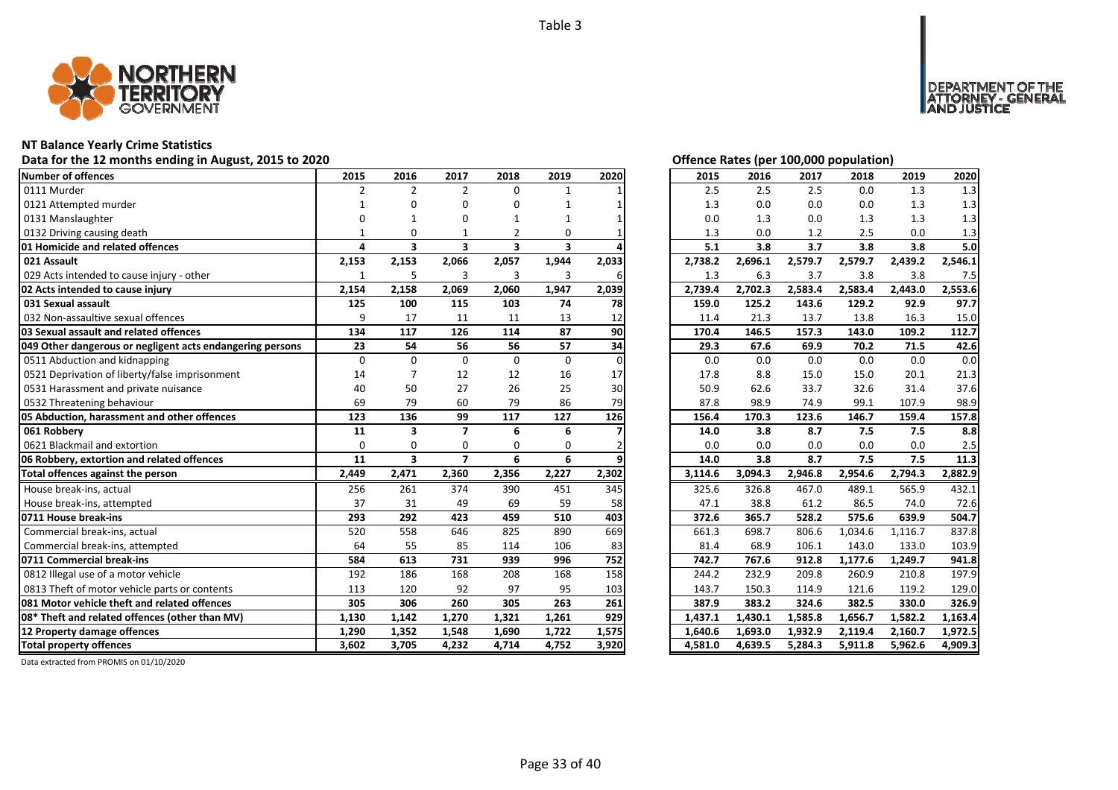

### **NT Balance Yearly Crime Statistics**

### Data for the 12 months ending in August, 2015 to 2020<br> **Data for the 12 months ending in August, 2015 to 2020**

| <b>Number of offences</b>                                 | 2015           | 2016                    | 2017                    | 2018                    | 2019         | 2020     | 2015    | 2016    | 2017    | 2018    | 2019    | 2020    |
|-----------------------------------------------------------|----------------|-------------------------|-------------------------|-------------------------|--------------|----------|---------|---------|---------|---------|---------|---------|
| 0111 Murder                                               | $\overline{2}$ | $\overline{2}$          | $\overline{2}$          | $\Omega$                | $\mathbf{1}$ |          | 2.5     | 2.5     | 2.5     | 0.0     | 1.3     | 1.3     |
| 0121 Attempted murder                                     | 1              |                         | n                       | ŋ                       |              |          | 1.3     | 0.0     | 0.0     | 0.0     | 1.3     | 1.3     |
| 0131 Manslaughter                                         | $\Omega$       |                         | n                       |                         |              |          | 0.0     | 1.3     | 0.0     | 1.3     | 1.3     | 1.3     |
| 0132 Driving causing death                                |                | 0                       |                         |                         | 0            |          | 1.3     | 0.0     | 1.2     | 2.5     | 0.0     | 1.3     |
| 01 Homicide and related offences                          | 4              | 3                       | $\overline{\mathbf{3}}$ | $\overline{\mathbf{3}}$ | 3            |          | 5.1     | 3.8     | 3.7     | 3.8     | 3.8     | 5.0     |
| 021 Assault                                               | 2,153          | 2,153                   | 2,066                   | 2,057                   | 1,944        | 2,033    | 2,738.2 | 2,696.1 | 2,579.7 | 2,579.7 | 2,439.2 | 2,546.1 |
| 029 Acts intended to cause injury - other                 | 1              | 5                       | 3                       | 3                       | 3            | 6        | 1.3     | 6.3     | 3.7     | 3.8     | 3.8     | 7.5     |
| 02 Acts intended to cause injury                          | 2,154          | 2,158                   | 2,069                   | 2,060                   | 1,947        | 2,039    | 2,739.4 | 2,702.3 | 2,583.4 | 2,583.4 | 2,443.0 | 2,553.6 |
| 031 Sexual assault                                        | 125            | 100                     | 115                     | 103                     | 74           | 78       | 159.0   | 125.2   | 143.6   | 129.2   | 92.9    | 97.7    |
| 032 Non-assaultive sexual offences                        | 9              | 17                      | 11                      | 11                      | 13           | 12       | 11.4    | 21.3    | 13.7    | 13.8    | 16.3    | 15.0    |
| 03 Sexual assault and related offences                    | 134            | 117                     | 126                     | 114                     | 87           | 90       | 170.4   | 146.5   | 157.3   | 143.0   | 109.2   | 112.7   |
| 049 Other dangerous or negligent acts endangering persons | 23             | 54                      | 56                      | 56                      | 57           | 34       | 29.3    | 67.6    | 69.9    | 70.2    | 71.5    | 42.6    |
| 0511 Abduction and kidnapping                             | $\mathbf 0$    | $\Omega$                | $\Omega$                | $\Omega$                | $\mathbf 0$  | $\Omega$ | 0.0     | 0.0     | 0.0     | 0.0     | 0.0     | 0.0     |
| 0521 Deprivation of liberty/false imprisonment            | 14             |                         | 12                      | 12                      | 16           | 17       | 17.8    | 8.8     | 15.0    | 15.0    | 20.1    | 21.3    |
| 0531 Harassment and private nuisance                      | 40             | 50                      | 27                      | 26                      | 25           | 30       | 50.9    | 62.6    | 33.7    | 32.6    | 31.4    | 37.6    |
| 0532 Threatening behaviour                                | 69             | 79                      | 60                      | 79                      | 86           | 79       | 87.8    | 98.9    | 74.9    | 99.1    | 107.9   | 98.9    |
| 05 Abduction, harassment and other offences               | 123            | 136                     | 99                      | 117                     | 127          | 126      | 156.4   | 170.3   | 123.6   | 146.7   | 159.4   | 157.8   |
| 061 Robbery                                               | 11             | 3                       | $\overline{7}$          | 6                       | 6            |          | 14.0    | 3.8     | 8.7     | 7.5     | 7.5     | 8.8     |
| 0621 Blackmail and extortion                              | $\Omega$       | $\Omega$                | $\Omega$                | 0                       | 0            |          | 0.0     | 0.0     | 0.0     | 0.0     | 0.0     | 2.5     |
| 06 Robbery, extortion and related offences                | 11             | $\overline{\mathbf{3}}$ | $\overline{ }$          | 6                       | 6            |          | 14.0    | 3.8     | 8.7     | 7.5     | 7.5     | 11.3    |
| Total offences against the person                         | 2,449          | 2,471                   | 2,360                   | 2,356                   | 2,227        | 2,302    | 3,114.6 | 3,094.3 | 2,946.8 | 2,954.6 | 2,794.3 | 2,882.9 |
| House break-ins, actual                                   | 256            | 261                     | 374                     | 390                     | 451          | 345      | 325.6   | 326.8   | 467.0   | 489.1   | 565.9   | 432.1   |
| House break-ins, attempted                                | 37             | 31                      | 49                      | 69                      | 59           | 58       | 47.1    | 38.8    | 61.2    | 86.5    | 74.0    | 72.6    |
| 0711 House break-ins                                      | 293            | 292                     | 423                     | 459                     | 510          | 403      | 372.6   | 365.7   | 528.2   | 575.6   | 639.9   | 504.7   |
| Commercial break-ins, actual                              | 520            | 558                     | 646                     | 825                     | 890          | 669      | 661.3   | 698.7   | 806.6   | 1,034.6 | 1,116.7 | 837.8   |
| Commercial break-ins, attempted                           | 64             | 55                      | 85                      | 114                     | 106          | 83       | 81.4    | 68.9    | 106.1   | 143.0   | 133.0   | 103.9   |
| 0711 Commercial break-ins                                 | 584            | 613                     | 731                     | 939                     | 996          | 752      | 742.7   | 767.6   | 912.8   | 1,177.6 | 1,249.7 | 941.8   |
| 0812 Illegal use of a motor vehicle                       | 192            | 186                     | 168                     | 208                     | 168          | 158      | 244.2   | 232.9   | 209.8   | 260.9   | 210.8   | 197.9   |
| 0813 Theft of motor vehicle parts or contents             | 113            | 120                     | 92                      | 97                      | 95           | 103      | 143.7   | 150.3   | 114.9   | 121.6   | 119.2   | 129.0   |
| 081 Motor vehicle theft and related offences              | 305            | 306                     | 260                     | 305                     | 263          | 261      | 387.9   | 383.2   | 324.6   | 382.5   | 330.0   | 326.9   |
| 08* Theft and related offences (other than MV)            | 1,130          | 1,142                   | 1,270                   | 1,321                   | 1,261        | 929      | 1,437.1 | 1,430.1 | 1,585.8 | 1,656.7 | 1,582.2 | 1,163.4 |
| 12 Property damage offences                               | 1,290          | 1,352                   | 1,548                   | 1,690                   | 1,722        | 1,575    | 1,640.6 | 1,693.0 | 1,932.9 | 2,119.4 | 2,160.7 | 1,972.5 |
| <b>Total property offences</b>                            | 3.602          | 3,705                   | 4,232                   | 4,714                   | 4,752        | 3,920    | 4,581.0 | 4,639.5 | 5,284.3 | 5,911.8 | 5,962.6 | 4,909.3 |

MENT OF THE<br>NEY - GENERAL

USTICE

**DEPART** 

| 2015               | 2016               | 2017               | 2018               | 2019               | 2020               |
|--------------------|--------------------|--------------------|--------------------|--------------------|--------------------|
| 2.5                | 2.5                | 2.5                | 0.0                | 1.3                | 1.3                |
| 1.3                | 0.0                | 0.0                | 0.0                | 1.3                | 1.3                |
| 0.0                | 1.3                | 0.0                | 1.3                | 1.3                | 1.3                |
| 1.3                | 0.0                | 1.2                | 2.5                | 0.0                | 1.3                |
| 5.1                | 3.8                | 3.7                | 3.8                | 3.8                | 5.0                |
| 2,738.2            | 2,696.1            | 2,579.7            | 2,579.7            | 2,439.2            | 2,546.1            |
| 1.3                | 6.3                | 3.7                | 3.8                | 3.8                | 7.5                |
| 2,739.4            | 2,702.3            | 2,583.4            | 2,583.4            | 2,443.0            | 2,553.6            |
| 159.0              | 125.2              | 143.6              | 129.2              | 92.9               | 97.7               |
| 11.4               | 21.3               | 13.7               | 13.8               | 16.3               | 15.0               |
| 170.4              | 146.5              | 157.3              | 143.0              | 109.2              | 112.7              |
| 29.3               | 67.6               | 69.9               | 70.2               | 71.5               | 42.6               |
| 0.0                | 0.0                | 0.0                | 0.0                | 0.0                | 0.0                |
| 17.8               | 8.8                | 15.0               | 15.0               | 20.1               | 21.3               |
| 50.9               | 62.6               | 33.7               | 32.6               | 31.4               | 37.6               |
| 87.8               | 98.9               | 74.9               | 99.1               | 107.9              | 98.9               |
|                    |                    |                    |                    |                    |                    |
| 156.4              | 170.3              | 123.6              | 146.7              | 159.4              | 157.8              |
| 14.0               | 3.8                | 8.7                | 7.5                | 7.5                | 8.8                |
| 0.0                | 0.0                | 0.0                | 0.0                | 0.0                | 2.5                |
| 14.0               | 3.8                | 8.7                | 7.5                | 7.5                | 11.3               |
| 3,114.6            | 3,094.3            | 2,946.8            | 2,954.6            | 2,794.3            | 2,882.9            |
| 325.6              | 326.8              | 467.0              | 489.1              | 565.9              | 432.1              |
| 47.1               | 38.8               | 61.2               | 86.5               | 74.0               | 72.6               |
| 372.6              | 365.7              | 528.2              | 575.6              | 639.9              | 504.7              |
| 661.3              | 698.7              | 806.6              | 1,034.6            | 1,116.7            | 837.8              |
| 81.4               | 68.9               | 106.1              | 143.0              | 133.0              | 103.9              |
| 742.7              | 767.6              | 912.8              | 1,177.6            | 1,249.7            | 941.8              |
| 244.2              | 232.9              | 209.8              | 260.9              | 210.8              | 197.9              |
| 143.7              | 150.3              | 114.9              | 121.6              | 119.2              | 129.0              |
| 387.9              | 383.2              | 324.6              | 382.5              | 330.0              | 326.9              |
| 1,437.1            | 1,430.1            | 1,585.8            | 1,656.7            | 1,582.2            | 1,163.4            |
| 1,640.6<br>4,581.0 | 1,693.0<br>4,639.5 | 1,932.9<br>5,284.3 | 2,119.4<br>5,911.8 | 2,160.7<br>5,962.6 | 1,972.5<br>4,909.3 |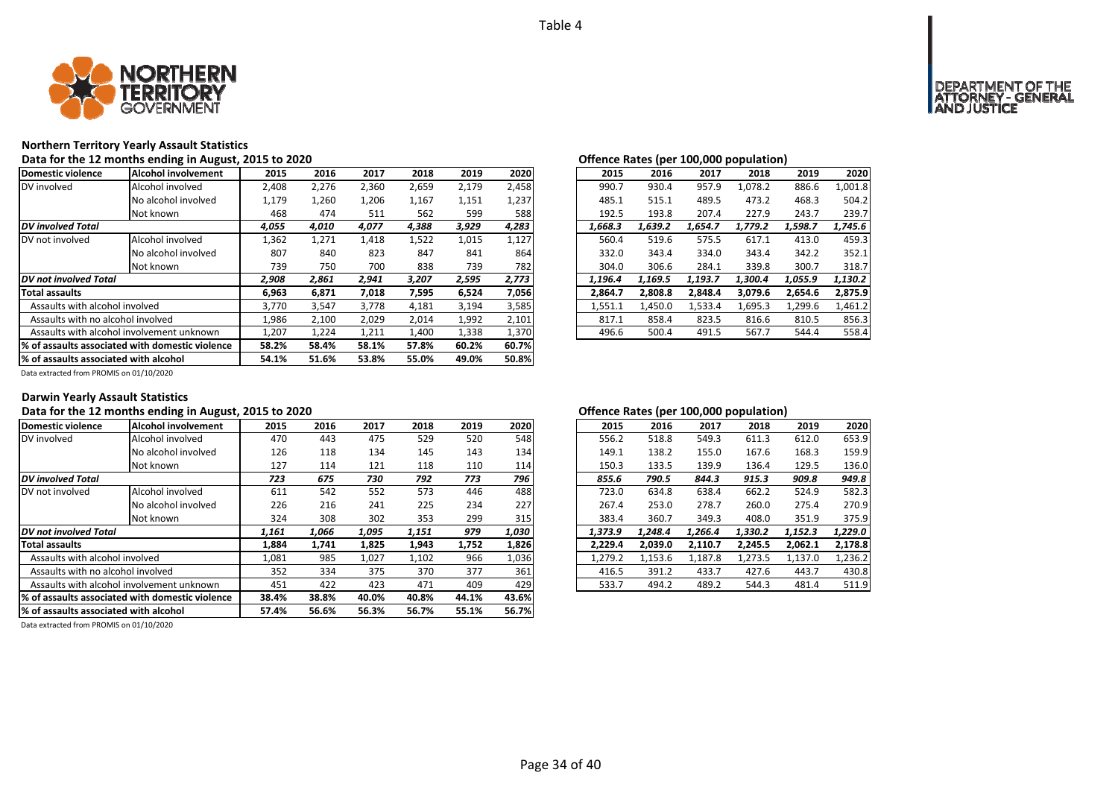

### **Northern Territory Yearly Assault Statistics**

Data for the 12 months ending in August, 2015 to 2020<br> **Data for the 12 months ending in August, 2015 to 2020** 

| Domestic violence                     | Alcohol involvement                              | 2015  | 2016  | 2017  | 2018  | 2019  | 2020  | 2015    | 2016    | 2017    | 2018    | 2019    | 2020    |
|---------------------------------------|--------------------------------------------------|-------|-------|-------|-------|-------|-------|---------|---------|---------|---------|---------|---------|
| DV involved                           | Alcohol involved                                 | 2,408 | 2,276 | 2,360 | 2,659 | 2,179 | 2,458 | 990.7   | 930.4   | 957.9   | 1,078.2 | 886.6   | 1,001.8 |
|                                       | No alcohol involved                              | 1,179 | 1,260 | 1,206 | 1,167 | 1,151 | 1,237 | 485.1   | 515.1   | 489.5   | 473.2   | 468.3   | 504.2   |
|                                       | Not known                                        | 468   | 474   | 511   | 562   | 599   | 588   | 192.5   | 193.8   | 207.4   | 227.9   | 243.7   | 239.7   |
| <b>DV</b> involved Total              |                                                  | 4,055 | 4,010 | 4,077 | 4,388 | 3,929 | 4,283 | 1,668.3 | 1,639.2 | 1,654.7 | 1,779.2 | 1,598.7 | 1,745.6 |
| DV not involved                       | Alcohol involved                                 | 1,362 | 1,271 | 1,418 | 1,522 | 1,015 | 1,127 | 560.4   | 519.6   | 575.5   | 617.1   | 413.0   | 459.3   |
|                                       | No alcohol involved                              | 807   | 840   | 823   | 847   | 841   | 864   | 332.0   | 343.4   | 334.0   | 343.4   | 342.2   | 352.1   |
|                                       | Not known                                        | 739   | 750   | 700   | 838   | 739   | 782   | 304.0   | 306.6   | 284.1   | 339.8   | 300.7   | 318.7   |
| DV not involved Total                 |                                                  | 2,908 | 2,861 | 2,941 | 3,207 | 2,595 | 2,773 | 1,196.4 | 1,169.5 | 1,193.7 | 1.300.4 | 1,055.9 | 1,130.2 |
| <b>Total assaults</b>                 |                                                  | 6,963 | 6,871 | 7,018 | 7,595 | 6,524 | 7,056 | 2,864.7 | 2,808.8 | 2.848.4 | 3,079.6 | 2,654.6 | 2,875.9 |
| Assaults with alcohol involved        |                                                  | 3,770 | 3,547 | 3,778 | 4,181 | 3,194 | 3,585 | 1,551.1 | 1.450.0 | 1.533.4 | 1,695.3 | 1,299.6 | 1,461.2 |
| Assaults with no alcohol involved     |                                                  | 1,986 | 2,100 | 2,029 | 2,014 | 1,992 | 2,101 | 817.1   | 858.4   | 823.5   | 816.6   | 810.5   | 856.3   |
|                                       | Assaults with alcohol involvement unknown        | 1,207 | 1,224 | 1,211 | 1,400 | 1,338 | 1,370 | 496.6   | 500.4   | 491.5   | 567.7   | 544.4   | 558.4   |
|                                       | 1% of assaults associated with domestic violence | 58.2% | 58.4% | 58.1% | 57.8% | 60.2% | 60.7% |         |         |         |         |         |         |
| % of assaults associated with alcohol |                                                  | 54.1% | 51.6% | 53.8% | 55.0% | 49.0% | 50.8% |         |         |         |         |         |         |

| ישווטווטט ווטגנט נפטו |         |         | $100,000$ population, |         |         |
|-----------------------|---------|---------|-----------------------|---------|---------|
| 2015                  | 2016    | 2017    | 2018                  | 2019    | 2020    |
| 990.7                 | 930.4   | 957.9   | 1.078.2               | 886.6   | 1,001.8 |
| 485.1                 | 515.1   | 489.5   | 473.2                 | 468.3   | 504.2   |
| 192.5                 | 193.8   | 207.4   | 227.9                 | 243.7   | 239.7   |
| 1.668.3               | 1.639.2 | 1.654.7 | 1.779.2               | 1.598.7 | 1.745.6 |
| 560.4                 | 519.6   | 575.5   | 617.1                 | 413.0   | 459.3   |
| 332.0                 | 343.4   | 334.0   | 343.4                 | 342.2   | 352.1   |
| 304.0                 | 306.6   | 284.1   | 339.8                 | 300.7   | 318.7   |
| 1,196.4               | 1.169.5 | 1.193.7 | 1.300.4               | 1.055.9 | 1.130.2 |
| 2,864.7               | 2,808.8 | 2.848.4 | 3,079.6               | 2,654.6 | 2,875.9 |
| 1,551.1               | 1,450.0 | 1,533.4 | 1,695.3               | 1,299.6 | 1,461.2 |
| 817.1                 | 858.4   | 823.5   | 816.6                 | 810.5   | 856.3   |
| 496.6                 | 500.4   | 491.5   | 567.7                 | 544.4   | 558.4   |

Data extracted from PROMIS on 01/10/2020

### **Darwin Yearly Assault Statistics**

### Data for the 12 months ending in August, 2015 to 2020<br> **Data for the 12 months ending in August, 2015 to 2020**

| Domestic violence                     | Alcohol involvement                             | 2015  | 2016  | 2017  | 2018  | 2019  | 2020  | 2015    | 2016    | 2017    | 2018    | 2019    | 2020    |
|---------------------------------------|-------------------------------------------------|-------|-------|-------|-------|-------|-------|---------|---------|---------|---------|---------|---------|
| DV involved                           | Alcohol involved                                | 470   | 443   | 475   | 529   | 520   | 548   | 556.2   | 518.8   | 549.3   | 611.3   | 612.0   | 653.9   |
|                                       | No alcohol involved                             | 126   | 118   | 134   | 145   | 143   | 134   | 149.1   | 138.2   | 155.0   | 167.6   | 168.3   | 159.9   |
|                                       | Not known                                       | 127   | 114   | 121   | 118   | 110   | 114   | 150.3   | 133.5   | 139.9   | 136.4   | 129.5   | 136.0   |
| <b>DV</b> involved Total              |                                                 | 723   | 675   | 730   | 792   | 773   | 796   | 855.6   | 790.5   | 844.3   | 915.3   | 909.8   | 949.8   |
| IDV not involved                      | Alcohol involved                                | 611   | 542   | 552   | 573   | 446   | 488   | 723.0   | 634.8   | 638.4   | 662.2   | 524.9   | 582.3   |
|                                       | No alcohol involved                             | 226   | 216   | 241   | 225   | 234   | 227   | 267.4   | 253.0   | 278.7   | 260.0   | 275.4   | 270.9   |
|                                       | Not known                                       | 324   | 308   | 302   | 353   | 299   | 315   | 383.4   | 360.7   | 349.3   | 408.0   | 351.9   | 375.9   |
| DV not involved Total                 |                                                 | 1,161 | 1,066 | 1,095 | 1,151 | 979   | 1,030 | 1,373.9 | 1.248.4 | 1,266.4 | 1,330.2 | 1,152.3 | 1,229.0 |
| <b>Total assaults</b>                 |                                                 | 1,884 | 1,741 | 1,825 | 1,943 | 1,752 | 1,826 | 2,229.4 | 2,039.0 | 2,110.7 | 2,245.5 | 2,062.1 | 2,178.8 |
| Assaults with alcohol involved        |                                                 | 1,081 | 985   | 1,027 | 1,102 | 966   | 1,036 | 1,279.2 | 1,153.6 | 1,187.8 | 1,273.5 | 1,137.0 | 1,236.2 |
| Assaults with no alcohol involved     |                                                 | 352   | 334   | 375   | 370   | 377   | 361   | 416.5   | 391.2   | 433.7   | 427.6   | 443.7   | 430.8   |
|                                       | Assaults with alcohol involvement unknown       | 451   | 422   | 423   | 471   | 409   | 429   | 533.7   | 494.2   | 489.2   | 544.3   | 481.4   | 511.9   |
|                                       | % of assaults associated with domestic violence | 38.4% | 38.8% | 40.0% | 40.8% | 44.1% | 43.6% |         |         |         |         |         |         |
| % of assaults associated with alcohol |                                                 | 57.4% | 56.6% | 56.3% | 56.7% | 55.1% | 56.7% |         |         |         |         |         |         |

| 2020<br>653.9<br>159.9<br>136.0 |
|---------------------------------|
|                                 |
|                                 |
|                                 |
|                                 |
| 949.8                           |
| 582.3                           |
| 270.9                           |
| 375.9                           |
| 1.229.0                         |
| 2,178.8                         |
| 1,236.2                         |
| 430.8                           |
| 511.9                           |
|                                 |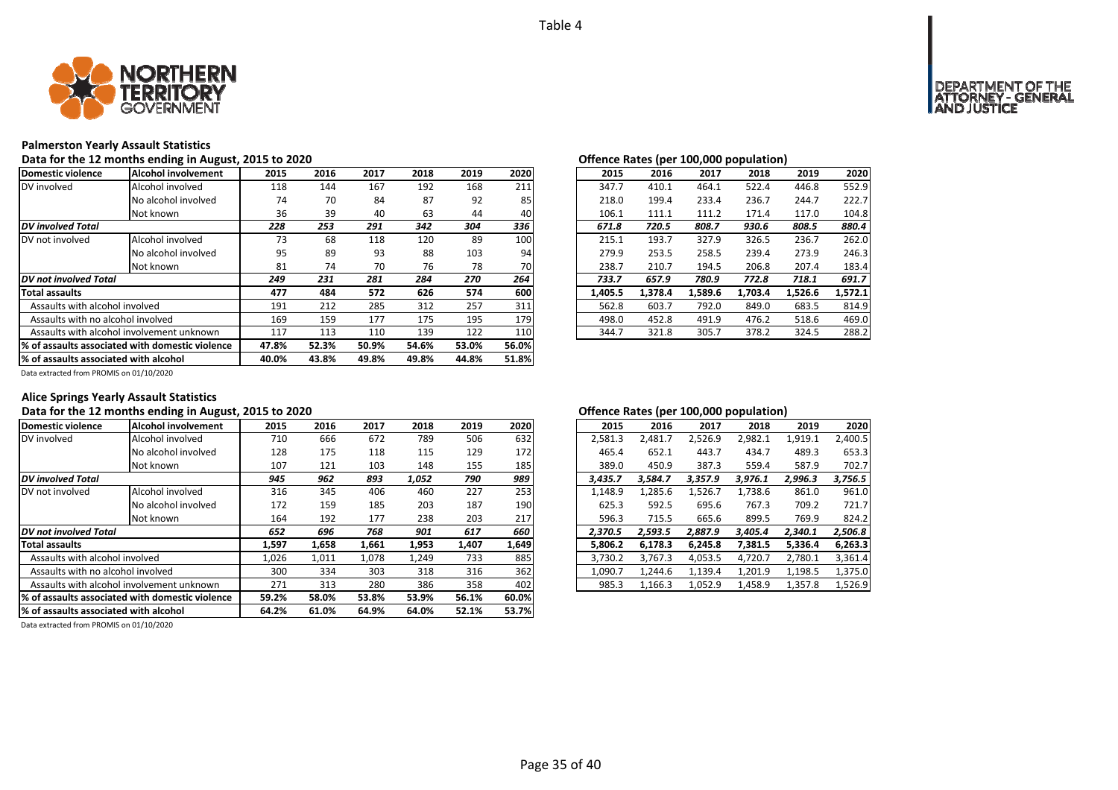

### **Palmerston Yearly Assault Statistics**

Data for the 12 months ending in August, 2015 to 2020<br> **Data for the 12 months ending in August, 2015 to 2020** 

| Domestic violence                     | Alcohol involvement                              | 2015  | 2016  | 2017  | 2018  | 2019  | 2020  | 2015    | 2016    | 2017    | 2018    | 2019    | 2020    |
|---------------------------------------|--------------------------------------------------|-------|-------|-------|-------|-------|-------|---------|---------|---------|---------|---------|---------|
| DV involved                           | Alcohol involved                                 | 118   | 144   | 167   | 192   | 168   | 211   | 347.7   | 410.1   | 464.1   | 522.4   | 446.8   | 552.9   |
|                                       | No alcohol involved                              | 74    | 70    | 84    | 87    | 92    | 85    | 218.0   | 199.4   | 233.4   | 236.7   | 244.7   | 222.7   |
|                                       | Not known                                        | 36    | 39    | 40    | 63    | 44    | 40    | 106.1   | 111.1   | 111.2   | 171.4   | 117.0   | 104.8   |
| <b>DV</b> involved Total              |                                                  | 228   | 253   | 291   | 342   | 304   | 336   | 671.8   | 720.5   | 808.7   | 930.6   | 808.5   | 880.4   |
| DV not involved                       | Alcohol involved                                 | 73    | 68    | 118   | 120   | 89    | 100   | 215.1   | 193.7   | 327.9   | 326.5   | 236.7   | 262.0   |
|                                       | No alcohol involved                              | 95    | 89    | 93    | 88    | 103   | 94    | 279.9   | 253.5   | 258.5   | 239.4   | 273.9   | 246.3   |
|                                       | Not known                                        | 81    | 74    | 70    | 76    | 78    | 70    | 238.7   | 210.7   | 194.5   | 206.8   | 207.4   | 183.4   |
| DV not involved Total                 |                                                  | 249   | 231   | 281   | 284   | 270   | 264   | 733.7   | 657.9   | 780.9   | 772.8   | 718.1   | 691.7   |
| <b>Total assaults</b>                 |                                                  | 477   | 484   | 572   | 626   | 574   | 600   | 1.405.5 | 1.378.4 | 1.589.6 | 1.703.4 | 1.526.6 | 1,572.1 |
| Assaults with alcohol involved        |                                                  | 191   | 212   | 285   | 312   | 257   | 311   | 562.8   | 603.7   | 792.0   | 849.0   | 683.5   | 814.9   |
| Assaults with no alcohol involved     |                                                  | 169   | 159   | 177   | 175   | 195   | 179   | 498.0   | 452.8   | 491.9   | 476.2   | 518.6   | 469.0   |
|                                       | Assaults with alcohol involvement unknown        | 117   | 113   | 110   | 139   | 122   | 110   | 344.7   | 321.8   | 305.7   | 378.2   | 324.5   | 288.2   |
|                                       | 1% of assaults associated with domestic violence | 47.8% | 52.3% | 50.9% | 54.6% | 53.0% | 56.0% |         |         |         |         |         |         |
| % of assaults associated with alcohol |                                                  | 40.0% | 43.8% | 49.8% | 49.8% | 44.8% | 51.8% |         |         |         |         |         |         |

| , _v_v |      |      |      |      | Onenee hates (per 100,000 population) |  |         |         |         |         |         |         |  |
|--------|------|------|------|------|---------------------------------------|--|---------|---------|---------|---------|---------|---------|--|
| .5     | 2016 | 2017 | 2018 | 2019 | 2020                                  |  | 2015    | 2016    | 2017    | 2018    | 2019    | 2020    |  |
| .8     | 144  | 167  | 192  | 168  | 211                                   |  | 347.7   | 410.1   | 464.1   | 522.4   | 446.8   | 552.9   |  |
| 14     | 70   | 84   | 87   | 92   | 85                                    |  | 218.0   | 199.4   | 233.4   | 236.7   | 244.7   | 222.7   |  |
| 16     | 39   | 40   | 63   | 44   | 40                                    |  | 106.1   | 111.1   | 111.2   | 171.4   | 117.0   | 104.8   |  |
| 8      | 253  | 291  | 342  | 304  | 336                                   |  | 671.8   | 720.5   | 808.7   | 930.6   | 808.5   | 880.4   |  |
| 3      | 68   | 118  | 120  | 89   | 100                                   |  | 215.1   | 193.7   | 327.9   | 326.5   | 236.7   | 262.0   |  |
| 15     | 89   | 93   | 88   | 103  | 94                                    |  | 279.9   | 253.5   | 258.5   | 239.4   | 273.9   | 246.3   |  |
| ا:     | 74   | 70   | 76   | 78   | 70                                    |  | 238.7   | 210.7   | 194.5   | 206.8   | 207.4   | 183.4   |  |
| 9      | 231  | 281  | 284  | 270  | 264                                   |  | 733.7   | 657.9   | 780.9   | 772.8   | 718.1   | 691.7   |  |
| 7      | 484  | 572  | 626  | 574  | 600                                   |  | 1.405.5 | 1.378.4 | 1,589.6 | 1.703.4 | 1,526.6 | 1,572.1 |  |
| ١1     | 212  | 285  | 312  | 257  | 311                                   |  | 562.8   | 603.7   | 792.0   | 849.0   | 683.5   | 814.9   |  |
| 59     | 159  | 177  | 175  | 195  | 179                                   |  | 498.0   | 452.8   | 491.9   | 476.2   | 518.6   | 469.0   |  |
|        | 113  | 110  | 139  | 122  | 110                                   |  | 344.7   | 321.8   | 305.7   | 378.2   | 324.5   | 288.2   |  |
|        |      |      |      |      |                                       |  |         |         |         |         |         |         |  |

Data extracted from PROMIS on 01/10/2020

### **Alice Springs Yearly Assault Statistics**

### Data for the 12 months ending in August, 2015 to 2020<br> **Data for the 12 months ending in August, 2015 to 2020**

| Domestic violence                     | Alcohol involvement                              | 2015  | 2016  | 2017  | 2018  | 2019  | 2020  | 2015    | 2016    | 2017    | 2018    | 2019    | 2020    |
|---------------------------------------|--------------------------------------------------|-------|-------|-------|-------|-------|-------|---------|---------|---------|---------|---------|---------|
| DV involved                           | Alcohol involved                                 | 710   | 666   | 672   | 789   | 506   | 632   | 2,581.3 | 2.481.7 | 2.526.9 | 2,982.1 | 1,919.1 | 2,400.5 |
|                                       | No alcohol involved                              | 128   | 175   | 118   | 115   | 129   | 172   | 465.4   | 652.1   | 443.7   | 434.7   | 489.3   | 653.3   |
|                                       | Not known                                        | 107   | 121   | 103   | 148   | 155   | 185   | 389.0   | 450.9   | 387.3   | 559.4   | 587.9   | 702.7   |
| <b>DV</b> involved Total              |                                                  | 945   | 962   | 893   | 1,052 | 790   | 989   | 3.435.7 | 3.584.7 | 3.357.9 | 3.976.1 | 2,996.3 | 3,756.5 |
| DV not involved                       | Alcohol involved                                 | 316   | 345   | 406   | 460   | 227   | 253   | 1,148.9 | 1,285.6 | 1,526.7 | 1,738.6 | 861.0   | 961.0   |
|                                       | No alcohol involved                              | 172   | 159   | 185   | 203   | 187   | 190   | 625.3   | 592.5   | 695.6   | 767.3   | 709.2   | 721.7   |
|                                       | Not known                                        | 164   | 192   | 177   | 238   | 203   | 217   | 596.3   | 715.5   | 665.6   | 899.5   | 769.9   | 824.2   |
| DV not involved Total                 |                                                  | 652   | 696   | 768   | 901   | 617   | 660   | 2.370.5 | 2.593.5 | 2.887.9 | 3.405.4 | 2,340.1 | 2,506.8 |
| <b>Total assaults</b>                 |                                                  | 1,597 | 1,658 | 1,661 | 1,953 | 1,407 | 1,649 | 5,806.2 | 6,178.3 | 6.245.8 | 7,381.5 | 5,336.4 | 6,263.3 |
| Assaults with alcohol involved        |                                                  | 1,026 | 1,011 | 1,078 | 1,249 | 733   | 885   | 3,730.2 | 3,767.3 | 4,053.5 | 4,720.7 | 2,780.1 | 3,361.4 |
| Assaults with no alcohol involved     |                                                  | 300   | 334   | 303   | 318   | 316   | 362   | 1,090.7 | 1,244.6 | 1,139.4 | 1,201.9 | 1,198.5 | 1,375.0 |
|                                       | Assaults with alcohol involvement unknown        | 271   | 313   | 280   | 386   | 358   | 402   | 985.3   | 1,166.3 | 1,052.9 | 1,458.9 | 1,357.8 | 1,526.9 |
|                                       | 1% of assaults associated with domestic violence | 59.2% | 58.0% | 53.8% | 53.9% | 56.1% | 60.0% |         |         |         |         |         |         |
| % of assaults associated with alcohol |                                                  | 64.2% | 61.0% | 64.9% | 64.0% | 52.1% | 53.7% |         |         |         |         |         |         |

| 2015    | 2016    | 2017    | 2018    | 2019    | 2020    |
|---------|---------|---------|---------|---------|---------|
| 2,581.3 | 2,481.7 | 2,526.9 | 2,982.1 | 1,919.1 | 2,400.5 |
| 465.4   | 652.1   | 443.7   | 434.7   | 489.3   | 653.3   |
| 389.0   | 450.9   | 387.3   | 559.4   | 587.9   | 702.7   |
| 3.435.7 | 3.584.7 | 3.357.9 | 3.976.1 | 2,996.3 | 3,756.5 |
| 1,148.9 | 1,285.6 | 1,526.7 | 1,738.6 | 861.0   | 961.0   |
| 625.3   | 592.5   | 695.6   | 767.3   | 709.2   | 721.7   |
| 596.3   | 715.5   | 665.6   | 899.5   | 769.9   | 824.2   |
| 2,370.5 | 2,593.5 | 2,887.9 | 3,405.4 | 2,340.1 | 2,506.8 |
| 5.806.2 | 6.178.3 | 6,245.8 | 7.381.5 | 5.336.4 | 6,263.3 |
| 3,730.2 | 3,767.3 | 4,053.5 | 4,720.7 | 2,780.1 | 3,361.4 |
| 1,090.7 | 1,244.6 | 1,139.4 | 1,201.9 | 1,198.5 | 1,375.0 |
| 985.3   | 1,166.3 | 1,052.9 | 1,458.9 | 1,357.8 | 1,526.9 |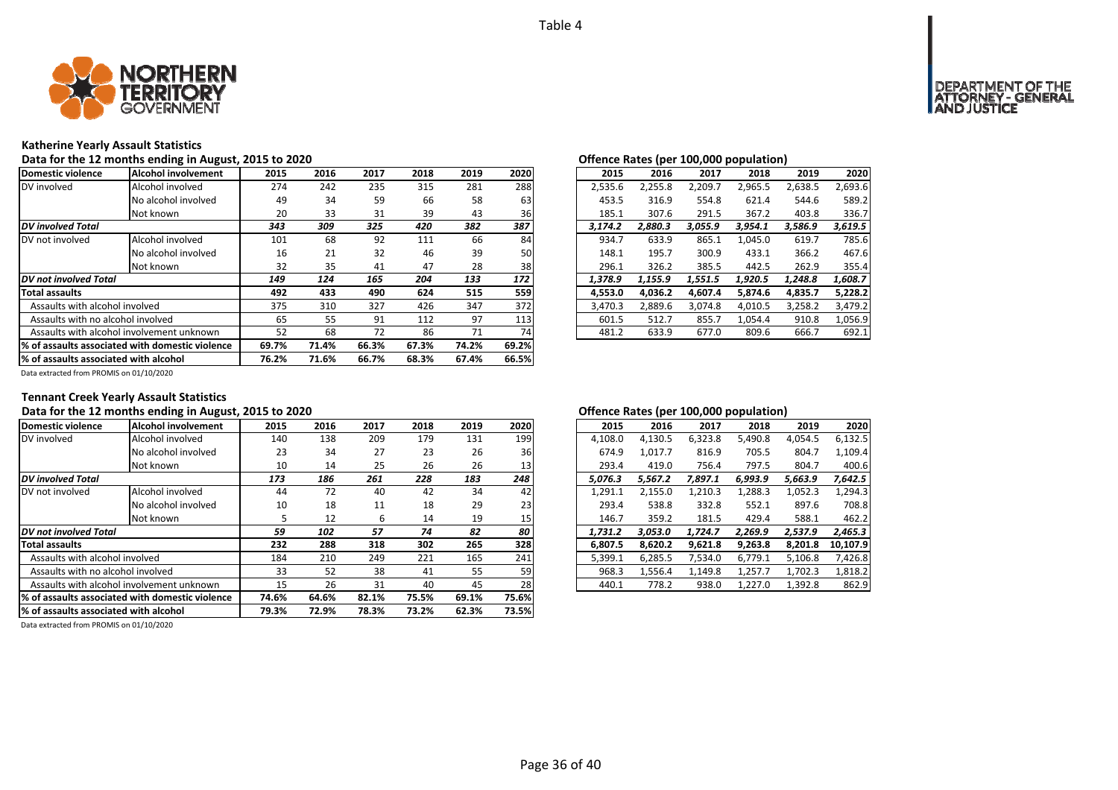

### **Katherine Yearly Assault Statistics**

Data for the 12 months ending in August, 2015 to 2020<br> **Data for the 12 months ending in August, 2015 to 2020** 

| Domestic violence                     | Alcohol involvement                              | 2015  | 2016  | 2017  | 2018  | 2019  | 2020  | 2015    | 2016    | 2017    | 2018    | 2019    | 2020    |
|---------------------------------------|--------------------------------------------------|-------|-------|-------|-------|-------|-------|---------|---------|---------|---------|---------|---------|
| DV involved                           | Alcohol involved                                 | 274   | 242   | 235   | 315   | 281   | 288   | 2,535.6 | 2,255.8 | 2,209.7 | 2,965.5 | 2,638.5 | 2,693.6 |
|                                       | No alcohol involved                              | 49    | 34    | 59    | 66    | 58    | 63    | 453.5   | 316.9   | 554.8   | 621.4   | 544.6   | 589.2   |
|                                       | Not known                                        | 20    | 33    | 31    | 39    | 43    | 36    | 185.1   | 307.6   | 291.5   | 367.2   | 403.8   | 336.7   |
| <b>DV</b> involved Total              |                                                  | 343   | 309   | 325   | 420   | 382   | 387   | 3.174.2 | 2.880.3 | 3,055.9 | 3,954.1 | 3,586.9 | 3,619.5 |
| DV not involved                       | Alcohol involved                                 | 101   | 68    | 92    | 111   | 66    | 84    | 934.7   | 633.9   | 865.1   | 1,045.0 | 619.7   | 785.6   |
|                                       | No alcohol involved                              | 16    | 21    | 32    | 46    | 39    | 50    | 148.1   | 195.7   | 300.9   | 433.1   | 366.2   | 467.6   |
|                                       | Not known                                        | 32    | 35    | 41    | 47    | 28    | 38    | 296.1   | 326.2   | 385.5   | 442.5   | 262.9   | 355.4   |
| <b>DV</b> not involved Total          |                                                  | 149   | 124   | 165   | 204   | 133   | 172   | 1,378.9 | 1,155.9 | 1,551.5 | 1.920.5 | 1,248.8 | 1,608.7 |
| <b>Total assaults</b>                 |                                                  | 492   | 433   | 490   | 624   | 515   | 559   | 4.553.0 | 4.036.2 | 4.607.4 | 5,874.6 | 4.835.7 | 5,228.2 |
| Assaults with alcohol involved        |                                                  | 375   | 310   | 327   | 426   | 347   | 372   | 3,470.3 | 2,889.6 | 3,074.8 | 4,010.5 | 3,258.2 | 3,479.2 |
| Assaults with no alcohol involved     |                                                  | 65    | 55    | 91    | 112   | 97    | 113   | 601.5   | 512.7   | 855.7   | 1,054.4 | 910.8   | 1,056.9 |
|                                       | Assaults with alcohol involvement unknown        | 52    | 68    | 72    | 86    | 71    | 74    | 481.2   | 633.9   | 677.0   | 809.6   | 666.7   | 692.1   |
|                                       | 1% of assaults associated with domestic violence | 69.7% | 71.4% | 66.3% | 67.3% | 74.2% | 69.2% |         |         |         |         |         |         |
| % of assaults associated with alcohol |                                                  | 76.2% | 71.6% | 66.7% | 68.3% | 67.4% | 66.5% |         |         |         |         |         |         |

| 2015    | 2016    | 2017    | 2018    | 2019    | 2020    |
|---------|---------|---------|---------|---------|---------|
| 2,535.6 | 2.255.8 | 2.209.7 | 2.965.5 | 2,638.5 | 2,693.6 |
| 453.5   | 316.9   | 554.8   | 621.4   | 544.6   | 589.2   |
| 185.1   | 307.6   | 291.5   | 367.2   | 403.8   | 336.7   |
| 3.174.2 | 2.880.3 | 3.055.9 | 3.954.1 | 3.586.9 | 3.619.5 |
| 934.7   | 633.9   | 865.1   | 1.045.0 | 619.7   | 785.6   |
| 148.1   | 195.7   | 300.9   | 433.1   | 366.2   | 467.6   |
| 296.1   | 326.2   | 385.5   | 442.5   | 262.9   | 355.4   |
| 1.378.9 | 1.155.9 | 1,551.5 | 1.920.5 | 1.248.8 | 1.608.7 |
| 4.553.0 | 4.036.2 | 4.607.4 | 5.874.6 | 4,835.7 | 5.228.2 |
| 3.470.3 | 2.889.6 | 3,074.8 | 4.010.5 | 3,258.2 | 3,479.2 |
| 601.5   | 512.7   | 855.7   | 1.054.4 | 910.8   | 1,056.9 |
| 481.2   | 633.9   | 677.0   | 809.6   | 666.7   | 692.1   |

Data extracted from PROMIS on 01/10/2020

### **Tennant Creek Yearly Assault Statistics**

### Data for the 12 months ending in August, 2015 to 2020<br> **Data for the 12 months ending in August, 2015 to 2020**

| Domestic violence                     | Alcohol involvement                             | 2015  | 2016  | 2017  | 2018  | 2019  | 2020  | 2015    | 2016    | 2017    | 2018    | 2019    | 2020     |
|---------------------------------------|-------------------------------------------------|-------|-------|-------|-------|-------|-------|---------|---------|---------|---------|---------|----------|
| DV involved                           | Alcohol involved                                | 140   | 138   | 209   | 179   | 131   | 199   | 4,108.0 | 4,130.5 | 6,323.8 | 5,490.8 | 4,054.5 | 6,132.5  |
|                                       | No alcohol involved                             | 23    | 34    | 27    | 23    | 26    | 36    | 674.9   | 1.017.7 | 816.9   | 705.5   | 804.7   | 1.109.4  |
|                                       | Not known                                       | 10    | 14    | 25    | 26    | 26    | 13    | 293.4   | 419.0   | 756.4   | 797.5   | 804.7   | 400.6    |
| <b>DV</b> involved Total              |                                                 | 173   | 186   | 261   | 228   | 183   | 248   | 5.076.3 | 5.567.2 | 7.897.1 | 6.993.9 | 5,663.9 | 7,642.5  |
| DV not involved                       | Alcohol involved                                | 44    | 72    | 40    | 42    | 34    | 42    | 1,291.1 | 2,155.0 | 1,210.3 | 1,288.3 | 1,052.3 | 1,294.3  |
|                                       | No alcohol involved                             | 10    | 18    | 11    | 18    | 29    | 23    | 293.4   | 538.8   | 332.8   | 552.1   | 897.6   | 708.8    |
|                                       | Not known                                       |       | 12    | 6     | 14    | 19    | 15    | 146.7   | 359.2   | 181.5   | 429.4   | 588.1   | 462.2    |
| DV not involved Total                 |                                                 | 59    | 102   | 57    | 74    | 82    | 80    | 1.731.2 | 3.053.0 | 1.724.7 | 2.269.9 | 2,537.9 | 2,465.3  |
| <b>Total assaults</b>                 |                                                 | 232   | 288   | 318   | 302   | 265   | 328   | 6,807.5 | 8.620.2 | 9,621.8 | 9,263.8 | 8.201.8 | 10,107.9 |
| Assaults with alcohol involved        |                                                 | 184   | 210   | 249   | 221   | 165   | 241   | 5,399.1 | 6,285.5 | 7.534.0 | 6,779.1 | 5,106.8 | 7,426.8  |
| Assaults with no alcohol involved     |                                                 | 33    | 52    | 38    | 41    | 55    | 59    | 968.3   | 1,556.4 | 1,149.8 | 1,257.7 | 1,702.3 | 1,818.2  |
|                                       | Assaults with alcohol involvement unknown       | 15    | 26    | 31    | 40    | 45    | 28    | 440.1   | 778.2   | 938.0   | 1,227.0 | 1,392.8 | 862.9    |
|                                       | % of assaults associated with domestic violence | 74.6% | 64.6% | 82.1% | 75.5% | 69.1% | 75.6% |         |         |         |         |         |          |
| % of assaults associated with alcohol |                                                 | 79.3% | 72.9% | 78.3% | 73.2% | 62.3% | 73.5% |         |         |         |         |         |          |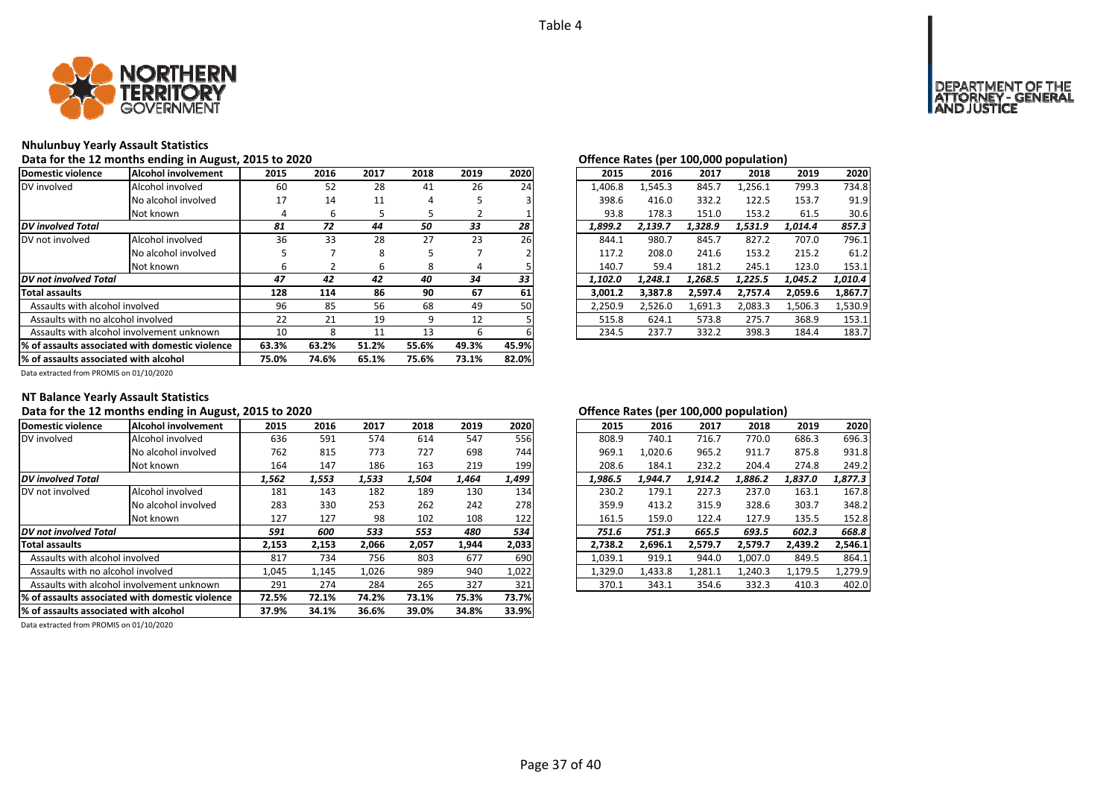

### **Nhulunbuy Yearly Assault Statistics**

### Data for the 12 months ending in August, 2015 to 2020<br> **Data for the 12 months ending in August, 2015 to 2020**

| Domestic violence                     | <b>Alcohol involvement</b>                      | 2015  | 2016  | 2017  | 2018  | 2019  | 2020  | 2015    | 2016    | 2017    | 2018    | 2019    | 2020    |
|---------------------------------------|-------------------------------------------------|-------|-------|-------|-------|-------|-------|---------|---------|---------|---------|---------|---------|
| DV involved                           | Alcohol involved                                | 60    | 52    | 28    | 41    | 26    | 24    | 1,406.8 | 1,545.3 | 845.7   | 1,256.1 | 799.3   | 734.8   |
|                                       | No alcohol involved                             | 17    | 14    | 11    | 4     |       |       | 398.6   | 416.0   | 332.2   | 122.5   | 153.7   | 91.9    |
|                                       | Not known                                       | 4     | 6     |       | ь     |       |       | 93.8    | 178.3   | 151.0   | 153.2   | 61.5    | 30.6    |
| <b>DV</b> involved Total              |                                                 | 81    | 72    | 44    | 50    | 33    | 28    | 1,899.2 | 2,139.7 | 1.328.9 | 1.531.9 | 1.014.4 | 857.3   |
| DV not involved                       | Alcohol involved                                | 36    | 33    | 28    | 27    | 23    | 26    | 844.1   | 980.7   | 845.7   | 827.2   | 707.0   | 796.1   |
|                                       | No alcohol involved                             |       |       | 8     |       |       |       | 117.2   | 208.0   | 241.6   | 153.2   | 215.2   | 61.2    |
|                                       | Not known                                       | ь     |       | ь     | 8     | 4     |       | 140.7   | 59.4    | 181.2   | 245.1   | 123.0   | 153.1   |
| <b>DV</b> not involved Total          |                                                 | 47    | 42    | 42    | 40    | 34    | 33    | 1,102.0 | 1,248.1 | 1,268.5 | 1,225.5 | 1,045.2 | 1,010.4 |
| <b>Total assaults</b>                 |                                                 | 128   | 114   | 86    | 90    | 67    | 61    | 3,001.2 | 3,387.8 | 2,597.4 | 2,757.4 | 2,059.6 | 1,867.7 |
| Assaults with alcohol involved        |                                                 | 96    | 85    | 56    | 68    | 49    | 50    | 2,250.9 | 2.526.0 | 1,691.3 | 2,083.3 | 1,506.3 | 1,530.9 |
| Assaults with no alcohol involved     |                                                 | 22    | 21    | 19    | 9     | 12    |       | 515.8   | 624.1   | 573.8   | 275.7   | 368.9   | 153.1   |
|                                       | Assaults with alcohol involvement unknown       | 10    | 8     | 11    | 13    | 6     |       | 234.5   | 237.7   | 332.2   | 398.3   | 184.4   | 183.7   |
|                                       | % of assaults associated with domestic violence | 63.3% | 63.2% | 51.2% | 55.6% | 49.3% | 45.9% |         |         |         |         |         |         |
| % of assaults associated with alcohol |                                                 | 75.0% | 74.6% | 65.1% | 75.6% | 73.1% | 82.0% |         |         |         |         |         |         |

# *42 42 40 34 33 1,102.0 1,248.1 1,268.5 1,225.5 1,045.2 1,010.4*

Data extracted from PROMIS on 01/10/2020

### **NT Balance Yearly Assault Statistics**

### **Data for the 12 months ending in August, 2015 to 2020 Offence Rates (per 100,000 population)**

| Domestic violence                                | Alcohol involvement | 2015  | 2016  | 2017  | 2018  | 2019  | 2020  | 2015    | 2016    | 2017    | 2018    | 2019    | 2020    |
|--------------------------------------------------|---------------------|-------|-------|-------|-------|-------|-------|---------|---------|---------|---------|---------|---------|
| DV involved                                      | Alcohol involved    | 636   | 591   | 574   | 614   | 547   | 556   | 808.9   | 740.1   | 716.7   | 770.0   | 686.3   | 696.3   |
|                                                  | No alcohol involved | 762   | 815   | 773   | 727   | 698   | 744   | 969.1   | 1.020.6 | 965.2   | 911.7   | 875.8   | 931.8   |
|                                                  | Not known           | 164   | 147   | 186   | 163   | 219   | 199   | 208.6   | 184.1   | 232.2   | 204.4   | 274.8   | 249.2   |
| <b>DV</b> involved Total                         |                     | 1,562 | 1,553 | 1,533 | 1,504 | 1,464 | 1,499 | 1,986.5 | 1.944.7 | 1.914.2 | 1.886.2 | 1,837.0 | 1,877.3 |
| DV not involved                                  | Alcohol involved    | 181   | 143   | 182   | 189   | 130   | 134   | 230.2   | 179.1   | 227.3   | 237.0   | 163.1   | 167.8   |
|                                                  | No alcohol involved | 283   | 330   | 253   | 262   | 242   | 278   | 359.9   | 413.2   | 315.9   | 328.6   | 303.7   | 348.2   |
|                                                  | Not known           | 127   | 127   | 98    | 102   | 108   | 122   | 161.5   | 159.0   | 122.4   | 127.9   | 135.5   | 152.8   |
| IDV not involved Total                           |                     | 591   | 600   | 533   | 553   | 480   | 534   | 751.6   | 751.3   | 665.5   | 693.5   | 602.3   | 668.8   |
| <b>Total assaults</b>                            |                     | 2,153 | 2,153 | 2.066 | 2,057 | 1,944 | 2,033 | 2.738.2 | 2,696.1 | 2.579.7 | 2,579.7 | 2.439.2 | 2,546.1 |
| Assaults with alcohol involved                   |                     | 817   | 734   | 756   | 803   | 677   | 690   | 1,039.1 | 919.1   | 944.0   | 1,007.0 | 849.5   | 864.1   |
| Assaults with no alcohol involved                |                     | 1,045 | 1,145 | 1,026 | 989   | 940   | 1,022 | 1,329.0 | 1,433.8 | 1,281.1 | 1,240.3 | 1,179.5 | 1,279.9 |
| Assaults with alcohol involvement unknown        |                     | 291   | 274   | 284   | 265   | 327   | 321   | 370.1   | 343.1   | 354.6   | 332.3   | 410.3   | 402.0   |
| 1% of assaults associated with domestic violence |                     | 72.5% | 72.1% | 74.2% | 73.1% | 75.3% | 73.7% |         |         |         |         |         |         |
| % of assaults associated with alcohol            |                     | 37.9% | 34.1% | 36.6% | 39.0% | 34.8% | 33.9% |         |         |         |         |         |         |
|                                                  |                     |       |       |       |       |       |       |         |         |         |         |         |         |

Data extracted from PROMIS on 01/10/2020

| 2016    |         |         |         |         |
|---------|---------|---------|---------|---------|
|         | 2017    | 2018    | 2019    | 2020    |
| 740.1   | 716.7   | 770.0   | 686.3   | 696.3   |
| 1.020.6 | 965.2   | 911.7   | 875.8   | 931.8   |
| 184.1   | 232.2   | 204.4   | 274.8   | 249.2   |
| 1.944.7 | 1,914.2 | 1,886.2 | 1,837.0 | 1,877.3 |
| 179.1   | 227.3   | 237.0   | 163.1   | 167.8   |
| 413.2   | 315.9   | 328.6   | 303.7   | 348.2   |
| 159.0   | 122.4   | 127.9   | 135.5   | 152.8   |
| 751.3   | 665.5   | 693.5   | 602.3   | 668.8   |
| 2,696.1 | 2,579.7 | 2,579.7 | 2,439.2 | 2,546.1 |
| 919.1   | 944.0   | 1.007.0 | 849.5   | 864.1   |
| 1,433.8 | 1,281.1 | 1,240.3 | 1,179.5 | 1,279.9 |
| 343.1   | 354.6   | 332.3   | 410.3   | 402.0   |
|         |         |         |         |         |

# DEPARTMENT OF THE<br>ATTORNEY - GENERAL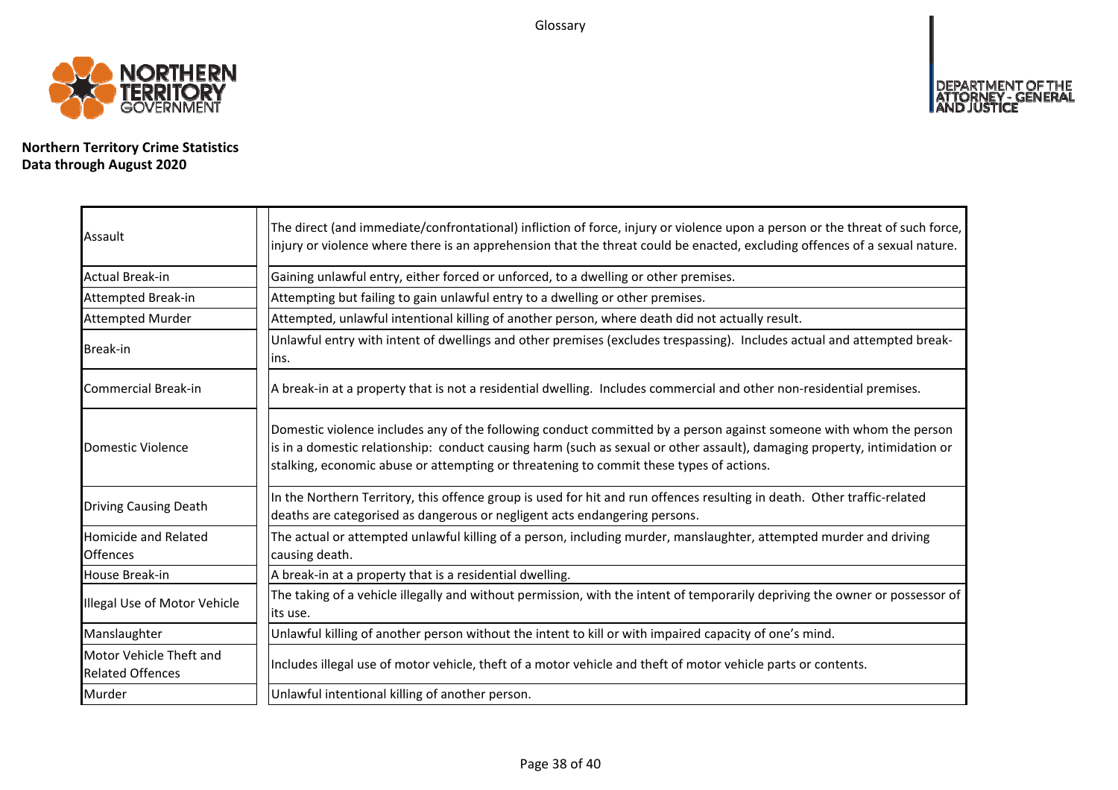Glossary



**Northern Territory Crime Statistics Data through August 2020**

| Assault                                            | The direct (and immediate/confrontational) infliction of force, injury or violence upon a person or the threat of such force,<br>injury or violence where there is an apprehension that the threat could be enacted, excluding offences of a sexual nature.                                                                                |
|----------------------------------------------------|--------------------------------------------------------------------------------------------------------------------------------------------------------------------------------------------------------------------------------------------------------------------------------------------------------------------------------------------|
| Actual Break-in                                    | Gaining unlawful entry, either forced or unforced, to a dwelling or other premises.                                                                                                                                                                                                                                                        |
| Attempted Break-in                                 | Attempting but failing to gain unlawful entry to a dwelling or other premises.                                                                                                                                                                                                                                                             |
| <b>Attempted Murder</b>                            | Attempted, unlawful intentional killing of another person, where death did not actually result.                                                                                                                                                                                                                                            |
| <b>Break-in</b>                                    | Unlawful entry with intent of dwellings and other premises (excludes trespassing). Includes actual and attempted break-<br>lins.                                                                                                                                                                                                           |
| Commercial Break-in                                | A break-in at a property that is not a residential dwelling. Includes commercial and other non-residential premises.                                                                                                                                                                                                                       |
| Domestic Violence                                  | Domestic violence includes any of the following conduct committed by a person against someone with whom the person<br>is in a domestic relationship: conduct causing harm (such as sexual or other assault), damaging property, intimidation or<br>stalking, economic abuse or attempting or threatening to commit these types of actions. |
| <b>Driving Causing Death</b>                       | In the Northern Territory, this offence group is used for hit and run offences resulting in death. Other traffic-related<br>deaths are categorised as dangerous or negligent acts endangering persons.                                                                                                                                     |
| <b>Homicide and Related</b><br><b>Offences</b>     | The actual or attempted unlawful killing of a person, including murder, manslaughter, attempted murder and driving<br>causing death.                                                                                                                                                                                                       |
| House Break-in                                     | A break-in at a property that is a residential dwelling.                                                                                                                                                                                                                                                                                   |
| Illegal Use of Motor Vehicle                       | The taking of a vehicle illegally and without permission, with the intent of temporarily depriving the owner or possessor of<br>lits use.                                                                                                                                                                                                  |
| Manslaughter                                       | Unlawful killing of another person without the intent to kill or with impaired capacity of one's mind.                                                                                                                                                                                                                                     |
| Motor Vehicle Theft and<br><b>Related Offences</b> | Includes illegal use of motor vehicle, theft of a motor vehicle and theft of motor vehicle parts or contents.                                                                                                                                                                                                                              |
| Murder                                             | Unlawful intentional killing of another person.                                                                                                                                                                                                                                                                                            |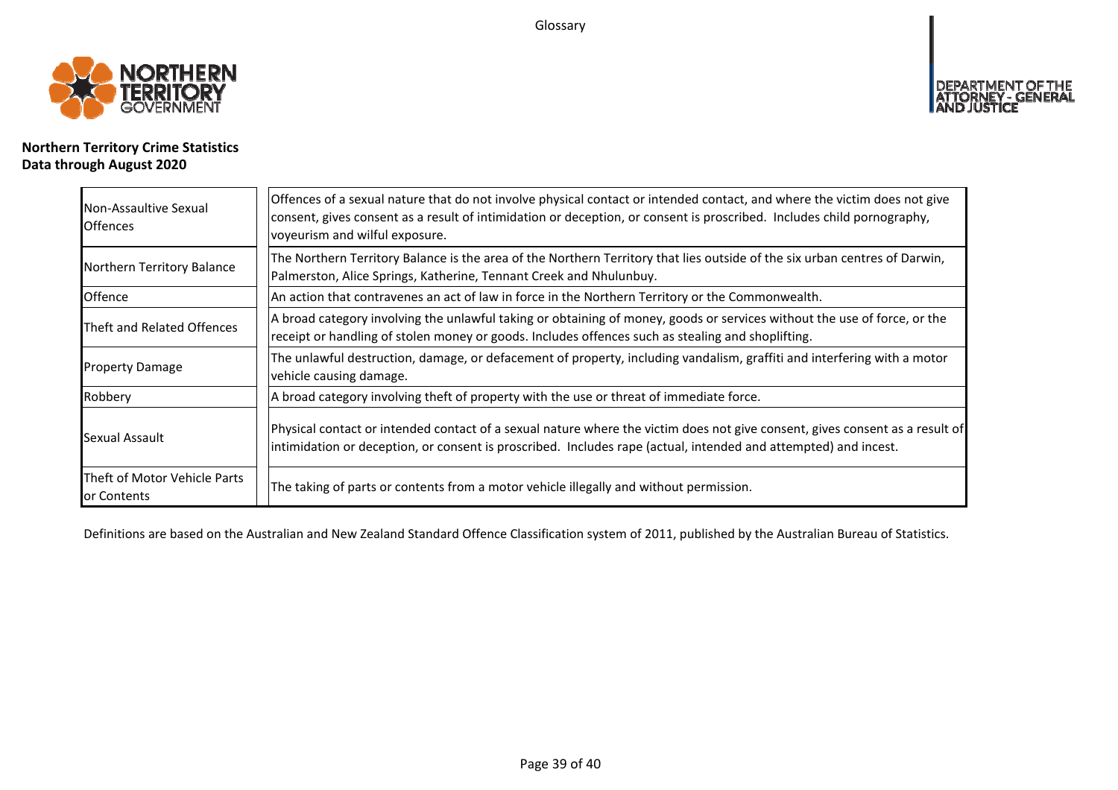Glossary



# **Northern Territory Crime Statistics Data through August 2020**

| Non-Assaultive Sexual<br><b>Offences</b>    | Offences of a sexual nature that do not involve physical contact or intended contact, and where the victim does not give<br>consent, gives consent as a result of intimidation or deception, or consent is proscribed. Includes child pornography,<br>voyeurism and wilful exposure. |  |  |  |  |  |
|---------------------------------------------|--------------------------------------------------------------------------------------------------------------------------------------------------------------------------------------------------------------------------------------------------------------------------------------|--|--|--|--|--|
| Northern Territory Balance                  | The Northern Territory Balance is the area of the Northern Territory that lies outside of the six urban centres of Darwin,<br>Palmerston, Alice Springs, Katherine, Tennant Creek and Nhulunbuy.                                                                                     |  |  |  |  |  |
| Offence                                     | An action that contravenes an act of law in force in the Northern Territory or the Commonwealth.                                                                                                                                                                                     |  |  |  |  |  |
| Theft and Related Offences                  | A broad category involving the unlawful taking or obtaining of money, goods or services without the use of force, or the<br>receipt or handling of stolen money or goods. Includes offences such as stealing and shoplifting.                                                        |  |  |  |  |  |
| <b>Property Damage</b>                      | The unlawful destruction, damage, or defacement of property, including vandalism, graffiti and interfering with a motor<br>vehicle causing damage.                                                                                                                                   |  |  |  |  |  |
| Robbery                                     | A broad category involving theft of property with the use or threat of immediate force.                                                                                                                                                                                              |  |  |  |  |  |
| Sexual Assault                              | Physical contact or intended contact of a sexual nature where the victim does not give consent, gives consent as a result of<br>intimidation or deception, or consent is proscribed. Includes rape (actual, intended and attempted) and incest.                                      |  |  |  |  |  |
| Theft of Motor Vehicle Parts<br>or Contents | The taking of parts or contents from a motor vehicle illegally and without permission.                                                                                                                                                                                               |  |  |  |  |  |

Definitions are based on the Australian and New Zealand Standard Offence Classification system of 2011, published by the Australian Bureau of Statistics.